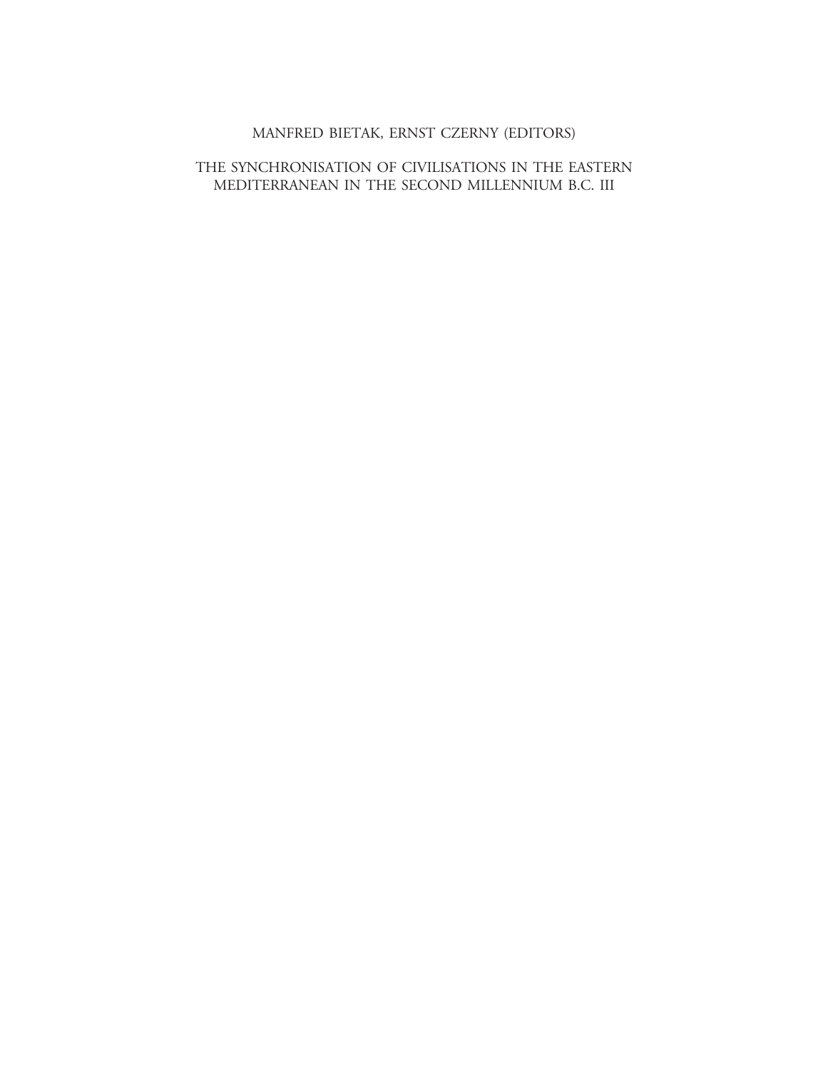### MANFRED BIETAK, ERNST CZERNY (EDITORS)

### THE SYNCHRONISATION OF CIVILISATIONS IN THE EASTERN MEDITERRANEAN IN THE SECOND MILLENNIUM B.C. III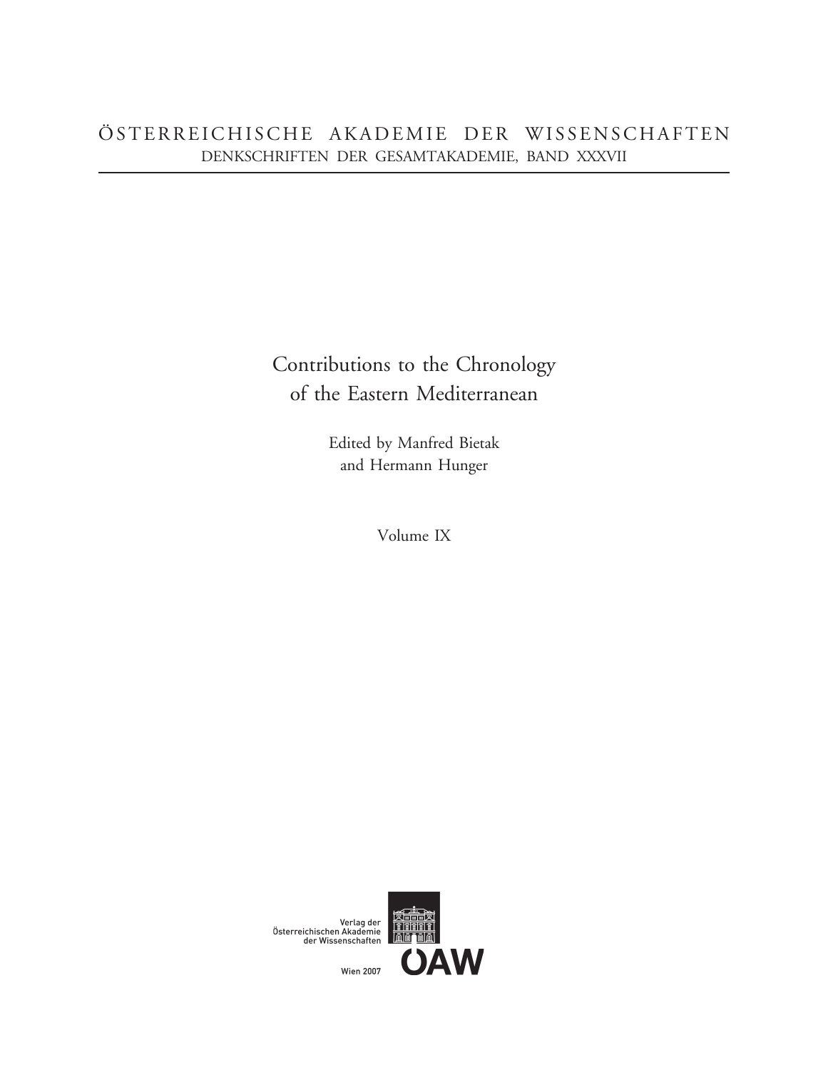Contributions to the Chronology of the Eastern Mediterranean

> Edited by Manfred Bietak and Hermann Hunger

> > Volume IX

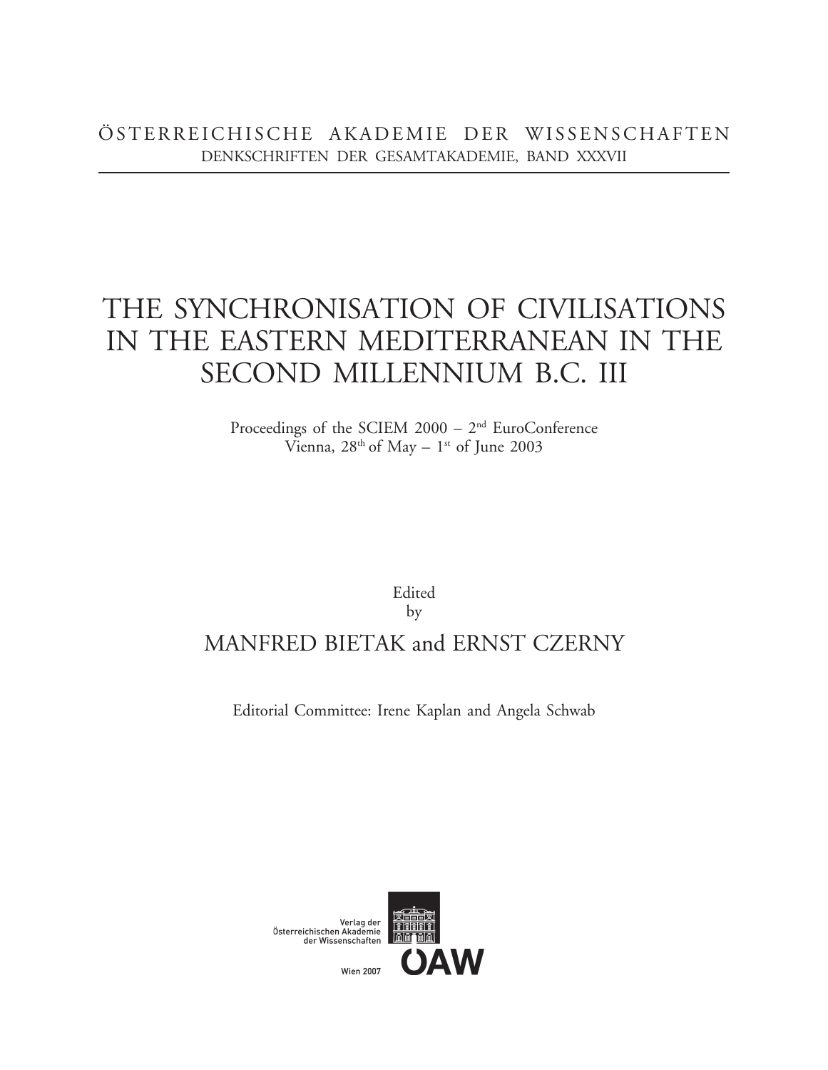# THE SYNCHRONISATION OF CIVILISATIONS IN THE EASTERN MEDITERRANEAN IN THE SECOND MILLENNIUM B.C. III

Proceedings of the SCIEM 2000 – 2nd EuroConference Vienna,  $28<sup>th</sup>$  of May –  $1<sup>st</sup>$  of June 2003

> Edited by

## MANFRED BIETAK and ERNST CZERNY

Editorial Committee: Irene Kaplan and Angela Schwab

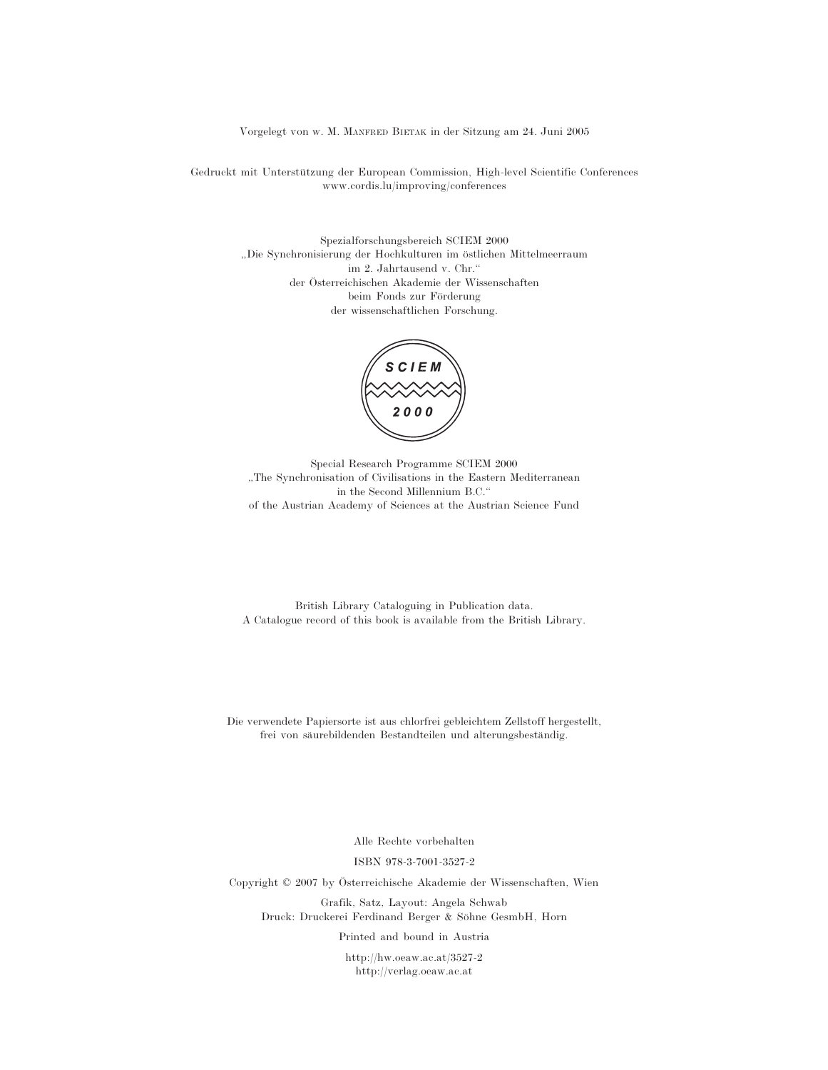Vorgelegt von w. M. MANFRED BIETAK in der Sitzung am 24. Juni 2005

Gedruckt mit Unterstützung der European Commission, High-level Scientific Conferences www.cordis.lu/improving/conferences

> Spezialforschungsbereich SCIEM 2000 "Die Synchronisierung der Hochkulturen im östlichen Mittelmeerraum im 2. Jahrtausend v. Chr." der Österreichischen Akademie der Wissenschaften beim Fonds zur Förderung der wissenschaftlichen Forschung.



Special Research Programme SCIEM 2000 "The Synchronisation of Civilisations in the Eastern Mediterranean in the Second Millennium B.C." of the Austrian Academy of Sciences at the Austrian Science Fund

British Library Cataloguing in Publication data. A Catalogue record of this book is available from the British Library.

Die verwendete Papiersorte ist aus chlorfrei gebleichtem Zellstoff hergestellt, frei von säurebildenden Bestandteilen und alterungsbeständig.

Alle Rechte vorbehalten

ISBN 978-3-7001-3527-2

Copyright © 2007 by Österreichische Akademie der Wissenschaften, Wien

Grafik, Satz, Layout: Angela Schwab Druck: Druckerei Ferdinand Berger & Söhne GesmbH, Horn

Printed and bound in Austria

http://hw.oeaw.ac.at/3527-2 http://verlag.oeaw.ac.at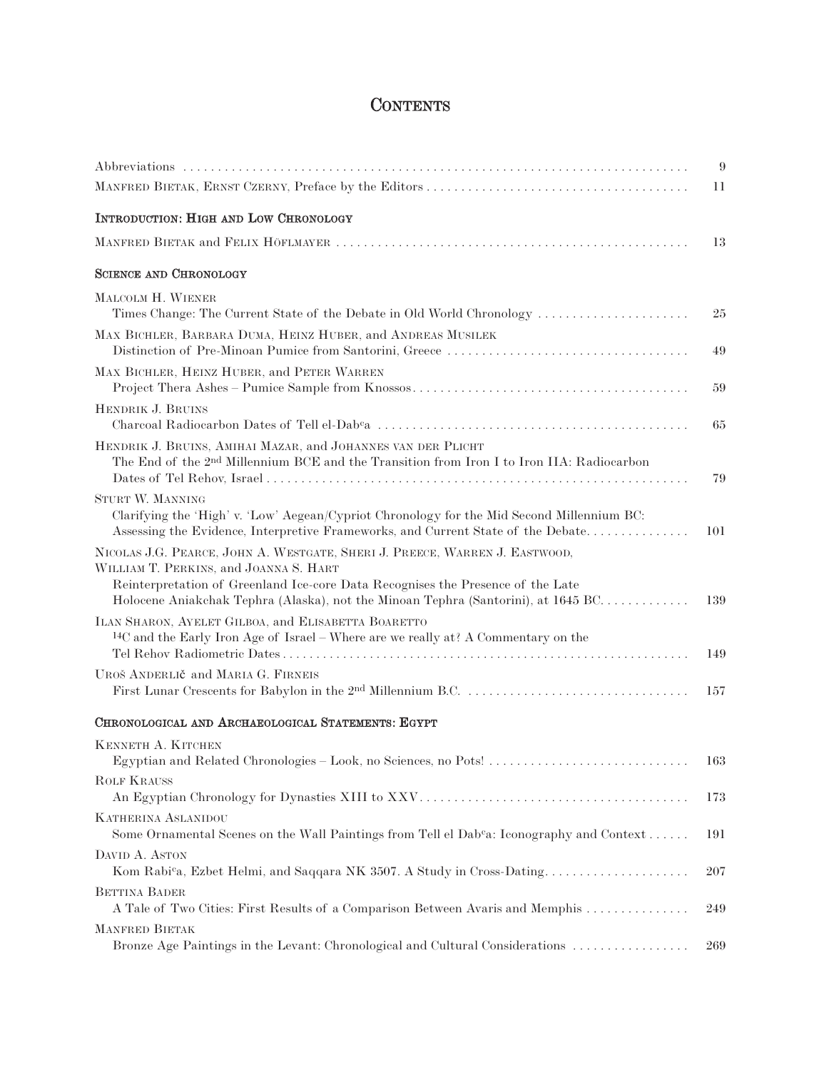## **CONTENTS**

|                                                                                                                                                                                                                                                                                               | 9   |
|-----------------------------------------------------------------------------------------------------------------------------------------------------------------------------------------------------------------------------------------------------------------------------------------------|-----|
|                                                                                                                                                                                                                                                                                               | 11  |
| <b>INTRODUCTION: HIGH AND LOW CHRONOLOGY</b>                                                                                                                                                                                                                                                  |     |
|                                                                                                                                                                                                                                                                                               | 13  |
| <b>SCIENCE AND CHRONOLOGY</b>                                                                                                                                                                                                                                                                 |     |
| MALCOLM H. WIENER<br>Times Change: The Current State of the Debate in Old World Chronology                                                                                                                                                                                                    | 25  |
| MAX BICHLER, BARBARA DUMA, HEINZ HUBER, and ANDREAS MUSILEK                                                                                                                                                                                                                                   | 49  |
| MAX BICHLER, HEINZ HUBER, and PETER WARREN                                                                                                                                                                                                                                                    | 59  |
| HENDRIK J. BRUINS                                                                                                                                                                                                                                                                             | 65  |
| HENDRIK J. BRUINS, AMIHAI MAZAR, and JOHANNES VAN DER PLICHT<br>The End of the 2 <sup>nd</sup> Millennium BCE and the Transition from Iron I to Iron IIA: Radiocarbon                                                                                                                         | 79  |
| STURT W. MANNING<br>Clarifying the 'High' v. 'Low' Aegean/Cypriot Chronology for the Mid Second Millennium BC:<br>Assessing the Evidence, Interpretive Frameworks, and Current State of the Debate                                                                                            | 101 |
| NICOLAS J.G. PEARCE, JOHN A. WESTGATE, SHERI J. PREECE, WARREN J. EASTWOOD,<br>WILLIAM T. PERKINS, and JOANNA S. HART<br>Reinterpretation of Greenland Ice-core Data Recognises the Presence of the Late<br>Holocene Aniakchak Tephra (Alaska), not the Minoan Tephra (Santorini), at 1645 BC | 139 |
| ILAN SHARON, AYELET GILBOA, and ELISABETTA BOARETTO<br><sup>14</sup> C and the Early Iron Age of Israel – Where are we really at? A Commentary on the                                                                                                                                         | 149 |
| UROŠ ANDERLIČ and MARIA G. FIRNEIS                                                                                                                                                                                                                                                            | 157 |
| CHRONOLOGICAL AND ARCHAEOLOGICAL STATEMENTS: EGYPT                                                                                                                                                                                                                                            |     |
| KENNETH A. KITCHEN<br>Egyptian and Related Chronologies – Look, no Sciences, no Pots!                                                                                                                                                                                                         | 163 |
| <b>ROLF KRAUSS</b>                                                                                                                                                                                                                                                                            | 173 |
| <b>KATHERINA ASLANIDOU</b><br>Some Ornamental Scenes on the Wall Paintings from Tell el Dab <sup>c</sup> a: Iconography and Context                                                                                                                                                           | 191 |
| DAVID A. ASTON                                                                                                                                                                                                                                                                                | 207 |
| <b>BETTINA BADER</b><br>A Tale of Two Cities: First Results of a Comparison Between Avaris and Memphis                                                                                                                                                                                        | 249 |
| <b>MANFRED BIETAK</b><br>Bronze Age Paintings in the Levant: Chronological and Cultural Considerations                                                                                                                                                                                        | 269 |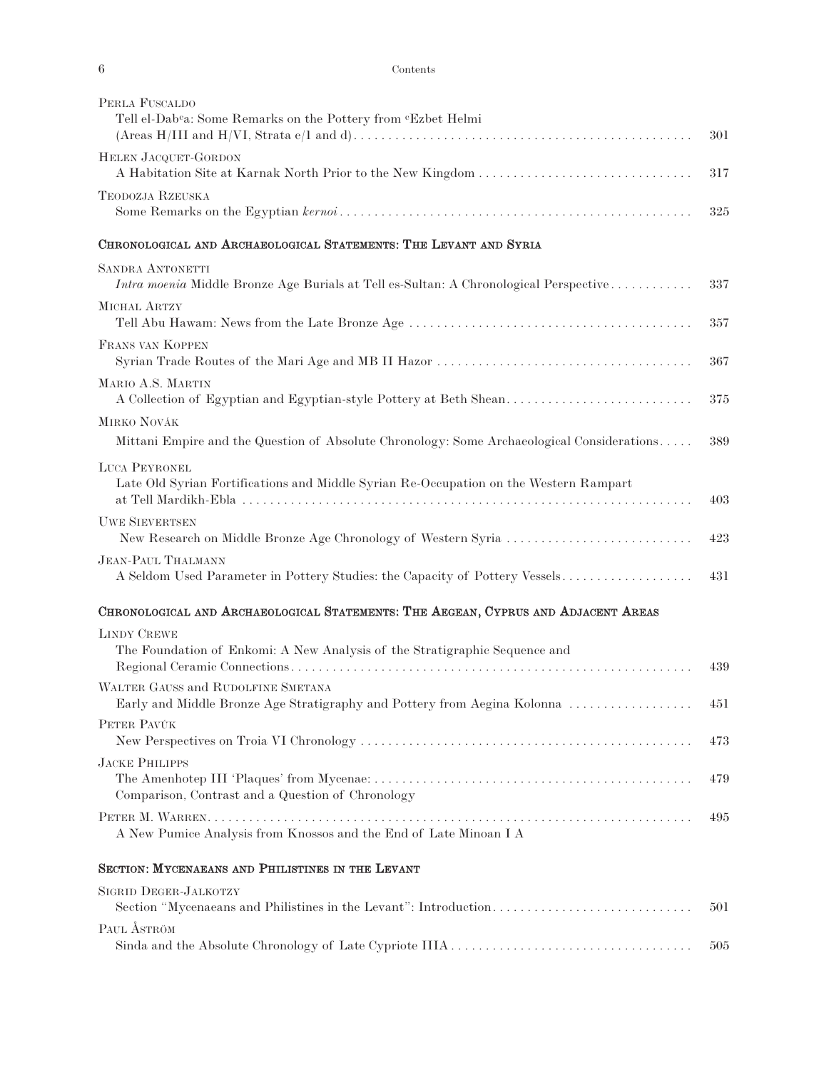| PERLA FUSCALDO<br>Tell el-Dab <sup>c</sup> a: Some Remarks on the Pottery from <sup>c</sup> Ezbet Helmi               | 301 |
|-----------------------------------------------------------------------------------------------------------------------|-----|
| HELEN JACQUET-GORDON                                                                                                  | 317 |
| TEODOZJA RZEUSKA                                                                                                      | 325 |
| CHRONOLOGICAL AND ARCHAEOLOGICAL STATEMENTS: THE LEVANT AND SYRIA                                                     |     |
| <b>SANDRA ANTONETTI</b><br>Intra moenia Middle Bronze Age Burials at Tell es-Sultan: A Chronological Perspective      | 337 |
| MICHAL ARTZY                                                                                                          | 357 |
| FRANS VAN KOPPEN                                                                                                      | 367 |
| MARIO A.S. MARTIN<br>A Collection of Egyptian and Egyptian-style Pottery at Beth Shean                                | 375 |
| MIRKO NOVÁK                                                                                                           |     |
| Mittani Empire and the Question of Absolute Chronology: Some Archaeological Considerations                            | 389 |
| LUCA PEYRONEL<br>Late Old Syrian Fortifications and Middle Syrian Re-Occupation on the Western Rampart                | 403 |
| <b>UWE SIEVERTSEN</b>                                                                                                 | 423 |
| <b>JEAN-PAUL THALMANN</b><br>A Seldom Used Parameter in Pottery Studies: the Capacity of Pottery Vessels              | 431 |
| CHRONOLOGICAL AND ARCHAEOLOGICAL STATEMENTS: THE AEGEAN, CYPRUS AND ADJACENT AREAS                                    |     |
| <b>LINDY CREWE</b><br>The Foundation of Enkomi: A New Analysis of the Stratigraphic Sequence and                      | 439 |
| <b>WALTER GAUSS and RUDOLFINE SMETANA</b><br>Early and Middle Bronze Age Stratigraphy and Pottery from Aegina Kolonna | 451 |
| PETER PAVÚK                                                                                                           | 473 |
| <b>JACKE PHILIPPS</b><br>Comparison, Contrast and a Question of Chronology                                            | 479 |
| A New Pumice Analysis from Knossos and the End of Late Minoan I A                                                     | 495 |
| SECTION: MYCENAEANS AND PHILISTINES IN THE LEVANT                                                                     |     |
| SIGRID DEGER-JALKOTZY                                                                                                 |     |

| Paul Åström |  |
|-------------|--|
|             |  |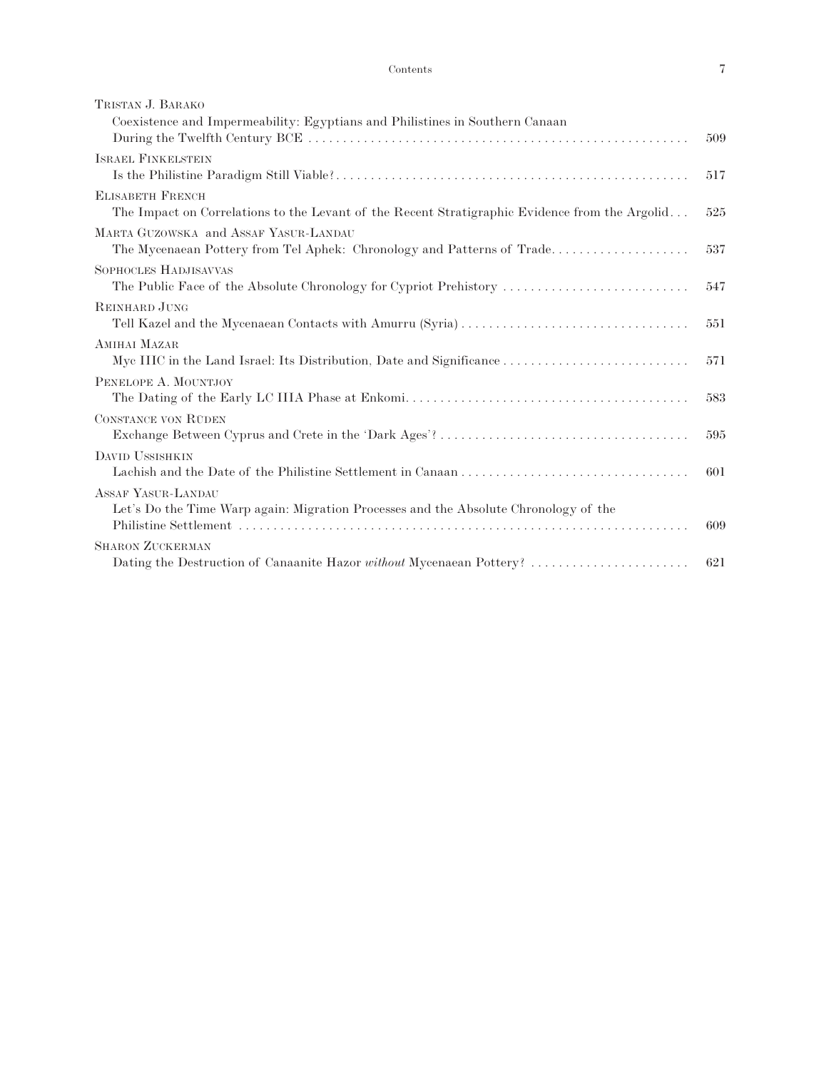#### Contents

| TRISTAN J. BARAKO                                                                                                         |     |
|---------------------------------------------------------------------------------------------------------------------------|-----|
| Coexistence and Impermeability: Egyptians and Philistines in Southern Canaan                                              | 509 |
| <b>ISRAEL FINKELSTEIN</b>                                                                                                 | 517 |
| <b>ELISABETH FRENCH</b><br>The Impact on Correlations to the Levant of the Recent Stratigraphic Evidence from the Argolid | 525 |
| MARTA GUZOWSKA and ASSAF YASUR-LANDAU<br>The Mycenaean Pottery from Tel Aphek: Chronology and Patterns of Trade           | 537 |
| SOPHOCLES HADJISAVVAS<br>The Public Face of the Absolute Chronology for Cypriot Prehistory                                | 547 |
| <b>REINHARD JUNG</b>                                                                                                      | 551 |
| <b>AMIHAI MAZAR</b><br>Myc IIIC in the Land Israel: Its Distribution, Date and Significance                               | 571 |
| PENELOPE A. MOUNTJOY                                                                                                      | 583 |
| <b>CONSTANCE VON RÜDEN</b>                                                                                                | 595 |
| DAVID USSISHKIN                                                                                                           | 601 |
| <b>ASSAF YASUR-LANDAU</b><br>Let's Do the Time Warp again: Migration Processes and the Absolute Chronology of the         | 609 |
| <b>SHARON ZUCKERMAN</b><br>Dating the Destruction of Canaanite Hazor without Mycenaean Pottery?                           | 621 |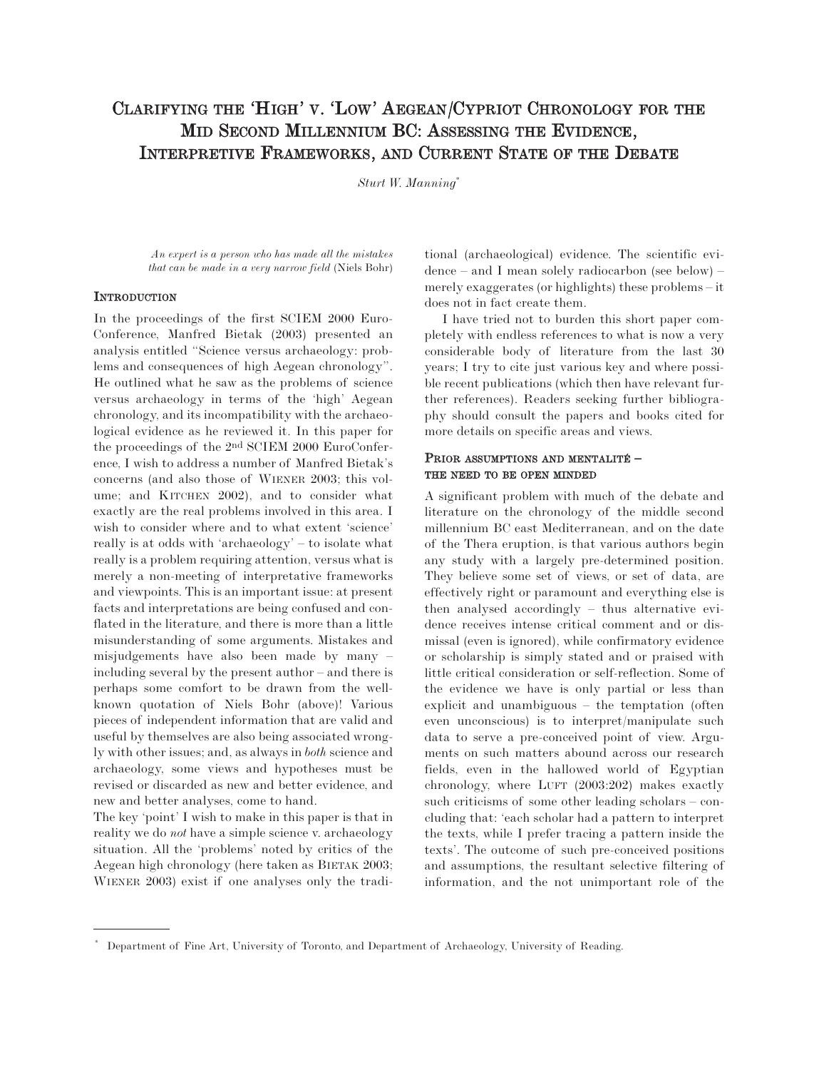## CLARIFYING THE 'HIGH' V. 'LOW' AEGEAN/CYPRIOT CHRONOLOGY FOR THE MID SECOND MILLENNIUM BC: ASSESSING THE EVIDENCE, INTERPRETIVE FRAMEWORKS, AND CURRENT STATE OF THE DEBATE

*Sturt W. Manning\**

*An expert is a person who has made all the mistakes that can be made in a very narrow field* (Niels Bohr)

#### **INTRODUCTION**

In the proceedings of the first SCIEM 2000 Euro-Conference, Manfred Bietak (2003) presented an analysis entitled "Science versus archaeology: problems and consequences of high Aegean chronology". He outlined what he saw as the problems of science versus archaeology in terms of the 'high' Aegean chronology, and its incompatibility with the archaeological evidence as he reviewed it. In this paper for the proceedings of the 2nd SCIEM 2000 EuroConference, I wish to address a number of Manfred Bietak's concerns (and also those of WIENER 2003; this volume; and KITCHEN 2002), and to consider what exactly are the real problems involved in this area. I wish to consider where and to what extent 'science' really is at odds with 'archaeology' – to isolate what really is a problem requiring attention, versus what is merely a non-meeting of interpretative frameworks and viewpoints. This is an important issue: at present facts and interpretations are being confused and conflated in the literature, and there is more than a little misunderstanding of some arguments. Mistakes and misjudgements have also been made by many – including several by the present author – and there is perhaps some comfort to be drawn from the wellknown quotation of Niels Bohr (above)! Various pieces of independent information that are valid and useful by themselves are also being associated wrongly with other issues; and, as always in *both* science and archaeology, some views and hypotheses must be revised or discarded as new and better evidence, and new and better analyses, come to hand.

The key 'point' I wish to make in this paper is that in reality we do *not* have a simple science v. archaeology situation. All the 'problems' noted by critics of the Aegean high chronology (here taken as BIETAK 2003; WIENER 2003) exist if one analyses only the traditional (archaeological) evidence. The scientific evidence – and I mean solely radiocarbon (see below) – merely exaggerates (or highlights) these problems – it does not in fact create them.

I have tried not to burden this short paper completely with endless references to what is now a very considerable body of literature from the last 30 years; I try to cite just various key and where possible recent publications (which then have relevant further references). Readers seeking further bibliography should consult the papers and books cited for more details on specific areas and views.

#### PRIOR ASSUMPTIONS AND MENTALITÉ – THE NEED TO BE OPEN MINDED

A significant problem with much of the debate and literature on the chronology of the middle second millennium BC east Mediterranean, and on the date of the Thera eruption, is that various authors begin any study with a largely pre-determined position. They believe some set of views, or set of data, are effectively right or paramount and everything else is then analysed accordingly – thus alternative evidence receives intense critical comment and or dismissal (even is ignored), while confirmatory evidence or scholarship is simply stated and or praised with little critical consideration or self-reflection. Some of the evidence we have is only partial or less than explicit and unambiguous – the temptation (often even unconscious) is to interpret/manipulate such data to serve a pre-conceived point of view. Arguments on such matters abound across our research fields, even in the hallowed world of Egyptian chronology, where LUFT (2003:202) makes exactly such criticisms of some other leading scholars – concluding that: 'each scholar had a pattern to interpret the texts, while I prefer tracing a pattern inside the texts'. The outcome of such pre-conceived positions and assumptions, the resultant selective filtering of information, and the not unimportant role of the

<sup>\*</sup> Department of Fine Art, University of Toronto, and Department of Archaeology, University of Reading.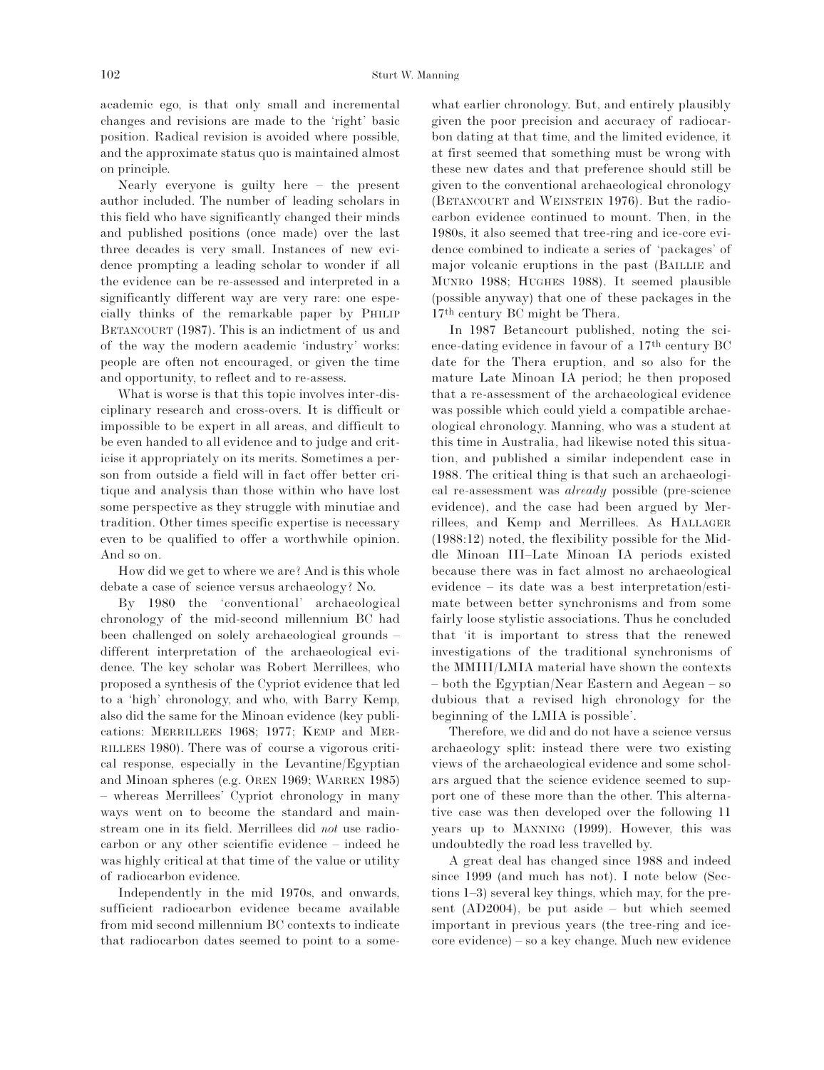academic ego, is that only small and incremental changes and revisions are made to the 'right' basic position. Radical revision is avoided where possible, and the approximate status quo is maintained almost on principle.

Nearly everyone is guilty here – the present author included. The number of leading scholars in this field who have significantly changed their minds and published positions (once made) over the last three decades is very small. Instances of new evidence prompting a leading scholar to wonder if all the evidence can be re-assessed and interpreted in a significantly different way are very rare: one especially thinks of the remarkable paper by PHILIP BETANCOURT (1987). This is an indictment of us and of the way the modern academic 'industry' works: people are often not encouraged, or given the time and opportunity, to reflect and to re-assess.

What is worse is that this topic involves inter-disciplinary research and cross-overs. It is difficult or impossible to be expert in all areas, and difficult to be even handed to all evidence and to judge and criticise it appropriately on its merits. Sometimes a person from outside a field will in fact offer better critique and analysis than those within who have lost some perspective as they struggle with minutiae and tradition. Other times specific expertise is necessary even to be qualified to offer a worthwhile opinion. And so on.

How did we get to where we are? And is this whole debate a case of science versus archaeology? No.

By 1980 the 'conventional' archaeological chronology of the mid-second millennium BC had been challenged on solely archaeological grounds – different interpretation of the archaeological evidence. The key scholar was Robert Merrillees, who proposed a synthesis of the Cypriot evidence that led to a 'high' chronology, and who, with Barry Kemp, also did the same for the Minoan evidence (key publications: MERRILLEES 1968; 1977; KEMP and MER-RILLEES 1980). There was of course a vigorous critical response, especially in the Levantine/Egyptian and Minoan spheres (e.g. OREN 1969; WARREN 1985) – whereas Merrillees' Cypriot chronology in many ways went on to become the standard and mainstream one in its field. Merrillees did *not* use radiocarbon or any other scientific evidence – indeed he was highly critical at that time of the value or utility of radiocarbon evidence.

Independently in the mid 1970s, and onwards, sufficient radiocarbon evidence became available from mid second millennium BC contexts to indicate that radiocarbon dates seemed to point to a somewhat earlier chronology. But, and entirely plausibly given the poor precision and accuracy of radiocarbon dating at that time, and the limited evidence, it at first seemed that something must be wrong with these new dates and that preference should still be given to the conventional archaeological chronology (BETANCOURT and WEINSTEIN 1976). But the radiocarbon evidence continued to mount. Then, in the 1980s, it also seemed that tree-ring and ice-core evidence combined to indicate a series of 'packages' of major volcanic eruptions in the past (BAILLIE and MUNRO 1988; HUGHES 1988). It seemed plausible (possible anyway) that one of these packages in the 17th century BC might be Thera.

In 1987 Betancourt published, noting the science-dating evidence in favour of a 17th century BC date for the Thera eruption, and so also for the mature Late Minoan IA period; he then proposed that a re-assessment of the archaeological evidence was possible which could yield a compatible archaeological chronology. Manning, who was a student at this time in Australia, had likewise noted this situation, and published a similar independent case in 1988. The critical thing is that such an archaeological re-assessment was *already* possible (pre-science evidence), and the case had been argued by Merrillees, and Kemp and Merrillees. As HALLAGER (1988:12) noted, the flexibility possible for the Middle Minoan III–Late Minoan IA periods existed because there was in fact almost no archaeological evidence – its date was a best interpretation/estimate between better synchronisms and from some fairly loose stylistic associations. Thus he concluded that 'it is important to stress that the renewed investigations of the traditional synchronisms of the MMIII/LMIA material have shown the contexts – both the Egyptian/Near Eastern and Aegean – so dubious that a revised high chronology for the beginning of the LMIA is possible'.

Therefore, we did and do not have a science versus archaeology split: instead there were two existing views of the archaeological evidence and some scholars argued that the science evidence seemed to support one of these more than the other. This alternative case was then developed over the following 11 years up to MANNING (1999). However, this was undoubtedly the road less travelled by.

A great deal has changed since 1988 and indeed since 1999 (and much has not). I note below (Sections 1–3) several key things, which may, for the present (AD2004), be put aside – but which seemed important in previous years (the tree-ring and icecore evidence) – so a key change. Much new evidence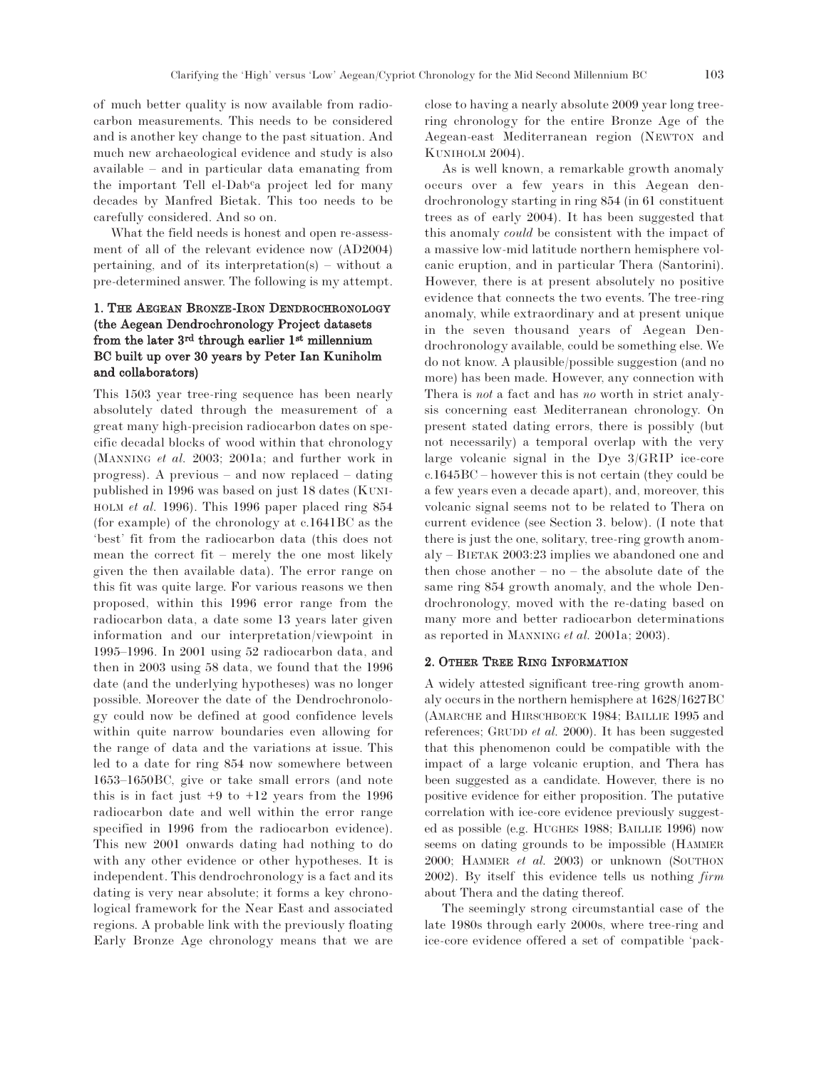of much better quality is now available from radiocarbon measurements. This needs to be considered and is another key change to the past situation. And much new archaeological evidence and study is also available – and in particular data emanating from the important Tell el-Dab<sup>c</sup>a project led for many decades by Manfred Bietak. This too needs to be carefully considered. And so on.

What the field needs is honest and open re-assessment of all of the relevant evidence now (AD2004) pertaining, and of its interpretation(s) – without a pre-determined answer. The following is my attempt.

#### 1. THE AEGEAN BRONZE-IRON DENDROCHRONOLOGY (the Aegean Dendrochronology Project datasets from the later 3rd through earlier 1st millennium BC built up over 30 years by Peter Ian Kuniholm and collaborators)

This 1503 year tree-ring sequence has been nearly absolutely dated through the measurement of a great many high-precision radiocarbon dates on specific decadal blocks of wood within that chronology (MANNING *et al.* 2003; 2001a; and further work in progress). A previous – and now replaced – dating published in 1996 was based on just 18 dates (KUNI-HOLM *et al.* 1996). This 1996 paper placed ring 854 (for example) of the chronology at c.1641BC as the 'best' fit from the radiocarbon data (this does not mean the correct fit – merely the one most likely given the then available data). The error range on this fit was quite large. For various reasons we then proposed, within this 1996 error range from the radiocarbon data, a date some 13 years later given information and our interpretation/viewpoint in 1995–1996. In 2001 using 52 radiocarbon data, and then in 2003 using 58 data, we found that the 1996 date (and the underlying hypotheses) was no longer possible. Moreover the date of the Dendrochronology could now be defined at good confidence levels within quite narrow boundaries even allowing for the range of data and the variations at issue. This led to a date for ring 854 now somewhere between 1653–1650BC, give or take small errors (and note this is in fact just  $+9$  to  $+12$  years from the 1996 radiocarbon date and well within the error range specified in 1996 from the radiocarbon evidence). This new 2001 onwards dating had nothing to do with any other evidence or other hypotheses. It is independent. This dendrochronology is a fact and its dating is very near absolute; it forms a key chronological framework for the Near East and associated regions. A probable link with the previously floating Early Bronze Age chronology means that we are

close to having a nearly absolute 2009 year long treering chronology for the entire Bronze Age of the Aegean-east Mediterranean region (NEWTON and KUNIHOLM 2004).

As is well known, a remarkable growth anomaly occurs over a few years in this Aegean dendrochronology starting in ring 854 (in 61 constituent trees as of early 2004). It has been suggested that this anomaly *could* be consistent with the impact of a massive low-mid latitude northern hemisphere volcanic eruption, and in particular Thera (Santorini). However, there is at present absolutely no positive evidence that connects the two events. The tree-ring anomaly, while extraordinary and at present unique in the seven thousand years of Aegean Dendrochronology available, could be something else. We do not know. A plausible/possible suggestion (and no more) has been made. However, any connection with Thera is *not* a fact and has *no* worth in strict analysis concerning east Mediterranean chronology. On present stated dating errors, there is possibly (but not necessarily) a temporal overlap with the very large volcanic signal in the Dye 3/GRIP ice-core c.1645BC – however this is not certain (they could be a few years even a decade apart), and, moreover, this volcanic signal seems not to be related to Thera on current evidence (see Section 3. below). (I note that there is just the one, solitary, tree-ring growth anomaly – BIETAK 2003:23 implies we abandoned one and then chose another – no – the absolute date of the same ring 854 growth anomaly, and the whole Dendrochronology, moved with the re-dating based on many more and better radiocarbon determinations as reported in MANNING *et al.* 2001a; 2003).

#### 2. OTHER TREE RING INFORMATION

A widely attested significant tree-ring growth anomaly occurs in the northern hemisphere at 1628/1627BC (AMARCHE and HIRSCHBOECK 1984; BAILLIE 1995 and references; GRUDD *et al.* 2000). It has been suggested that this phenomenon could be compatible with the impact of a large volcanic eruption, and Thera has been suggested as a candidate. However, there is no positive evidence for either proposition. The putative correlation with ice-core evidence previously suggested as possible (e.g. HUGHES 1988; BAILLIE 1996) now seems on dating grounds to be impossible (HAMMER 2000; HAMMER *et al.* 2003) or unknown (SOUTHON 2002). By itself this evidence tells us nothing *firm* about Thera and the dating thereof.

The seemingly strong circumstantial case of the late 1980s through early 2000s, where tree-ring and ice-core evidence offered a set of compatible 'pack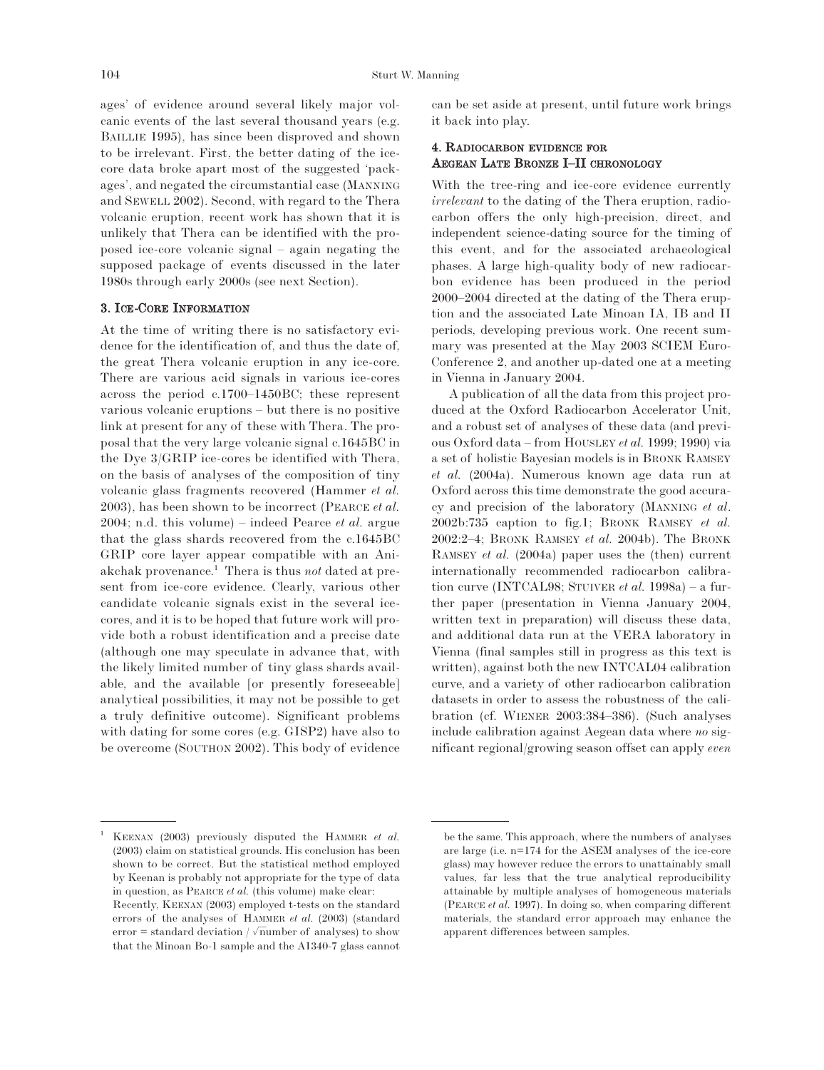ages' of evidence around several likely major volcanic events of the last several thousand years (e.g. BAILLIE 1995), has since been disproved and shown to be irrelevant. First, the better dating of the icecore data broke apart most of the suggested 'packages', and negated the circumstantial case (MANNING and SEWELL 2002). Second, with regard to the Thera volcanic eruption, recent work has shown that it is unlikely that Thera can be identified with the proposed ice-core volcanic signal – again negating the supposed package of events discussed in the later 1980s through early 2000s (see next Section).

#### 3. ICE-CORE INFORMATION

At the time of writing there is no satisfactory evidence for the identification of, and thus the date of, the great Thera volcanic eruption in any ice-core. There are various acid signals in various ice-cores across the period c.1700–1450BC; these represent various volcanic eruptions – but there is no positive link at present for any of these with Thera. The proposal that the very large volcanic signal c.1645BC in the Dye 3/GRIP ice-cores be identified with Thera, on the basis of analyses of the composition of tiny volcanic glass fragments recovered (Hammer *et al.* 2003), has been shown to be incorrect (PEARCE *et al.* 2004; n.d. this volume) – indeed Pearce *et al.* argue that the glass shards recovered from the c.1645BC GRIP core layer appear compatible with an Aniakchak provenance.1 Thera is thus *not* dated at present from ice-core evidence. Clearly, various other candidate volcanic signals exist in the several icecores, and it is to be hoped that future work will provide both a robust identification and a precise date (although one may speculate in advance that, with the likely limited number of tiny glass shards available, and the available [or presently foreseeable] analytical possibilities, it may not be possible to get a truly definitive outcome). Significant problems with dating for some cores (e.g. GISP2) have also to be overcome (SOUTHON 2002). This body of evidence can be set aside at present, until future work brings it back into play.

#### 4. RADIOCARBON EVIDENCE FOR AEGEAN LATE BRONZE I–II CHRONOLOGY

With the tree-ring and ice-core evidence currently *irrelevant* to the dating of the Thera eruption, radiocarbon offers the only high-precision, direct, and independent science-dating source for the timing of this event, and for the associated archaeological phases. A large high-quality body of new radiocarbon evidence has been produced in the period 2000–2004 directed at the dating of the Thera eruption and the associated Late Minoan IA, IB and II periods, developing previous work. One recent summary was presented at the May 2003 SCIEM Euro-Conference 2, and another up-dated one at a meeting in Vienna in January 2004.

A publication of all the data from this project produced at the Oxford Radiocarbon Accelerator Unit, and a robust set of analyses of these data (and previous Oxford data – from HOUSLEY *et al.* 1999; 1990) via a set of holistic Bayesian models is in BRONK RAMSEY *et al.* (2004a). Numerous known age data run at Oxford across this time demonstrate the good accuracy and precision of the laboratory (MANNING *et al*. 2002b:735 caption to fig.1; BRONK RAMSEY *et al.* 2002:2–4; BRONK RAMSEY *et al.* 2004b). The BRONK RAMSEY *et al.* (2004a) paper uses the (then) current internationally recommended radiocarbon calibration curve (INTCAL98; STUIVER *et al.* 1998a) – a further paper (presentation in Vienna January 2004, written text in preparation) will discuss these data, and additional data run at the VERA laboratory in Vienna (final samples still in progress as this text is written), against both the new INTCAL04 calibration curve, and a variety of other radiocarbon calibration datasets in order to assess the robustness of the calibration (cf. WIENER 2003:384–386). (Such analyses include calibration against Aegean data where *no* significant regional/growing season offset can apply *even*

<sup>1</sup> KEENAN (2003) previously disputed the HAMMER *et al.* (2003) claim on statistical grounds. His conclusion has been shown to be correct. But the statistical method employed by Keenan is probably not appropriate for the type of data in question, as PEARCE *et al.* (this volume) make clear:

Recently, KEENAN (2003) employed t-tests on the standard errors of the analyses of HAMMER *et al.* (2003) (standard errors of the analyses of HAMMER et al. (2005) (standard deviation /  $\sqrt{\text{n}}$ umber of analyses) to show that the Minoan Bo-1 sample and the A1340-7 glass cannot

be the same. This approach, where the numbers of analyses are large (i.e. n=174 for the ASEM analyses of the ice-core glass) may however reduce the errors to unattainably small values, far less that the true analytical reproducibility attainable by multiple analyses of homogeneous materials (PEARCE *et al.* 1997). In doing so, when comparing different materials, the standard error approach may enhance the apparent differences between samples.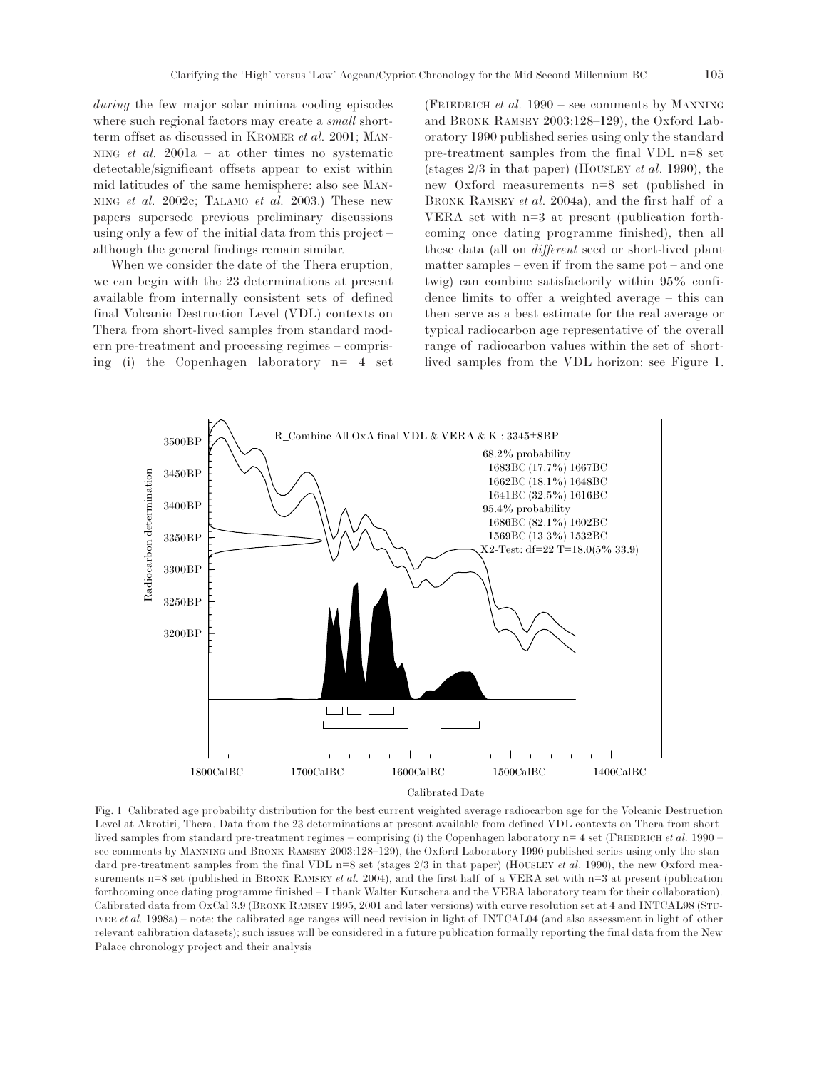*during* the few major solar minima cooling episodes where such regional factors may create a *small* shortterm offset as discussed in KROMER *et al.* 2001; MAN-NING *et al.* 2001a – at other times no systematic detectable/significant offsets appear to exist within mid latitudes of the same hemisphere: also see MAN-NING *et al.* 2002c; TALAMO *et al.* 2003.) These new papers supersede previous preliminary discussions using only a few of the initial data from this project –

although the general findings remain similar. When we consider the date of the Thera eruption, we can begin with the 23 determinations at present available from internally consistent sets of defined final Volcanic Destruction Level (VDL) contexts on Thera from short-lived samples from standard modern pre-treatment and processing regimes – comprising (i) the Copenhagen laboratory n= 4 set (FRIEDRICH *et al.* 1990 – see comments by MANNING and BRONK RAMSEY 2003:128–129), the Oxford Laboratory 1990 published series using only the standard pre-treatment samples from the final VDL n=8 set (stages 2/3 in that paper) (HOUSLEY *et al*. 1990), the new Oxford measurements n=8 set (published in BRONK RAMSEY *et al.* 2004a), and the first half of a VERA set with n=3 at present (publication forthcoming once dating programme finished), then all these data (all on *different* seed or short-lived plant matter samples – even if from the same pot – and one twig) can combine satisfactorily within 95% confidence limits to offer a weighted average – this can then serve as a best estimate for the real average or typical radiocarbon age representative of the overall range of radiocarbon values within the set of shortlived samples from the VDL horizon: see Figure 1.



Calibrated Date

Fig. 1 Calibrated age probability distribution for the best current weighted average radiocarbon age for the Volcanic Destruction Level at Akrotiri, Thera. Data from the 23 determinations at present available from defined VDL contexts on Thera from shortlived samples from standard pre-treatment regimes – comprising (i) the Copenhagen laboratory n= 4 set (FRIEDRICH *et al.* 1990 – see comments by MANNING and BRONK RAMSEY 2003:128–129), the Oxford Laboratory 1990 published series using only the standard pre-treatment samples from the final VDL n=8 set (stages 2/3 in that paper) (HOUSLEY *et al*. 1990), the new Oxford measurements n=8 set (published in BRONK RAMSEY *et al.* 2004), and the first half of a VERA set with n=3 at present (publication forthcoming once dating programme finished – I thank Walter Kutschera and the VERA laboratory team for their collaboration). Calibrated data from OxCal 3.9 (BRONK RAMSEY 1995, 2001 and later versions) with curve resolution set at 4 and INTCAL98 (STU-IVER *et al.* 1998a) – note: the calibrated age ranges will need revision in light of INTCAL04 (and also assessment in light of other relevant calibration datasets); such issues will be considered in a future publication formally reporting the final data from the New Palace chronology project and their analysis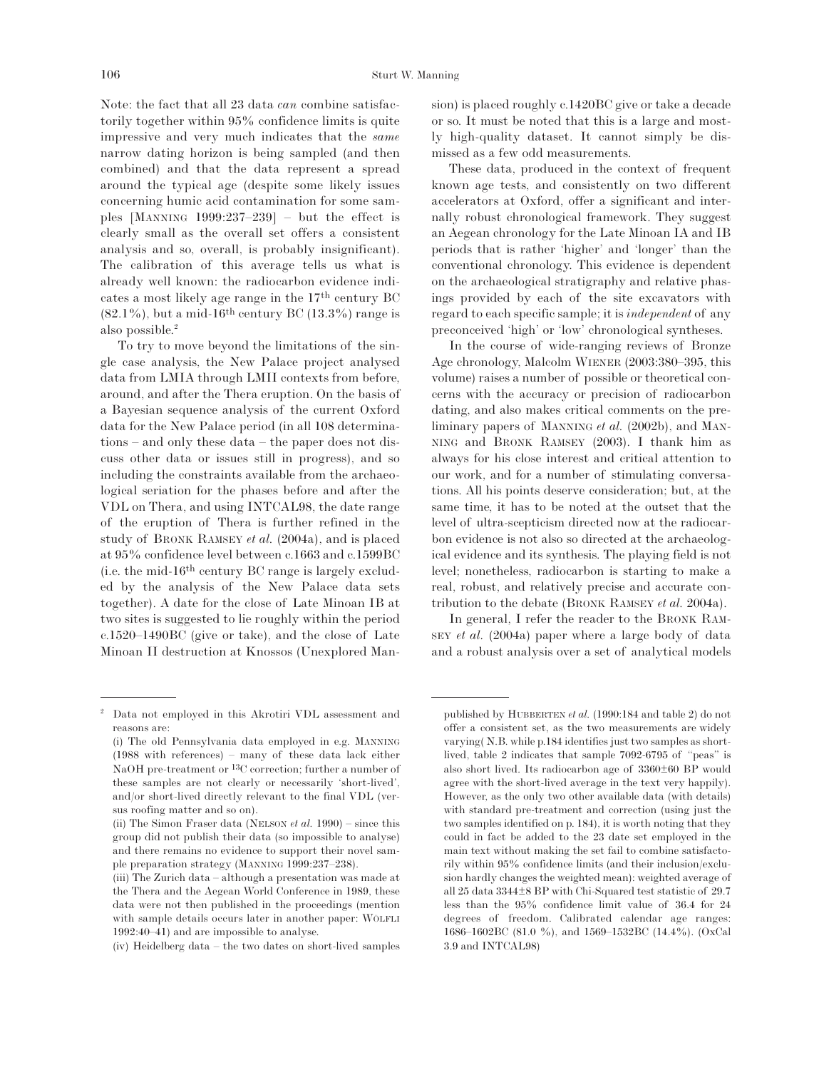Note: the fact that all 23 data *can* combine satisfactorily together within 95% confidence limits is quite impressive and very much indicates that the *same* narrow dating horizon is being sampled (and then combined) and that the data represent a spread around the typical age (despite some likely issues concerning humic acid contamination for some samples [MANNING 1999:237–239] – but the effect is clearly small as the overall set offers a consistent analysis and so, overall, is probably insignificant). The calibration of this average tells us what is already well known: the radiocarbon evidence indicates a most likely age range in the 17th century BC  $(82.1\%)$ , but a mid-16<sup>th</sup> century BC  $(13.3\%)$  range is also possible.2

To try to move beyond the limitations of the single case analysis, the New Palace project analysed data from LMIA through LMII contexts from before, around, and after the Thera eruption. On the basis of a Bayesian sequence analysis of the current Oxford data for the New Palace period (in all 108 determinations – and only these data – the paper does not discuss other data or issues still in progress), and so including the constraints available from the archaeological seriation for the phases before and after the VDL on Thera, and using INTCAL98, the date range of the eruption of Thera is further refined in the study of BRONK RAMSEY *et al.* (2004a), and is placed at 95% confidence level between c.1663 and c.1599BC (i.e. the mid-16th century BC range is largely excluded by the analysis of the New Palace data sets together). A date for the close of Late Minoan IB at two sites is suggested to lie roughly within the period c.1520–1490BC (give or take), and the close of Late Minoan II destruction at Knossos (Unexplored Mansion) is placed roughly c.1420BC give or take a decade or so. It must be noted that this is a large and mostly high-quality dataset. It cannot simply be dismissed as a few odd measurements.

These data, produced in the context of frequent known age tests, and consistently on two different accelerators at Oxford, offer a significant and internally robust chronological framework. They suggest an Aegean chronology for the Late Minoan IA and IB periods that is rather 'higher' and 'longer' than the conventional chronology. This evidence is dependent on the archaeological stratigraphy and relative phasings provided by each of the site excavators with regard to each specific sample; it is *independent* of any preconceived 'high' or 'low' chronological syntheses.

In the course of wide-ranging reviews of Bronze Age chronology, Malcolm WIENER (2003:380–395, this volume) raises a number of possible or theoretical concerns with the accuracy or precision of radiocarbon dating, and also makes critical comments on the preliminary papers of MANNING *et al.* (2002b), and MAN-NING and BRONK RAMSEY (2003). I thank him as always for his close interest and critical attention to our work, and for a number of stimulating conversations. All his points deserve consideration; but, at the same time, it has to be noted at the outset that the level of ultra-scepticism directed now at the radiocarbon evidence is not also so directed at the archaeological evidence and its synthesis. The playing field is not level; nonetheless, radiocarbon is starting to make a real, robust, and relatively precise and accurate contribution to the debate (BRONK RAMSEY *et al.* 2004a).

In general, I refer the reader to the BRONK RAM-SEY *et al.* (2004a) paper where a large body of data and a robust analysis over a set of analytical models

<sup>2</sup> Data not employed in this Akrotiri VDL assessment and reasons are:

<sup>(</sup>i) The old Pennsylvania data employed in e.g. MANNING (1988 with references) – many of these data lack either NaOH pre-treatment or 13C correction; further a number of these samples are not clearly or necessarily 'short-lived', and/or short-lived directly relevant to the final VDL (versus roofing matter and so on).

<sup>(</sup>ii) The Simon Fraser data (NELSON *et al.* 1990) – since this group did not publish their data (so impossible to analyse) and there remains no evidence to support their novel sample preparation strategy (MANNING 1999:237–238).

<sup>(</sup>iii) The Zurich data – although a presentation was made at the Thera and the Aegean World Conference in 1989, these data were not then published in the proceedings (mention with sample details occurs later in another paper: WÖLFLI 1992:40–41) and are impossible to analyse.

<sup>(</sup>iv) Heidelberg data – the two dates on short-lived samples

published by HUBBERTEN *et al.* (1990:184 and table 2) do not offer a consistent set, as the two measurements are widely varying( N.B. while p.184 identifies just two samples as shortlived, table 2 indicates that sample 7092-6795 of "peas" is also short lived. Its radiocarbon age of 3360±60 BP would agree with the short-lived average in the text very happily). However, as the only two other available data (with details) with standard pre-treatment and correction (using just the two samples identified on p. 184), it is worth noting that they could in fact be added to the 23 date set employed in the main text without making the set fail to combine satisfactorily within 95% confidence limits (and their inclusion/exclusion hardly changes the weighted mean): weighted average of all 25 data 3344±8 BP with Chi-Squared test statistic of 29.7 less than the 95% confidence limit value of 36.4 for 24 degrees of freedom. Calibrated calendar age ranges: 1686–1602BC (81.0 %), and 1569–1532BC (14.4%). (OxCal 3.9 and INTCAL98)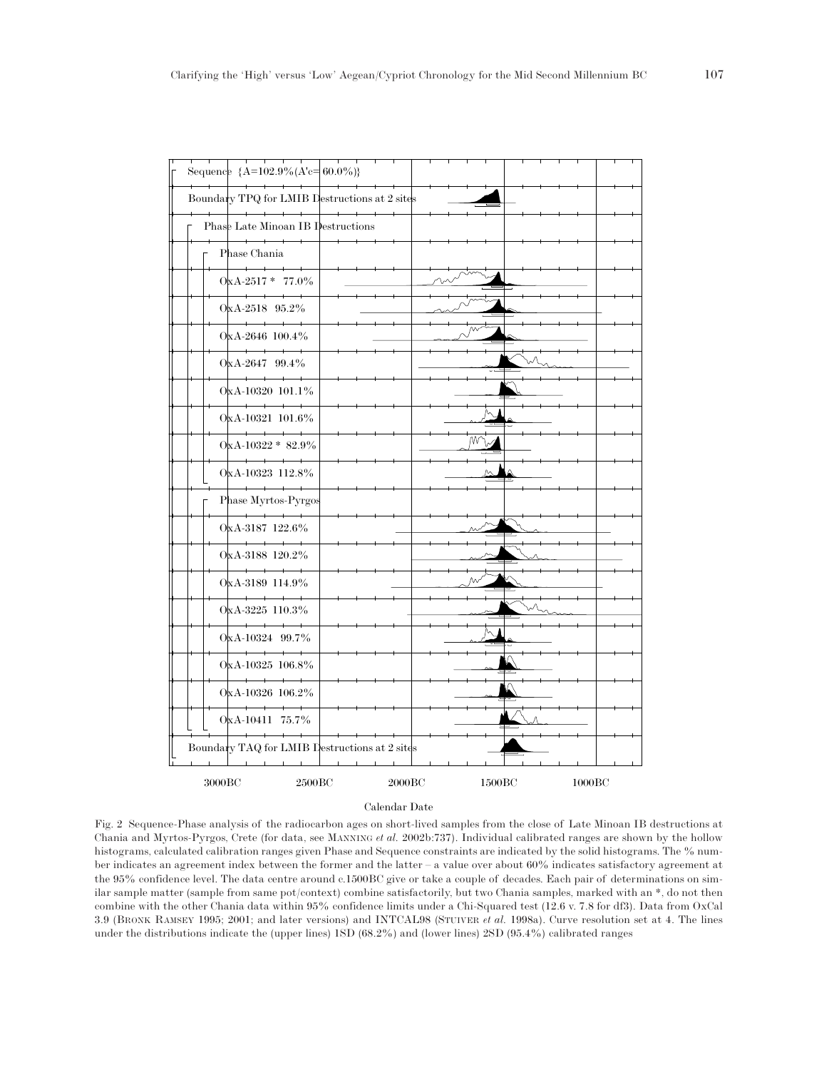| Sequence ${A=102.9\%}$ ${A'c=60.0\%}$         |        |        |
|-----------------------------------------------|--------|--------|
| Boundary TPQ for LMIB Destructions at 2 sites |        |        |
| Phase Late Minoan IB Destructions             |        |        |
| Phase Chania<br>$\overline{\phantom{0}}$      |        |        |
| $0xA-2517 * 77.0\%$                           |        |        |
| $0xA-2518$ 95.2%                              |        |        |
| $OxA-2646$ 100.4%                             |        |        |
| $+$<br>$OxA-2647$ 99.4%                       |        |        |
| $OxA-10320$ 101.1%                            |        |        |
| $+$ $ +$ $ +$<br>OxA-10321 101.6%             |        |        |
| $0xA-10322 * 82.9%$                           | ŅΜ     |        |
| OxA-10323 112.8%                              |        |        |
| $\overline{a}$<br>Phase Myrtos-Pyrgos         |        |        |
| OxA-3187 122.6%                               |        |        |
| OxA-3188 120.2%                               |        |        |
| $\overline{1}$<br>OxA-3189 114.9%             | Лл     |        |
| $+$ $ +$<br>OxA-3225 110.3%                   |        |        |
| $+$ $+$ $+$ $+$ $+$ $+$<br>OxA-10324 99.7%    |        |        |
| OxA-10325 106.8%                              |        |        |
| $OxA-10326$ 106.2%                            |        |        |
| OxA-10411 75.7%                               |        |        |
| Boundary TAQ for LMIB Destructions at 2 sites |        |        |
| 3000BC<br>2500BC<br>2000BC                    | 1500BC | 1000BC |

Calendar Date

Fig. 2 Sequence-Phase analysis of the radiocarbon ages on short-lived samples from the close of Late Minoan IB destructions at Chania and Myrtos-Pyrgos, Crete (for data, see MANNING *et al.* 2002b:737). Individual calibrated ranges are shown by the hollow histograms, calculated calibration ranges given Phase and Sequence constraints are indicated by the solid histograms. The % number indicates an agreement index between the former and the latter – a value over about 60% indicates satisfactory agreement at the 95% confidence level. The data centre around c.1500BC give or take a couple of decades. Each pair of determinations on similar sample matter (sample from same pot/context) combine satisfactorily, but two Chania samples, marked with an \*, do not then combine with the other Chania data within 95% confidence limits under a Chi-Squared test (12.6 v. 7.8 for df3). Data from OxCal 3.9 (BRONK RAMSEY 1995; 2001; and later versions) and INTCAL98 (STUIVER *et al.* 1998a). Curve resolution set at 4. The lines under the distributions indicate the (upper lines) 1SD (68.2%) and (lower lines) 2SD (95.4%) calibrated ranges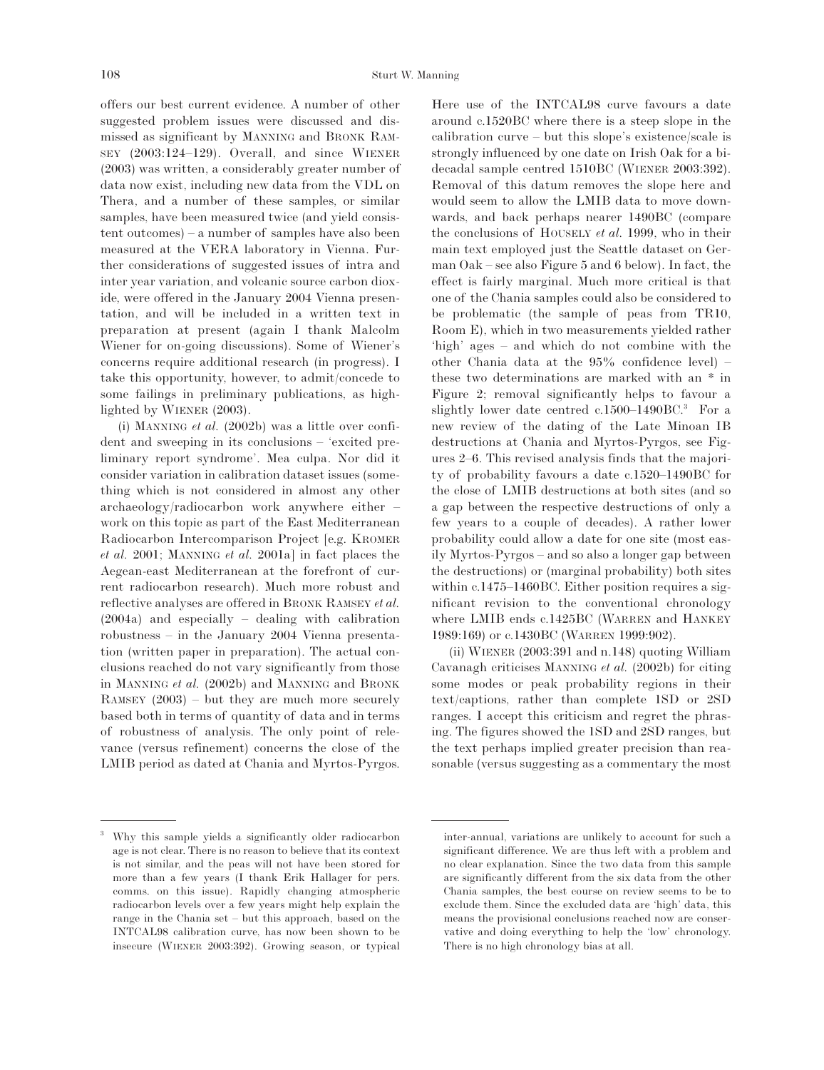offers our best current evidence. A number of other suggested problem issues were discussed and dismissed as significant by MANNING and BRONK RAM-SEY (2003:124–129). Overall, and since WIENER (2003) was written, a considerably greater number of data now exist, including new data from the VDL on Thera, and a number of these samples, or similar samples, have been measured twice (and yield consistent outcomes) – a number of samples have also been measured at the VERA laboratory in Vienna. Further considerations of suggested issues of intra and inter year variation, and volcanic source carbon dioxide, were offered in the January 2004 Vienna presentation, and will be included in a written text in preparation at present (again I thank Malcolm Wiener for on-going discussions). Some of Wiener's concerns require additional research (in progress). I take this opportunity, however, to admit/concede to some failings in preliminary publications, as highlighted by WIENER (2003).

(i) MANNING *et al.* (2002b) was a little over confident and sweeping in its conclusions – 'excited preliminary report syndrome'. Mea culpa. Nor did it consider variation in calibration dataset issues (something which is not considered in almost any other archaeology/radiocarbon work anywhere either – work on this topic as part of the East Mediterranean Radiocarbon Intercomparison Project [e.g. KROMER *et al.* 2001; MANNING *et al.* 2001a] in fact places the Aegean-east Mediterranean at the forefront of current radiocarbon research). Much more robust and reflective analyses are offered in BRONK RAMSEY *et al.* (2004a) and especially – dealing with calibration robustness – in the January 2004 Vienna presentation (written paper in preparation). The actual conclusions reached do not vary significantly from those in MANNING *et al.* (2002b) and MANNING and BRONK RAMSEY  $(2003)$  – but they are much more securely based both in terms of quantity of data and in terms of robustness of analysis. The only point of relevance (versus refinement) concerns the close of the LMIB period as dated at Chania and Myrtos-Pyrgos. Here use of the INTCAL98 curve favours a date around c.1520BC where there is a steep slope in the calibration curve – but this slope's existence/scale is strongly influenced by one date on Irish Oak for a bidecadal sample centred 1510BC (WIENER 2003:392). Removal of this datum removes the slope here and would seem to allow the LMIB data to move downwards, and back perhaps nearer 1490BC (compare the conclusions of HOUSELY *et al.* 1999, who in their main text employed just the Seattle dataset on German Oak – see also Figure 5 and 6 below). In fact, the effect is fairly marginal. Much more critical is that one of the Chania samples could also be considered to be problematic (the sample of peas from TR10, Room E), which in two measurements yielded rather 'high' ages – and which do not combine with the other Chania data at the 95% confidence level) – these two determinations are marked with an \* in Figure 2; removal significantly helps to favour a slightly lower date centred c.1500–1490BC.<sup>3</sup> For a new review of the dating of the Late Minoan IB destructions at Chania and Myrtos-Pyrgos, see Figures 2–6. This revised analysis finds that the majority of probability favours a date c.1520–1490BC for the close of LMIB destructions at both sites (and so a gap between the respective destructions of only a few years to a couple of decades). A rather lower probability could allow a date for one site (most easily Myrtos-Pyrgos – and so also a longer gap between the destructions) or (marginal probability) both sites within c.1475–1460BC. Either position requires a significant revision to the conventional chronology where LMIB ends c.1425BC (WARREN and HANKEY 1989:169) or c.1430BC (WARREN 1999:902).

(ii) WIENER (2003:391 and n.148) quoting William Cavanagh criticises MANNING *et al.* (2002b) for citing some modes or peak probability regions in their text/captions, rather than complete 1SD or 2SD ranges. I accept this criticism and regret the phrasing. The figures showed the 1SD and 2SD ranges, but the text perhaps implied greater precision than reasonable (versus suggesting as a commentary the most

<sup>3</sup> Why this sample yields a significantly older radiocarbon age is not clear. There is no reason to believe that its context is not similar, and the peas will not have been stored for more than a few years (I thank Erik Hallager for pers. comms. on this issue). Rapidly changing atmospheric radiocarbon levels over a few years might help explain the range in the Chania set – but this approach, based on the INTCAL98 calibration curve, has now been shown to be insecure (WIENER 2003:392). Growing season, or typical

inter-annual, variations are unlikely to account for such a significant difference. We are thus left with a problem and no clear explanation. Since the two data from this sample are significantly different from the six data from the other Chania samples, the best course on review seems to be to exclude them. Since the excluded data are 'high' data, this means the provisional conclusions reached now are conservative and doing everything to help the 'low' chronology. There is no high chronology bias at all.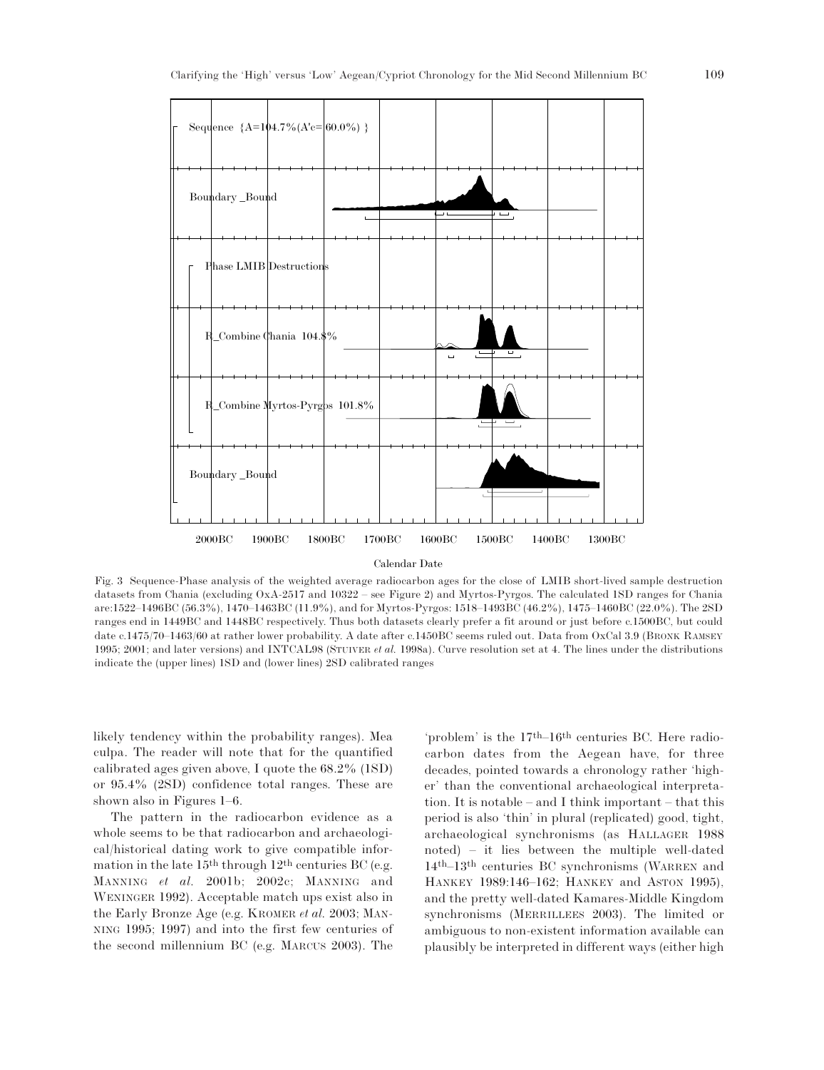

Fig. 3 Sequence-Phase analysis of the weighted average radiocarbon ages for the close of LMIB short-lived sample destruction datasets from Chania (excluding OxA-2517 and 10322 – see Figure 2) and Myrtos-Pyrgos. The calculated 1SD ranges for Chania are:1522–1496BC (56.3%), 1470–1463BC (11.9%), and for Myrtos-Pyrgos: 1518–1493BC (46.2%), 1475–1460BC (22.0%). The 2SD ranges end in 1449BC and 1448BC respectively. Thus both datasets clearly prefer a fit around or just before c.1500BC, but could date c.1475/70–1463/60 at rather lower probability. A date after c.1450BC seems ruled out. Data from OxCal 3.9 (BRONK RAMSEY 1995; 2001; and later versions) and INTCAL98 (STUIVER *et al.* 1998a). Curve resolution set at 4. The lines under the distributions indicate the (upper lines) 1SD and (lower lines) 2SD calibrated ranges

likely tendency within the probability ranges). Mea culpa. The reader will note that for the quantified calibrated ages given above, I quote the 68.2% (1SD) or 95.4% (2SD) confidence total ranges. These are shown also in Figures 1–6.

The pattern in the radiocarbon evidence as a whole seems to be that radiocarbon and archaeological/historical dating work to give compatible information in the late  $15<sup>th</sup>$  through  $12<sup>th</sup>$  centuries BC (e.g. MANNING *et al.* 2001b; 2002c; MANNING and WENINGER 1992). Acceptable match ups exist also in the Early Bronze Age (e.g. KROMER *et al.* 2003; MAN-NING 1995; 1997) and into the first few centuries of the second millennium BC (e.g. MARCUS 2003). The

'problem' is the 17th–16th centuries BC. Here radiocarbon dates from the Aegean have, for three decades, pointed towards a chronology rather 'higher' than the conventional archaeological interpretation. It is notable – and I think important – that this period is also 'thin' in plural (replicated) good, tight, archaeological synchronisms (as HALLAGER 1988 noted) – it lies between the multiple well-dated 14th–13th centuries BC synchronisms (WARREN and HANKEY 1989:146–162; HANKEY and ASTON 1995), and the pretty well-dated Kamares-Middle Kingdom synchronisms (MERRILLEES 2003). The limited or ambiguous to non-existent information available can plausibly be interpreted in different ways (either high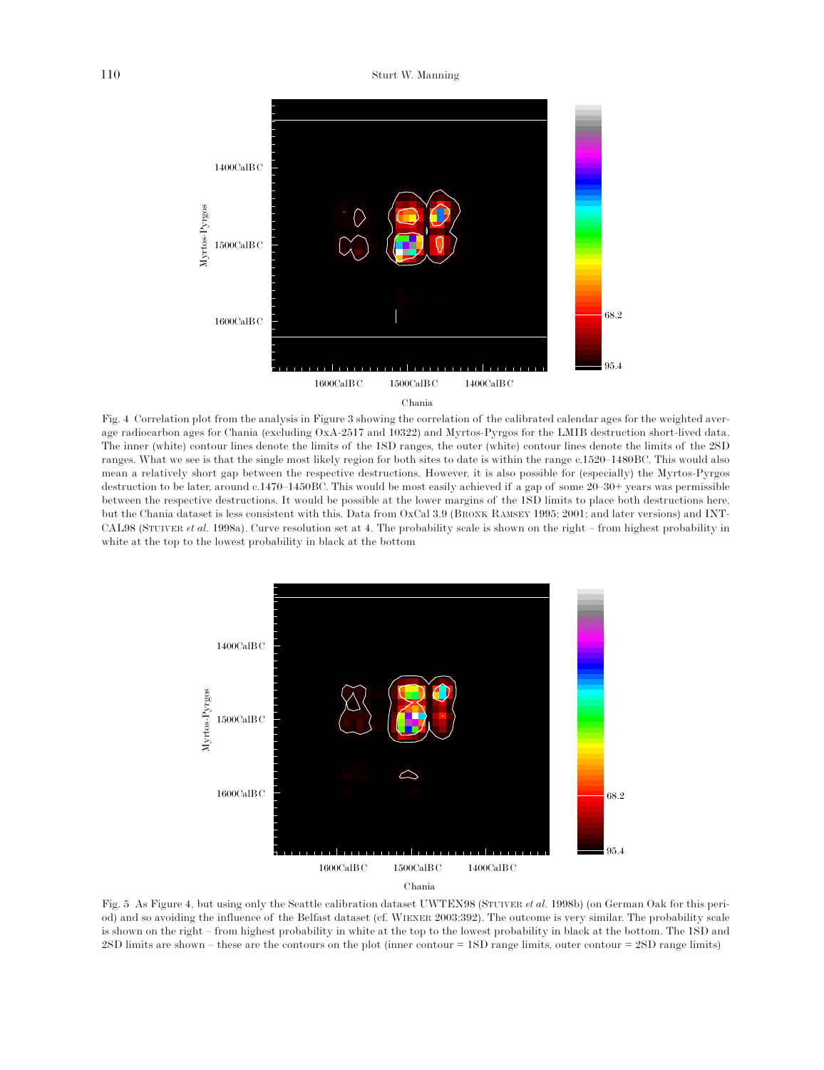

Fig. 4 Correlation plot from the analysis in Figure 3 showing the correlation of the calibrated calendar ages for the weighted average radiocarbon ages for Chania (excluding OxA-2517 and 10322) and Myrtos-Pyrgos for the LMIB destruction short-lived data. The inner (white) contour lines denote the limits of the 1SD ranges, the outer (white) contour lines denote the limits of the 2SD ranges. What we see is that the single most likely region for both sites to date is within the range c.1520–1480BC. This would also mean a relatively short gap between the respective destructions. However, it is also possible for (especially) the Myrtos-Pyrgos destruction to be later, around c.1470–1450BC. This would be most easily achieved if a gap of some 20–30+ years was permissible between the respective destructions. It would be possible at the lower margins of the 1SD limits to place both destructions here, but the Chania dataset is less consistent with this. Data from OxCal 3.9 (BRONK RAMSEY 1995; 2001; and later versions) and INT-CAL98 (STUIVER *et al.* 1998a). Curve resolution set at 4. The probability scale is shown on the right – from highest probability in white at the top to the lowest probability in black at the bottom



Fig. 5 As Figure 4, but using only the Seattle calibration dataset UWTEN98 (STUIVER *et al*. 1998b) (on German Oak for this period) and so avoiding the influence of the Belfast dataset (cf. WIENER 2003:392). The outcome is very similar. The probability scale is shown on the right – from highest probability in white at the top to the lowest probability in black at the bottom. The 1SD and 2SD limits are shown – these are the contours on the plot (inner contour = 1SD range limits, outer contour = 2SD range limits)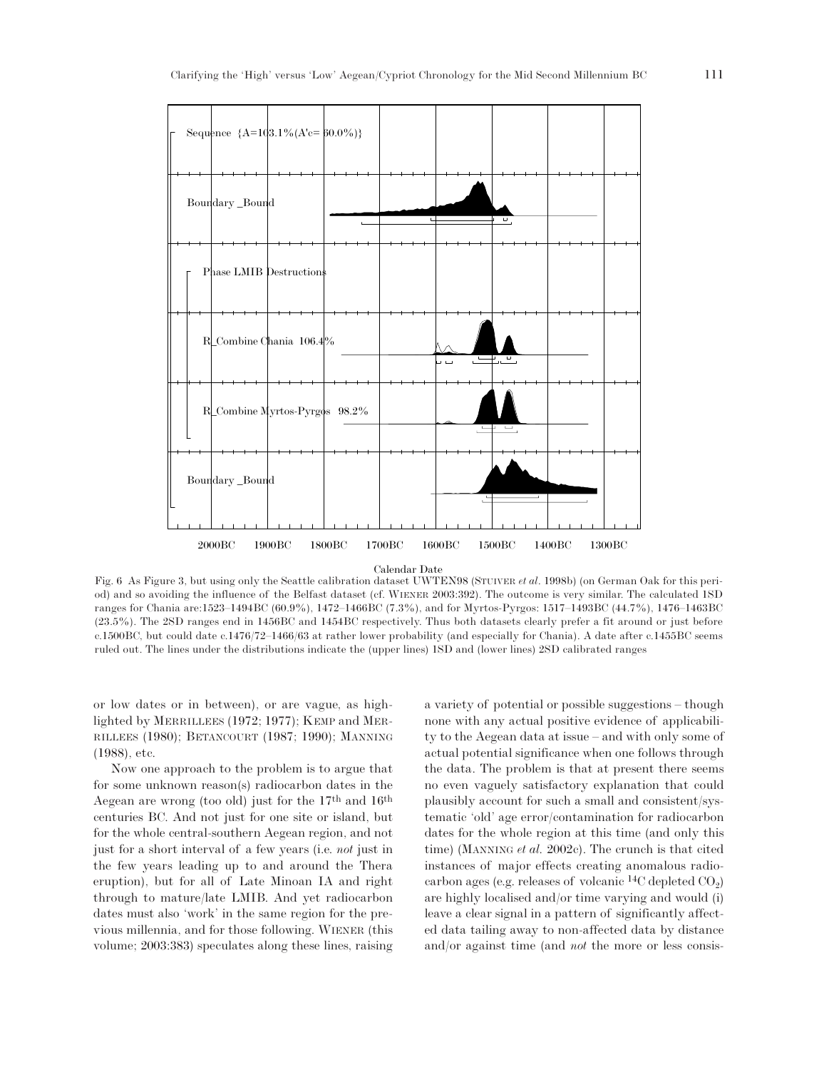

Calendar Date

Fig. 6 As Figure 3, but using only the Seattle calibration dataset UWTEN98 (STUIVER *et al*. 1998b) (on German Oak for this period) and so avoiding the influence of the Belfast dataset (cf. WIENER 2003:392). The outcome is very similar. The calculated 1SD ranges for Chania are:1523–1494BC (60.9%), 1472–1466BC (7.3%), and for Myrtos-Pyrgos: 1517–1493BC (44.7%), 1476–1463BC (23.5%). The 2SD ranges end in 1456BC and 1454BC respectively. Thus both datasets clearly prefer a fit around or just before c.1500BC, but could date c.1476/72–1466/63 at rather lower probability (and especially for Chania). A date after c.1455BC seems ruled out. The lines under the distributions indicate the (upper lines) 1SD and (lower lines) 2SD calibrated ranges

or low dates or in between), or are vague, as highlighted by MERRILLEES (1972; 1977); KEMP and MER-RILLEES (1980); BETANCOURT (1987; 1990); MANNING (1988), etc.

Now one approach to the problem is to argue that for some unknown reason(s) radiocarbon dates in the Aegean are wrong (too old) just for the 17th and 16th centuries BC. And not just for one site or island, but for the whole central-southern Aegean region, and not just for a short interval of a few years (i.e. *not* just in the few years leading up to and around the Thera eruption), but for all of Late Minoan IA and right through to mature/late LMIB. And yet radiocarbon dates must also 'work' in the same region for the previous millennia, and for those following. WIENER (this volume; 2003:383) speculates along these lines, raising

a variety of potential or possible suggestions – though none with any actual positive evidence of applicability to the Aegean data at issue – and with only some of actual potential significance when one follows through the data. The problem is that at present there seems no even vaguely satisfactory explanation that could plausibly account for such a small and consistent/systematic 'old' age error/contamination for radiocarbon dates for the whole region at this time (and only this time) (MANNING *et al.* 2002c). The crunch is that cited instances of major effects creating anomalous radiocarbon ages (e.g. releases of volcanic <sup>14</sup>C depleted  $CO<sub>2</sub>$ ) are highly localised and/or time varying and would (i) leave a clear signal in a pattern of significantly affected data tailing away to non-affected data by distance and/or against time (and *not* the more or less consis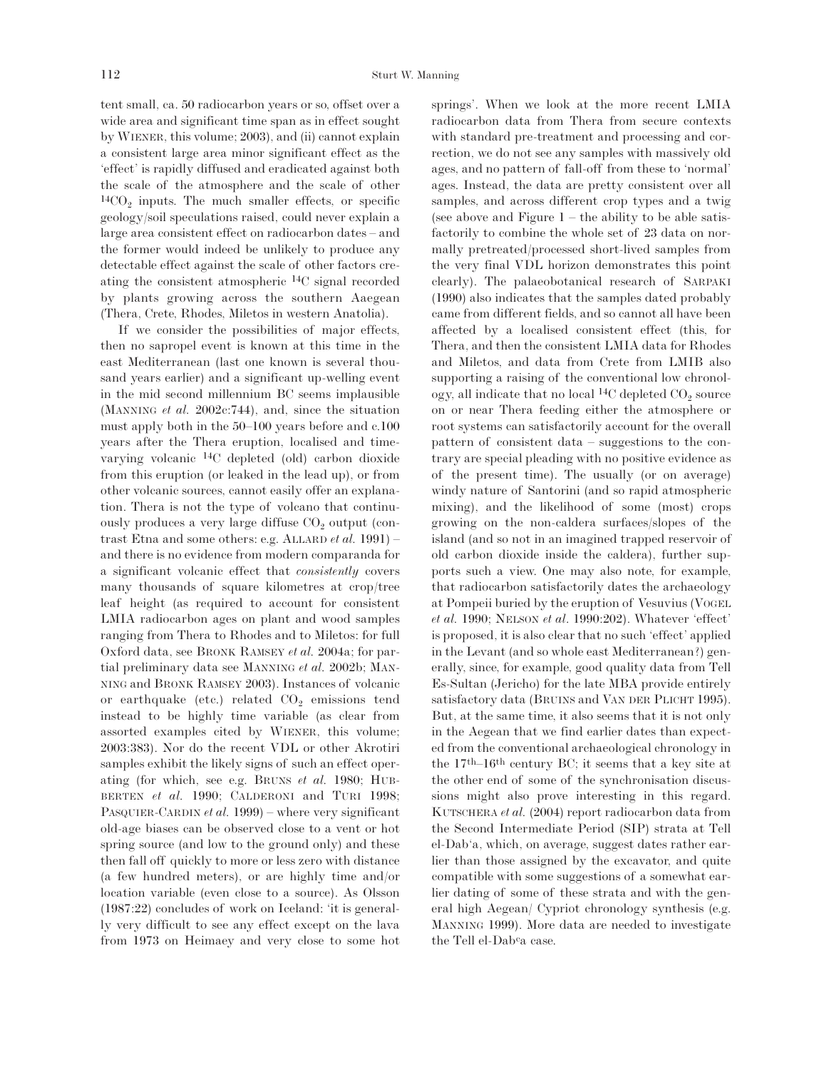tent small, ca. 50 radiocarbon years or so, offset over a wide area and significant time span as in effect sought by WIENER, this volume; 2003), and (ii) cannot explain a consistent large area minor significant effect as the 'effect' is rapidly diffused and eradicated against both the scale of the atmosphere and the scale of other  ${}^{14}CO_2$  inputs. The much smaller effects, or specific geology/soil speculations raised, could never explain a large area consistent effect on radiocarbon dates – and the former would indeed be unlikely to produce any detectable effect against the scale of other factors creating the consistent atmospheric 14C signal recorded by plants growing across the southern Aaegean (Thera, Crete, Rhodes, Miletos in western Anatolia).

If we consider the possibilities of major effects, then no sapropel event is known at this time in the east Mediterranean (last one known is several thousand years earlier) and a significant up-welling event in the mid second millennium BC seems implausible (MANNING *et al.* 2002c:744), and, since the situation must apply both in the 50–100 years before and c.100 years after the Thera eruption, localised and timevarying volcanic 14C depleted (old) carbon dioxide from this eruption (or leaked in the lead up), or from other volcanic sources, cannot easily offer an explanation. Thera is not the type of volcano that continuously produces a very large diffuse  $CO<sub>2</sub>$  output (contrast Etna and some others: e.g. ALLARD *et al.* 1991) – and there is no evidence from modern comparanda for a significant volcanic effect that *consistently* covers many thousands of square kilometres at crop/tree leaf height (as required to account for consistent LMIA radiocarbon ages on plant and wood samples ranging from Thera to Rhodes and to Miletos: for full Oxford data, see BRONK RAMSEY *et al.* 2004a; for partial preliminary data see MANNING *et al.* 2002b; MAN-NING and BRONK RAMSEY 2003). Instances of volcanic or earthquake (etc.) related  $CO<sub>2</sub>$  emissions tend instead to be highly time variable (as clear from assorted examples cited by WIENER, this volume; 2003:383). Nor do the recent VDL or other Akrotiri samples exhibit the likely signs of such an effect operating (for which, see e.g. BRUNS *et al.* 1980; HUB-BERTEN *et al.* 1990; CALDERONI and TURI 1998; PASQUIER-CARDIN *et al.* 1999) – where very significant old-age biases can be observed close to a vent or hot spring source (and low to the ground only) and these then fall off quickly to more or less zero with distance (a few hundred meters), or are highly time and/or location variable (even close to a source). As Olsson (1987:22) concludes of work on Iceland: 'it is generally very difficult to see any effect except on the lava from 1973 on Heimaey and very close to some hot springs'. When we look at the more recent LMIA radiocarbon data from Thera from secure contexts with standard pre-treatment and processing and correction, we do not see any samples with massively old ages, and no pattern of fall-off from these to 'normal' ages. Instead, the data are pretty consistent over all samples, and across different crop types and a twig (see above and Figure  $1$  – the ability to be able satisfactorily to combine the whole set of 23 data on normally pretreated/processed short-lived samples from the very final VDL horizon demonstrates this point clearly). The palaeobotanical research of SARPAKI (1990) also indicates that the samples dated probably came from different fields, and so cannot all have been affected by a localised consistent effect (this, for Thera, and then the consistent LMIA data for Rhodes and Miletos, and data from Crete from LMIB also supporting a raising of the conventional low chronology, all indicate that no local  ${}^{14}$ C depleted CO<sub>2</sub> source on or near Thera feeding either the atmosphere or root systems can satisfactorily account for the overall pattern of consistent data – suggestions to the contrary are special pleading with no positive evidence as of the present time). The usually (or on average) windy nature of Santorini (and so rapid atmospheric mixing), and the likelihood of some (most) crops growing on the non-caldera surfaces/slopes of the island (and so not in an imagined trapped reservoir of old carbon dioxide inside the caldera), further supports such a view. One may also note, for example, that radiocarbon satisfactorily dates the archaeology at Pompeii buried by the eruption of Vesuvius (VOGEL *et al.* 1990; NELSON *et al*. 1990:202). Whatever 'effect' is proposed, it is also clear that no such 'effect' applied in the Levant (and so whole east Mediterranean?) generally, since, for example, good quality data from Tell Es-Sultan (Jericho) for the late MBA provide entirely satisfactory data (BRUINS and VAN DER PLICHT 1995). But, at the same time, it also seems that it is not only in the Aegean that we find earlier dates than expected from the conventional archaeological chronology in the 17th–16th century BC; it seems that a key site at the other end of some of the synchronisation discussions might also prove interesting in this regard. KUTSCHERA *et al.* (2004) report radiocarbon data from the Second Intermediate Period (SIP) strata at Tell el-Dab'a, which, on average, suggest dates rather earlier than those assigned by the excavator, and quite compatible with some suggestions of a somewhat earlier dating of some of these strata and with the general high Aegean/ Cypriot chronology synthesis (e.g. MANNING 1999). More data are needed to investigate the Tell el-Dab<sup>c</sup>a case.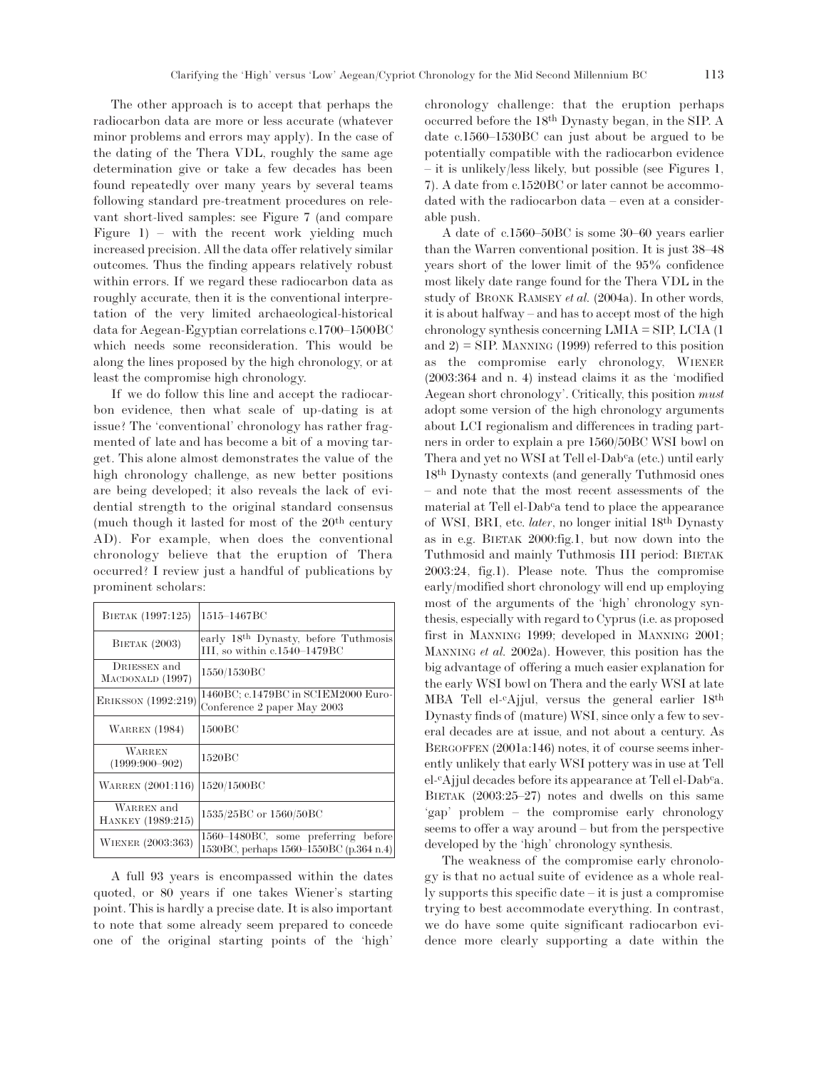The other approach is to accept that perhaps the radiocarbon data are more or less accurate (whatever minor problems and errors may apply). In the case of the dating of the Thera VDL, roughly the same age determination give or take a few decades has been found repeatedly over many years by several teams following standard pre-treatment procedures on relevant short-lived samples: see Figure 7 (and compare Figure 1) – with the recent work yielding much increased precision. All the data offer relatively similar outcomes. Thus the finding appears relatively robust within errors. If we regard these radiocarbon data as roughly accurate, then it is the conventional interpretation of the very limited archaeological-historical data for Aegean-Egyptian correlations c.1700–1500BC which needs some reconsideration. This would be along the lines proposed by the high chronology, or at least the compromise high chronology.

If we do follow this line and accept the radiocarbon evidence, then what scale of up-dating is at issue? The 'conventional' chronology has rather fragmented of late and has become a bit of a moving target. This alone almost demonstrates the value of the high chronology challenge, as new better positions are being developed; it also reveals the lack of evidential strength to the original standard consensus (much though it lasted for most of the 20th century AD). For example, when does the conventional chronology believe that the eruption of Thera occurred? I review just a handful of publications by prominent scholars:

| BIETAK (1997:125)                | 1515–1467BC                                                                    |
|----------------------------------|--------------------------------------------------------------------------------|
| <b>BIETAK</b> (2003)             | early 18th Dynasty, before Tuthmosis<br>III, so within $c.1540-1479BC$         |
| DRIESSEN and<br>MACDONALD (1997) | 1550/1530BC                                                                    |
| ERIKSSON (1992:219)              | 1460BC; c.1479BC in SCIEM2000 Euro-<br>Conference 2 paper May 2003             |
| <b>WARREN</b> (1984)             | 1500 <sub>BC</sub>                                                             |
| WARREN<br>$(1999:900 - 902)$     | 1520 <sub>BC</sub>                                                             |
| WARREN (2001:116)                | 1520/1500BC                                                                    |
| WARREN and<br>HANKEY (1989:215)  | $1535/25BC$ or $1560/50BC$                                                     |
| WIENER (2003:363)                | 1560–1480BC, some preferring before<br>1530BC, perhaps 1560-1550BC (p.364 n.4) |

A full 93 years is encompassed within the dates quoted, or 80 years if one takes Wiener's starting point. This is hardly a precise date. It is also important to note that some already seem prepared to concede one of the original starting points of the 'high'

chronology challenge: that the eruption perhaps occurred before the 18th Dynasty began, in the SIP. A date c.1560–1530BC can just about be argued to be potentially compatible with the radiocarbon evidence – it is unlikely/less likely, but possible (see Figures 1, 7). A date from c.1520BC or later cannot be accommodated with the radiocarbon data – even at a considerable push.

A date of c.1560–50BC is some 30–60 years earlier than the Warren conventional position. It is just 38–48 years short of the lower limit of the 95% confidence most likely date range found for the Thera VDL in the study of BRONK RAMSEY *et al.* (2004a). In other words, it is about halfway – and has to accept most of the high chronology synthesis concerning LMIA = SIP, LCIA (1 and  $2$ ) = SIP. MANNING (1999) referred to this position as the compromise early chronology, WIENER (2003:364 and n. 4) instead claims it as the 'modified Aegean short chronology'. Critically, this position *must* adopt some version of the high chronology arguments about LCI regionalism and differences in trading partners in order to explain a pre 1560/50BC WSI bowl on Thera and yet no WSI at Tell el-Dab<sup>c</sup>a (etc.) until early 18th Dynasty contexts (and generally Tuthmosid ones – and note that the most recent assessments of the material at Tell el-Dab<sup>c</sup>a tend to place the appearance of WSI, BRI, etc. *later*, no longer initial 18th Dynasty as in e.g. BIETAK 2000:fig.1, but now down into the Tuthmosid and mainly Tuthmosis III period: BIETAK 2003:24, fig.1). Please note. Thus the compromise early/modified short chronology will end up employing most of the arguments of the 'high' chronology synthesis, especially with regard to Cyprus (i.e. as proposed first in MANNING 1999; developed in MANNING 2001; MANNING *et al.* 2002a). However, this position has the big advantage of offering a much easier explanation for the early WSI bowl on Thera and the early WSI at late MBA Tell el-cAjjul, versus the general earlier 18th Dynasty finds of (mature) WSI, since only a few to several decades are at issue, and not about a century. As BERGOFFEN (2001a:146) notes, it of course seems inherently unlikely that early WSI pottery was in use at Tell el-cAjjul decades before its appearance at Tell el-Dabca. BIETAK (2003:25–27) notes and dwells on this same 'gap' problem – the compromise early chronology seems to offer a way around – but from the perspective developed by the 'high' chronology synthesis.

The weakness of the compromise early chronology is that no actual suite of evidence as a whole really supports this specific date – it is just a compromise trying to best accommodate everything. In contrast, we do have some quite significant radiocarbon evidence more clearly supporting a date within the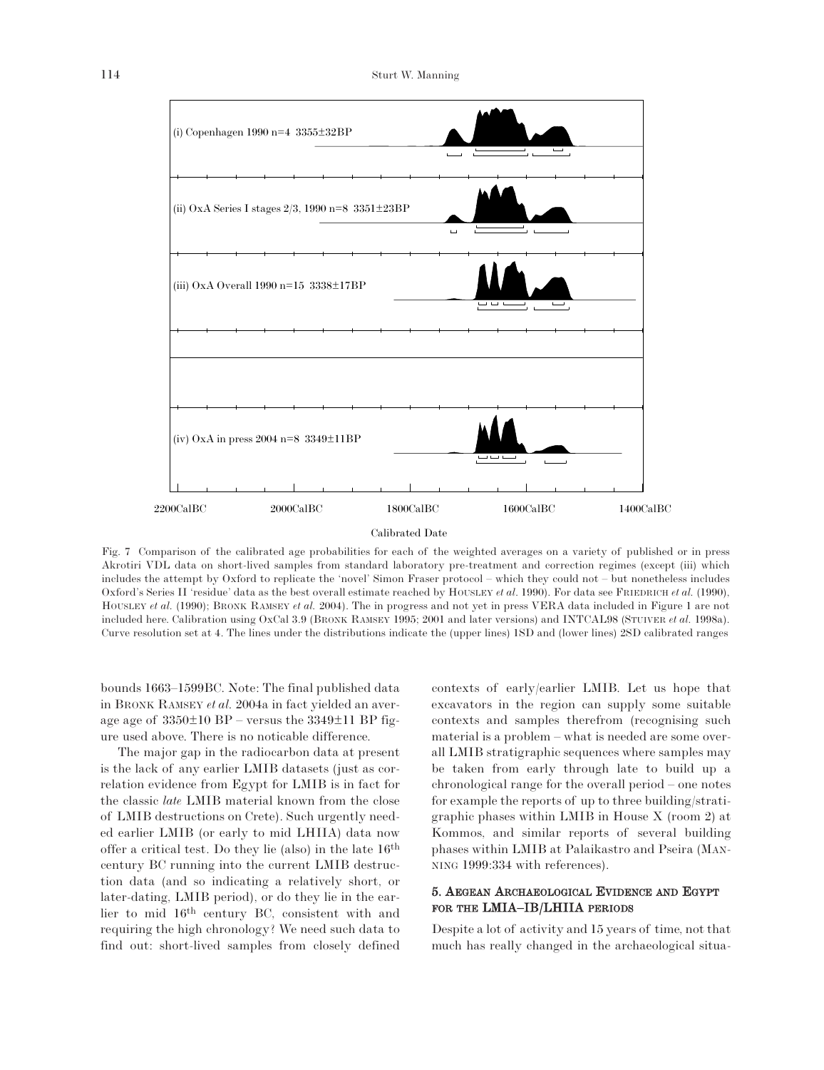

Fig. 7 Comparison of the calibrated age probabilities for each of the weighted averages on a variety of published or in press Akrotiri VDL data on short-lived samples from standard laboratory pre-treatment and correction regimes (except (iii) which includes the attempt by Oxford to replicate the 'novel' Simon Fraser protocol – which they could not – but nonetheless includes Oxford's Series II 'residue' data as the best overall estimate reached by HOUSLEY *et al*. 1990). For data see FRIEDRICH *et al.* (1990), HOUSLEY *et al.* (1990); BRONK RAMSEY *et al.* 2004). The in progress and not yet in press VERA data included in Figure 1 are not included here. Calibration using OxCal 3.9 (BRONK RAMSEY 1995; 2001 and later versions) and INTCAL98 (STUIVER *et al.* 1998a). Curve resolution set at 4. The lines under the distributions indicate the (upper lines) 1SD and (lower lines) 2SD calibrated ranges

bounds 1663–1599BC. Note: The final published data in BRONK RAMSEY *et al.* 2004a in fact yielded an average age of  $3350\pm10$  BP – versus the  $3349\pm11$  BP figure used above. There is no noticable difference.

The major gap in the radiocarbon data at present is the lack of any earlier LMIB datasets (just as correlation evidence from Egypt for LMIB is in fact for the classic *late* LMIB material known from the close of LMIB destructions on Crete). Such urgently needed earlier LMIB (or early to mid LHIIA) data now offer a critical test. Do they lie (also) in the late  $16<sup>th</sup>$ century BC running into the current LMIB destruction data (and so indicating a relatively short, or later-dating, LMIB period), or do they lie in the earlier to mid 16th century BC, consistent with and requiring the high chronology? We need such data to find out: short-lived samples from closely defined contexts of early/earlier LMIB. Let us hope that excavators in the region can supply some suitable contexts and samples therefrom (recognising such material is a problem – what is needed are some overall LMIB stratigraphic sequences where samples may be taken from early through late to build up a chronological range for the overall period – one notes for example the reports of up to three building/stratigraphic phases within LMIB in House X (room 2) at Kommos, and similar reports of several building phases within LMIB at Palaikastro and Pseira (MAN-NING 1999:334 with references).

#### 5. AEGEAN ARCHAEOLOGICAL EVIDENCE AND EGYPT FOR THE LMIA-IB/LHIIA PERIODS

Despite a lot of activity and 15 years of time, not that much has really changed in the archaeological situa-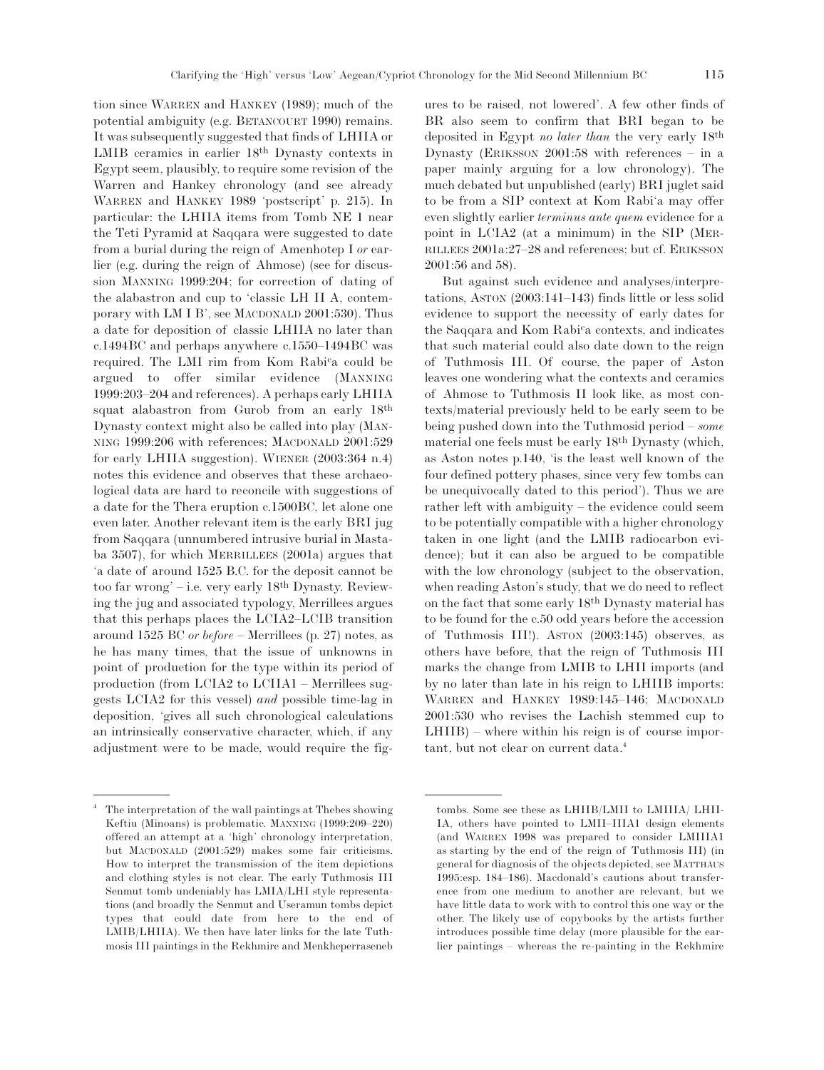tion since WARREN and HANKEY (1989); much of the potential ambiguity (e.g. BETANCOURT 1990) remains. It was subsequently suggested that finds of LHIIA or LMIB ceramics in earlier 18th Dynasty contexts in Egypt seem, plausibly, to require some revision of the Warren and Hankey chronology (and see already WARREN and HANKEY 1989 'postscript' p. 215). In particular: the LHIIA items from Tomb NE 1 near the Teti Pyramid at Saqqara were suggested to date from a burial during the reign of Amenhotep I *or* earlier (e.g. during the reign of Ahmose) (see for discussion MANNING 1999:204; for correction of dating of the alabastron and cup to 'classic LH II A, contemporary with LM I B', see MACDONALD 2001:530). Thus a date for deposition of classic LHIIA no later than c.1494BC and perhaps anywhere c.1550–1494BC was required. The LMI rim from Kom Rabica could be argued to offer similar evidence (MANNING 1999:203–204 and references). A perhaps early LHIIA squat alabastron from Gurob from an early 18th Dynasty context might also be called into play (MAN-NING 1999:206 with references; MACDONALD 2001:529 for early LHIIA suggestion). WIENER (2003:364 n.4) notes this evidence and observes that these archaeological data are hard to reconcile with suggestions of a date for the Thera eruption c.1500BC, let alone one even later. Another relevant item is the early BRI jug from Saqqara (unnumbered intrusive burial in Mastaba 3507), for which MERRILLEES (2001a) argues that 'a date of around 1525 B.C. for the deposit cannot be too far wrong' – i.e. very early 18th Dynasty. Reviewing the jug and associated typology, Merrillees argues that this perhaps places the LCIA2–LCIB transition around 1525 BC *or before* – Merrillees (p. 27) notes, as he has many times, that the issue of unknowns in point of production for the type within its period of production (from LCIA2 to LCIIA1 – Merrillees suggests LCIA2 for this vessel) *and* possible time-lag in deposition, 'gives all such chronological calculations an intrinsically conservative character, which, if any adjustment were to be made, would require the figures to be raised, not lowered'. A few other finds of BR also seem to confirm that BRI began to be deposited in Egypt *no later than* the very early 18th Dynasty (ERIKSSON 2001:58 with references – in a paper mainly arguing for a low chronology). The much debated but unpublished (early) BRI juglet said to be from a SIP context at Kom Rabi'a may offer even slightly earlier *terminus ante quem* evidence for a point in LCIA2 (at a minimum) in the SIP (MER-RILLEES 2001a:27–28 and references; but cf. ERIKSSON 2001:56 and 58).

But against such evidence and analyses/interpretations, ASTON (2003:141–143) finds little or less solid evidence to support the necessity of early dates for the Saqqara and Kom Rabica contexts, and indicates that such material could also date down to the reign of Tuthmosis III. Of course, the paper of Aston leaves one wondering what the contexts and ceramics of Ahmose to Tuthmosis II look like, as most contexts/material previously held to be early seem to be being pushed down into the Tuthmosid period – *some* material one feels must be early 18th Dynasty (which, as Aston notes p.140, 'is the least well known of the four defined pottery phases, since very few tombs can be unequivocally dated to this period'). Thus we are rather left with ambiguity – the evidence could seem to be potentially compatible with a higher chronology taken in one light (and the LMIB radiocarbon evidence); but it can also be argued to be compatible with the low chronology (subject to the observation, when reading Aston's study, that we do need to reflect on the fact that some early 18th Dynasty material has to be found for the c.50 odd years before the accession of Tuthmosis III!). ASTON (2003:145) observes, as others have before, that the reign of Tuthmosis III marks the change from LMIB to LHII imports (and by no later than late in his reign to LHIIB imports: WARREN and HANKEY 1989:145–146; MACDONALD 2001:530 who revises the Lachish stemmed cup to LHIIB) – where within his reign is of course important, but not clear on current data.<sup>4</sup>

<sup>4</sup> The interpretation of the wall paintings at Thebes showing Keftiu (Minoans) is problematic. MANNING (1999:209–220) offered an attempt at a 'high' chronology interpretation, but MACDONALD (2001:529) makes some fair criticisms. How to interpret the transmission of the item depictions and clothing styles is not clear. The early Tuthmosis III Senmut tomb undeniably has LMIA/LHI style representations (and broadly the Senmut and Useramun tombs depict types that could date from here to the end of LMIB/LHIIA). We then have later links for the late Tuthmosis III paintings in the Rekhmire and Menkheperraseneb

tombs. Some see these as LHIIB/LMII to LMIIIA/ LHII-IA, others have pointed to LMII–IIIA1 design elements (and WARREN 1998 was prepared to consider LMIIIA1 as starting by the end of the reign of Tuthmosis III) (in general for diagnosis of the objects depicted, see MATTHÄUS 1995:esp. 184–186). Macdonald's cautions about transference from one medium to another are relevant, but we have little data to work with to control this one way or the other. The likely use of copybooks by the artists further introduces possible time delay (more plausible for the earlier paintings – whereas the re-painting in the Rekhmire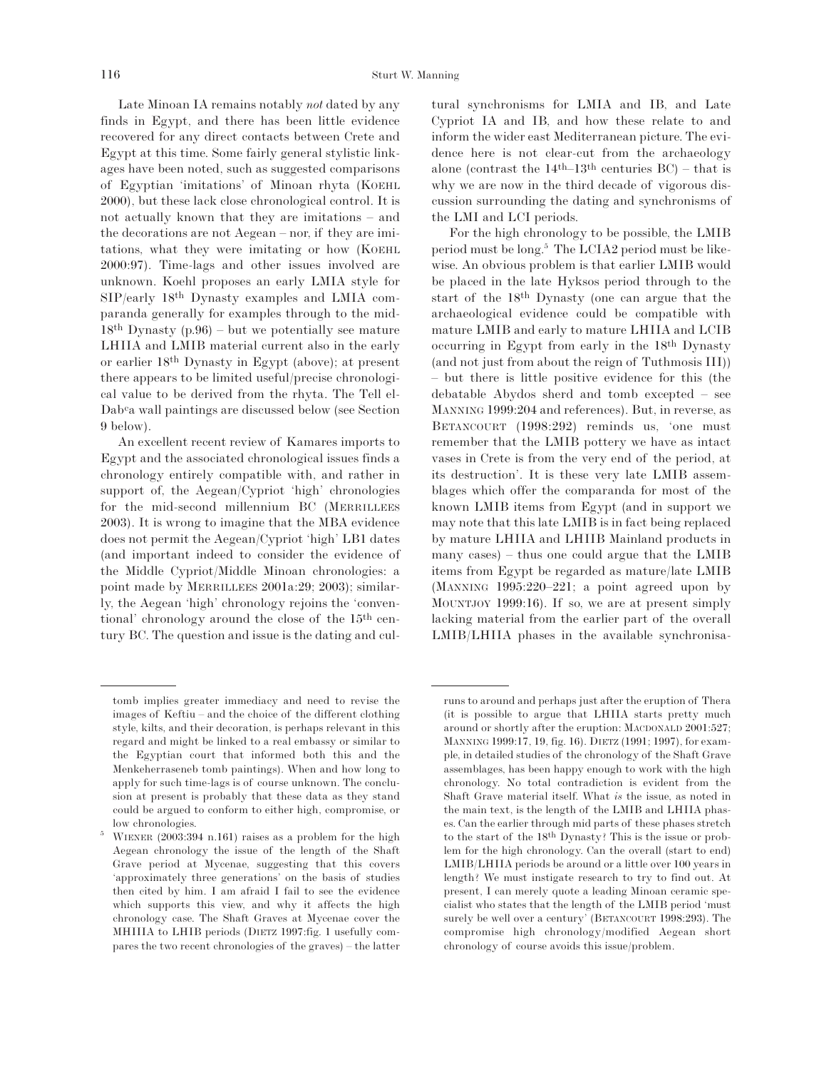Late Minoan IA remains notably *not* dated by any finds in Egypt, and there has been little evidence recovered for any direct contacts between Crete and Egypt at this time. Some fairly general stylistic linkages have been noted, such as suggested comparisons of Egyptian 'imitations' of Minoan rhyta (KOEHL 2000), but these lack close chronological control. It is not actually known that they are imitations – and the decorations are not Aegean – nor, if they are imitations, what they were imitating or how (KOEHL 2000:97). Time-lags and other issues involved are unknown. Koehl proposes an early LMIA style for SIP/early 18th Dynasty examples and LMIA comparanda generally for examples through to the mid- $18<sup>th</sup>$  Dynasty (p.96) – but we potentially see mature LHIIA and LMIB material current also in the early or earlier 18th Dynasty in Egypt (above); at present there appears to be limited useful/precise chronological value to be derived from the rhyta. The Tell el-Dab<sup>c</sup>a wall paintings are discussed below (see Section 9 below).

An excellent recent review of Kamares imports to Egypt and the associated chronological issues finds a chronology entirely compatible with, and rather in support of, the Aegean/Cypriot 'high' chronologies for the mid-second millennium BC (MERRILLEES 2003). It is wrong to imagine that the MBA evidence does not permit the Aegean/Cypriot 'high' LB1 dates (and important indeed to consider the evidence of the Middle Cypriot/Middle Minoan chronologies: a point made by MERRILLEES 2001a:29; 2003); similarly, the Aegean 'high' chronology rejoins the 'conventional' chronology around the close of the 15th century BC. The question and issue is the dating and cultural synchronisms for LMIA and IB, and Late Cypriot IA and IB, and how these relate to and inform the wider east Mediterranean picture. The evidence here is not clear-cut from the archaeology alone (contrast the  $14<sup>th</sup>-13<sup>th</sup>$  centuries BC) – that is why we are now in the third decade of vigorous discussion surrounding the dating and synchronisms of the LMI and LCI periods.

For the high chronology to be possible, the LMIB period must be long.<sup>5</sup> The LCIA2 period must be likewise. An obvious problem is that earlier LMIB would be placed in the late Hyksos period through to the start of the 18th Dynasty (one can argue that the archaeological evidence could be compatible with mature LMIB and early to mature LHIIA and LCIB occurring in Egypt from early in the 18th Dynasty (and not just from about the reign of Tuthmosis III)) – but there is little positive evidence for this (the debatable Abydos sherd and tomb excepted – see MANNING 1999:204 and references). But, in reverse, as BETANCOURT (1998:292) reminds us, 'one must remember that the LMIB pottery we have as intact vases in Crete is from the very end of the period, at its destruction'. It is these very late LMIB assemblages which offer the comparanda for most of the known LMIB items from Egypt (and in support we may note that this late LMIB is in fact being replaced by mature LHIIA and LHIIB Mainland products in many cases) – thus one could argue that the LMIB items from Egypt be regarded as mature/late LMIB (MANNING 1995:220–221; a point agreed upon by MOUNTJOY 1999:16). If so, we are at present simply lacking material from the earlier part of the overall LMIB/LHIIA phases in the available synchronisa-

tomb implies greater immediacy and need to revise the images of Keftiu – and the choice of the different clothing style, kilts, and their decoration, is perhaps relevant in this regard and might be linked to a real embassy or similar to the Egyptian court that informed both this and the Menkeherraseneb tomb paintings). When and how long to apply for such time-lags is of course unknown. The conclusion at present is probably that these data as they stand could be argued to conform to either high, compromise, or low chronologies.

 $^5\;$  WIENER (2003:394 n.161) raises as a problem for the high Aegean chronology the issue of the length of the Shaft Grave period at Mycenae, suggesting that this covers 'approximately three generations' on the basis of studies then cited by him. I am afraid I fail to see the evidence which supports this view, and why it affects the high chronology case. The Shaft Graves at Mycenae cover the MHIIIA to LHIB periods (DIETZ 1997:fig. 1 usefully compares the two recent chronologies of the graves) – the latter

runs to around and perhaps just after the eruption of Thera (it is possible to argue that LHIIA starts pretty much around or shortly after the eruption: MACDONALD 2001:527; MANNING 1999:17, 19, fig. 16). DIETZ (1991; 1997), for example, in detailed studies of the chronology of the Shaft Grave assemblages, has been happy enough to work with the high chronology. No total contradiction is evident from the Shaft Grave material itself. What *is* the issue, as noted in the main text, is the length of the LMIB and LHIIA phases. Can the earlier through mid parts of these phases stretch to the start of the 18th Dynasty? This is the issue or problem for the high chronology. Can the overall (start to end) LMIB/LHIIA periods be around or a little over 100 years in length? We must instigate research to try to find out. At present, I can merely quote a leading Minoan ceramic specialist who states that the length of the LMIB period 'must surely be well over a century' (BETANCOURT 1998:293). The compromise high chronology/modified Aegean short chronology of course avoids this issue/problem.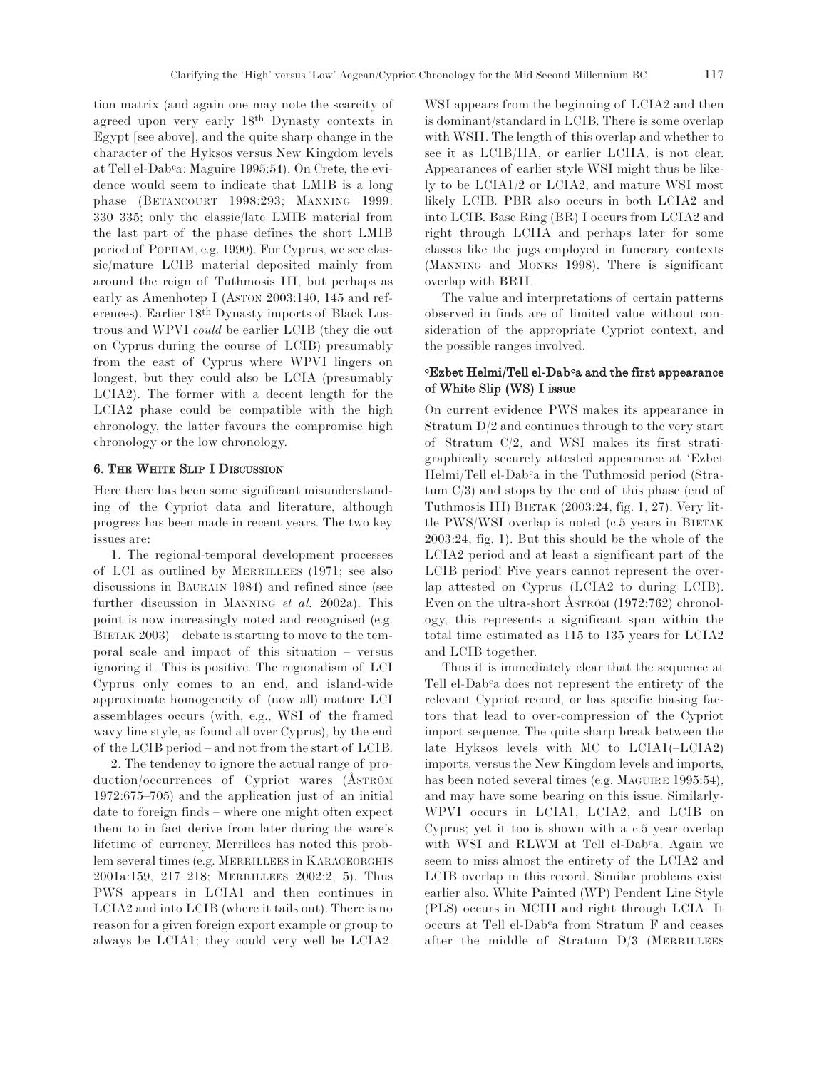tion matrix (and again one may note the scarcity of agreed upon very early 18th Dynasty contexts in Egypt [see above], and the quite sharp change in the character of the Hyksos versus New Kingdom levels at Tell el-Dab<sup>c</sup>a: Maguire 1995:54). On Crete, the evidence would seem to indicate that LMIB is a long phase (BETANCOURT 1998:293; MANNING 1999: 330–335; only the classic/late LMIB material from the last part of the phase defines the short LMIB period of POPHAM, e.g. 1990). For Cyprus, we see classic/mature LCIB material deposited mainly from around the reign of Tuthmosis III, but perhaps as early as Amenhotep I (ASTON 2003:140, 145 and references). Earlier 18th Dynasty imports of Black Lustrous and WPVI *could* be earlier LCIB (they die out on Cyprus during the course of LCIB) presumably from the east of Cyprus where WPVI lingers on longest, but they could also be LCIA (presumably LCIA2). The former with a decent length for the LCIA2 phase could be compatible with the high chronology, the latter favours the compromise high chronology or the low chronology.

#### 6. THE WHITE SLIP I DISCUSSION

Here there has been some significant misunderstanding of the Cypriot data and literature, although progress has been made in recent years. The two key issues are:

1. The regional-temporal development processes of LCI as outlined by MERRILLEES (1971; see also discussions in BAURAIN 1984) and refined since (see further discussion in MANNING *et al.* 2002a). This point is now increasingly noted and recognised (e.g. BIETAK 2003) – debate is starting to move to the temporal scale and impact of this situation – versus ignoring it. This is positive. The regionalism of LCI Cyprus only comes to an end, and island-wide approximate homogeneity of (now all) mature LCI assemblages occurs (with, e.g., WSI of the framed wavy line style, as found all over Cyprus), by the end of the LCIB period – and not from the start of LCIB.

2. The tendency to ignore the actual range of production/occurrences of Cypriot wares (ÅSTRÖM 1972:675–705) and the application just of an initial date to foreign finds – where one might often expect them to in fact derive from later during the ware's lifetime of currency. Merrillees has noted this problem several times (e.g. MERRILLEES in KARAGEORGHIS 2001a:159, 217–218; MERRILLEES 2002:2, 5). Thus PWS appears in LCIA1 and then continues in LCIA2 and into LCIB (where it tails out). There is no reason for a given foreign export example or group to always be LCIA1; they could very well be LCIA2. WSI appears from the beginning of LCIA2 and then is dominant/standard in LCIB. There is some overlap with WSII. The length of this overlap and whether to see it as LCIB/IIA, or earlier LCIIA, is not clear. Appearances of earlier style WSI might thus be likely to be LCIA1/2 or LCIA2, and mature WSI most likely LCIB. PBR also occurs in both LCIA2 and into LCIB. Base Ring (BR) I occurs from LCIA2 and right through LCIIA and perhaps later for some classes like the jugs employed in funerary contexts (MANNING and MONKS 1998). There is significant overlap with BRII.

The value and interpretations of certain patterns observed in finds are of limited value without consideration of the appropriate Cypriot context, and the possible ranges involved.

#### cEzbet Helmi/Tell el-Dabca and the first appearance of White Slip (WS) I issue

On current evidence PWS makes its appearance in Stratum D/2 and continues through to the very start of Stratum C/2, and WSI makes its first stratigraphically securely attested appearance at 'Ezbet Helmi/Tell el-Dab<sup>c</sup>a in the Tuthmosid period (Stratum C/3) and stops by the end of this phase (end of Tuthmosis III) BIETAK (2003:24, fig. 1, 27). Very little PWS/WSI overlap is noted (c.5 years in BIETAK 2003:24, fig. 1). But this should be the whole of the LCIA2 period and at least a significant part of the LCIB period! Five years cannot represent the overlap attested on Cyprus (LCIA2 to during LCIB). Even on the ultra-short ÅSTRÖM (1972:762) chronology, this represents a significant span within the total time estimated as 115 to 135 years for LCIA2 and LCIB together.

Thus it is immediately clear that the sequence at Tell el-Dab<sup>c</sup>a does not represent the entirety of the relevant Cypriot record, or has specific biasing factors that lead to over-compression of the Cypriot import sequence. The quite sharp break between the late Hyksos levels with MC to LCIA1(–LCIA2) imports, versus the New Kingdom levels and imports, has been noted several times (e.g. MAGUIRE 1995:54), and may have some bearing on this issue. Similarly-WPVI occurs in LCIA1, LCIA2, and LCIB on Cyprus; yet it too is shown with a c.5 year overlap with WSI and RLWM at Tell el-Dab<sup>c</sup>a. Again we seem to miss almost the entirety of the LCIA2 and LCIB overlap in this record. Similar problems exist earlier also. White Painted (WP) Pendent Line Style (PLS) occurs in MCIII and right through LCIA. It occurs at Tell el-Dab<sup>c</sup>a from Stratum F and ceases after the middle of Stratum D/3 (MERRILLEES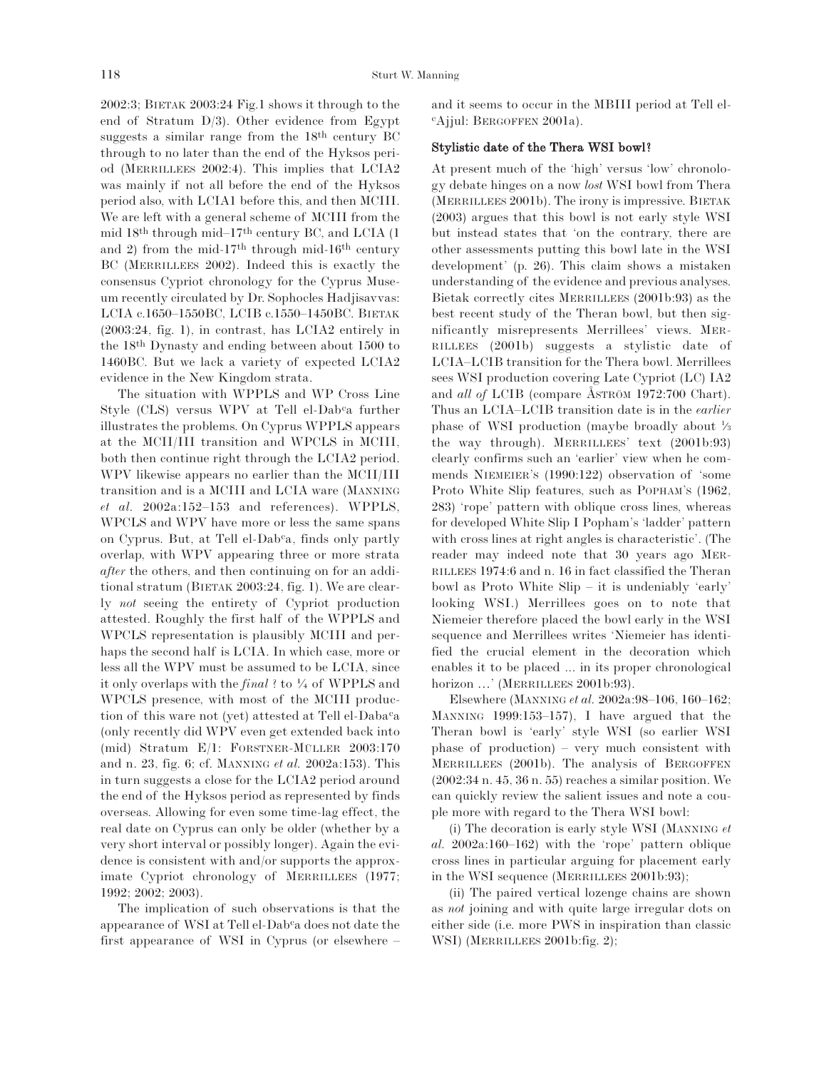2002:3; BIETAK 2003:24 Fig.1 shows it through to the end of Stratum D/3). Other evidence from Egypt suggests a similar range from the 18th century BC through to no later than the end of the Hyksos period (MERRILLEES 2002:4). This implies that LCIA2 was mainly if not all before the end of the Hyksos period also, with LCIA1 before this, and then MCIII. We are left with a general scheme of MCIII from the mid 18th through mid–17th century BC, and LCIA (1 and 2) from the mid-17<sup>th</sup> through mid-16<sup>th</sup> century BC (MERRILLEES 2002). Indeed this is exactly the consensus Cypriot chronology for the Cyprus Museum recently circulated by Dr. Sophocles Hadjisavvas: LCIA c.1650–1550BC, LCIB c.1550–1450BC. BIETAK (2003:24, fig. 1), in contrast, has LCIA2 entirely in the 18th Dynasty and ending between about 1500 to 1460BC. But we lack a variety of expected LCIA2 evidence in the New Kingdom strata.

The situation with WPPLS and WP Cross Line Style (CLS) versus WPV at Tell el-Dabca further illustrates the problems. On Cyprus WPPLS appears at the MCII/III transition and WPCLS in MCIII, both then continue right through the LCIA2 period. WPV likewise appears no earlier than the MCII/III transition and is a MCIII and LCIA ware (MANNING *et al.* 2002a:152–153 and references). WPPLS, WPCLS and WPV have more or less the same spans on Cyprus. But, at Tell el-Dabca, finds only partly overlap, with WPV appearing three or more strata *after* the others, and then continuing on for an additional stratum (BIETAK 2003:24, fig. 1). We are clearly *not* seeing the entirety of Cypriot production attested. Roughly the first half of the WPPLS and WPCLS representation is plausibly MCIII and perhaps the second half is LCIA. In which case, more or less all the WPV must be assumed to be LCIA, since it only overlaps with the *final* ? to ¼ of WPPLS and WPCLS presence, with most of the MCIII production of this ware not (yet) attested at Tell el-Dabaca (only recently did WPV even get extended back into (mid) Stratum E/1: FORSTNER-MÜLLER 2003:170 and n. 23, fig. 6; cf. MANNING *et al.* 2002a:153). This in turn suggests a close for the LCIA2 period around the end of the Hyksos period as represented by finds overseas. Allowing for even some time-lag effect, the real date on Cyprus can only be older (whether by a very short interval or possibly longer). Again the evidence is consistent with and/or supports the approximate Cypriot chronology of MERRILLEES (1977; 1992; 2002; 2003).

The implication of such observations is that the appearance of WSI at Tell el-Dabca does not date the first appearance of WSI in Cyprus (or elsewhere –

and it seems to occur in the MBIII period at Tell elcAjjul: BERGOFFEN 2001a).

#### Stylistic date of the Thera WSI bowl?

At present much of the 'high' versus 'low' chronology debate hinges on a now *lost* WSI bowl from Thera (MERRILLEES 2001b). The irony is impressive. BIETAK (2003) argues that this bowl is not early style WSI but instead states that 'on the contrary, there are other assessments putting this bowl late in the WSI development' (p. 26). This claim shows a mistaken understanding of the evidence and previous analyses. Bietak correctly cites MERRILLEES (2001b:93) as the best recent study of the Theran bowl, but then significantly misrepresents Merrillees' views. MER-RILLEES (2001b) suggests a stylistic date of LCIA*–*LCIB transition for the Thera bowl. Merrillees sees WSI production covering Late Cypriot (LC) IA2 and *all of* LCIB (compare ÅSTRÖM 1972:700 Chart). Thus an LCIA–LCIB transition date is in the *earlier* phase of WSI production (maybe broadly about 1/3 the way through). MERRILLEES' text (2001b:93) clearly confirms such an 'earlier' view when he commends NIEMEIER'S (1990:122) observation of 'some Proto White Slip features, such as POPHAM'S (1962, 283) 'rope' pattern with oblique cross lines, whereas for developed White Slip I Popham's 'ladder' pattern with cross lines at right angles is characteristic'. (The reader may indeed note that 30 years ago MER-RILLEES 1974:6 and n. 16 in fact classified the Theran bowl as Proto White Slip – it is undeniably 'early' looking WSI.) Merrillees goes on to note that Niemeier therefore placed the bowl early in the WSI sequence and Merrillees writes 'Niemeier has identified the crucial element in the decoration which enables it to be placed ... in its proper chronological horizon ...' (MERRILLEES 2001b:93).

Elsewhere (MANNING *et al.* 2002a:98*–*106, 160*–*162; MANNING 1999:153*–*157), I have argued that the Theran bowl is 'early' style WSI (so earlier WSI phase of production) – very much consistent with MERRILLEES (2001b). The analysis of BERGOFFEN (2002:34 n. 45, 36 n. 55) reaches a similar position. We can quickly review the salient issues and note a couple more with regard to the Thera WSI bowl:

(i) The decoration is early style WSI (MANNING *et al.* 2002a:160–162) with the 'rope' pattern oblique cross lines in particular arguing for placement early in the WSI sequence (MERRILLEES 2001b:93);

(ii) The paired vertical lozenge chains are shown as *not* joining and with quite large irregular dots on either side (i.e. more PWS in inspiration than classic WSI) (MERRILLEES 2001b:fig. 2);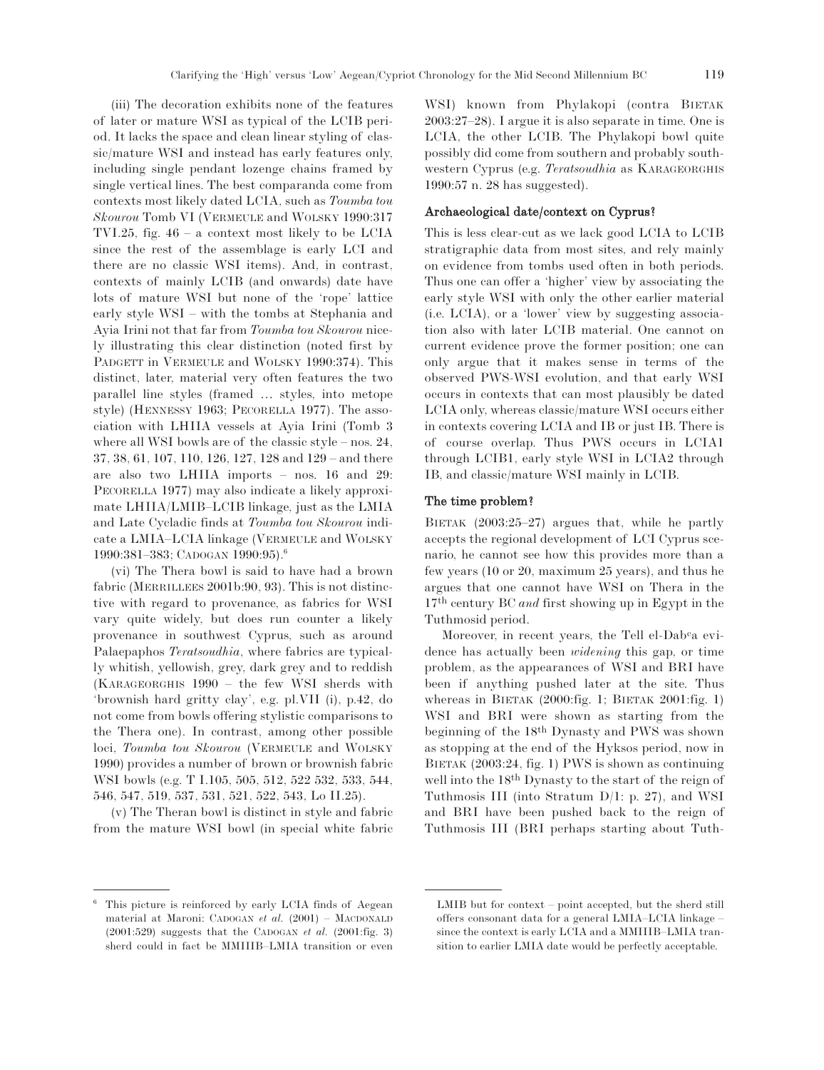(iii) The decoration exhibits none of the features of later or mature WSI as typical of the LCIB period. It lacks the space and clean linear styling of classic/mature WSI and instead has early features only, including single pendant lozenge chains framed by single vertical lines. The best comparanda come from contexts most likely dated LCIA, such as *Toumba tou Skourou* Tomb VI (VERMEULE and WOLSKY 1990:317 TVI.25, fig. 46 – a context most likely to be LCIA since the rest of the assemblage is early LCI and there are no classic WSI items). And, in contrast, contexts of mainly LCIB (and onwards) date have lots of mature WSI but none of the 'rope' lattice early style WSI – with the tombs at Stephania and Ayia Irini not that far from *Toumba tou Skourou* nicely illustrating this clear distinction (noted first by PADGETT in VERMEULE and WOLSKY 1990:374). This distinct, later, material very often features the two parallel line styles (framed … styles, into metope style) (HENNESSY 1963; PECORELLA 1977). The association with LHIIA vessels at Ayia Irini (Tomb 3 where all WSI bowls are of the classic style – nos. 24, 37, 38, 61, 107, 110, 126, 127, 128 and 129 – and there are also two LHIIA imports – nos. 16 and 29: PECORELLA 1977) may also indicate a likely approximate LHIIA/LMIB–LCIB linkage, just as the LMIA and Late Cycladic finds at *Toumba tou Skourou* indicate a LMIA–LCIA linkage (VERMEULE and WOLSKY 1990:381–383; CADOGAN 1990:95).6

(vi) The Thera bowl is said to have had a brown fabric (MERRILLEES 2001b:90, 93). This is not distinctive with regard to provenance, as fabrics for WSI vary quite widely, but does run counter a likely provenance in southwest Cyprus, such as around Palaepaphos *Teratsoudhia*, where fabrics are typically whitish, yellowish, grey, dark grey and to reddish (KARAGEORGHIS 1990 – the few WSI sherds with 'brownish hard gritty clay', e.g. pl.VII (i), p.42, do not come from bowls offering stylistic comparisons to the Thera one). In contrast, among other possible loci, *Toumba tou Skourou* (VERMEULE and WOLSKY 1990) provides a number of brown or brownish fabric WSI bowls (e.g. T I.105, 505, 512, 522 532, 533, 544, 546, 547, 519, 537, 531, 521, 522, 543, Lo II.25).

(v) The Theran bowl is distinct in style and fabric from the mature WSI bowl (in special white fabric WSI) known from Phylakopi (contra BIETAK 2003:27–28). I argue it is also separate in time. One is LCIA, the other LCIB. The Phylakopi bowl quite possibly did come from southern and probably southwestern Cyprus (e.g. *Teratsoudhia* as KARAGEORGHIS 1990:57 n. 28 has suggested).

#### Archaeological date/context on Cyprus?

This is less clear-cut as we lack good LCIA to LCIB stratigraphic data from most sites, and rely mainly on evidence from tombs used often in both periods. Thus one can offer a 'higher' view by associating the early style WSI with only the other earlier material (i.e. LCIA), or a 'lower' view by suggesting association also with later LCIB material. One cannot on current evidence prove the former position; one can only argue that it makes sense in terms of the observed PWS-WSI evolution, and that early WSI occurs in contexts that can most plausibly be dated LCIA only, whereas classic/mature WSI occurs either in contexts covering LCIA and IB or just IB. There is of course overlap. Thus PWS occurs in LCIA1 through LCIB1, early style WSI in LCIA2 through IB, and classic/mature WSI mainly in LCIB.

#### The time problem?

BIETAK (2003:25–27) argues that, while he partly accepts the regional development of LCI Cyprus scenario, he cannot see how this provides more than a few years (10 or 20, maximum 25 years), and thus he argues that one cannot have WSI on Thera in the 17th century BC *and* first showing up in Egypt in the Tuthmosid period.

Moreover, in recent years, the Tell el-Dab<sup>c</sup>a evidence has actually been *widening* this gap, or time problem, as the appearances of WSI and BRI have been if anything pushed later at the site. Thus whereas in BIETAK  $(2000:$ fig. 1; BIETAK  $2001:$ fig. 1) WSI and BRI were shown as starting from the beginning of the 18th Dynasty and PWS was shown as stopping at the end of the Hyksos period, now in BIETAK (2003:24, fig. 1) PWS is shown as continuing well into the 18th Dynasty to the start of the reign of Tuthmosis III (into Stratum D/1: p. 27), and WSI and BRI have been pushed back to the reign of Tuthmosis III (BRI perhaps starting about Tuth-

<sup>6</sup> This picture is reinforced by early LCIA finds of Aegean material at Maroni: CADOGAN *et al.* (2001) – MACDONALD (2001:529) suggests that the CADOGAN *et al.* (2001:fig. 3) sherd could in fact be MMIIIB–LMIA transition or even

LMIB but for context – point accepted, but the sherd still offers consonant data for a general LMIA–LCIA linkage – since the context is early LCIA and a MMIIIB–LMIA transition to earlier LMIA date would be perfectly acceptable.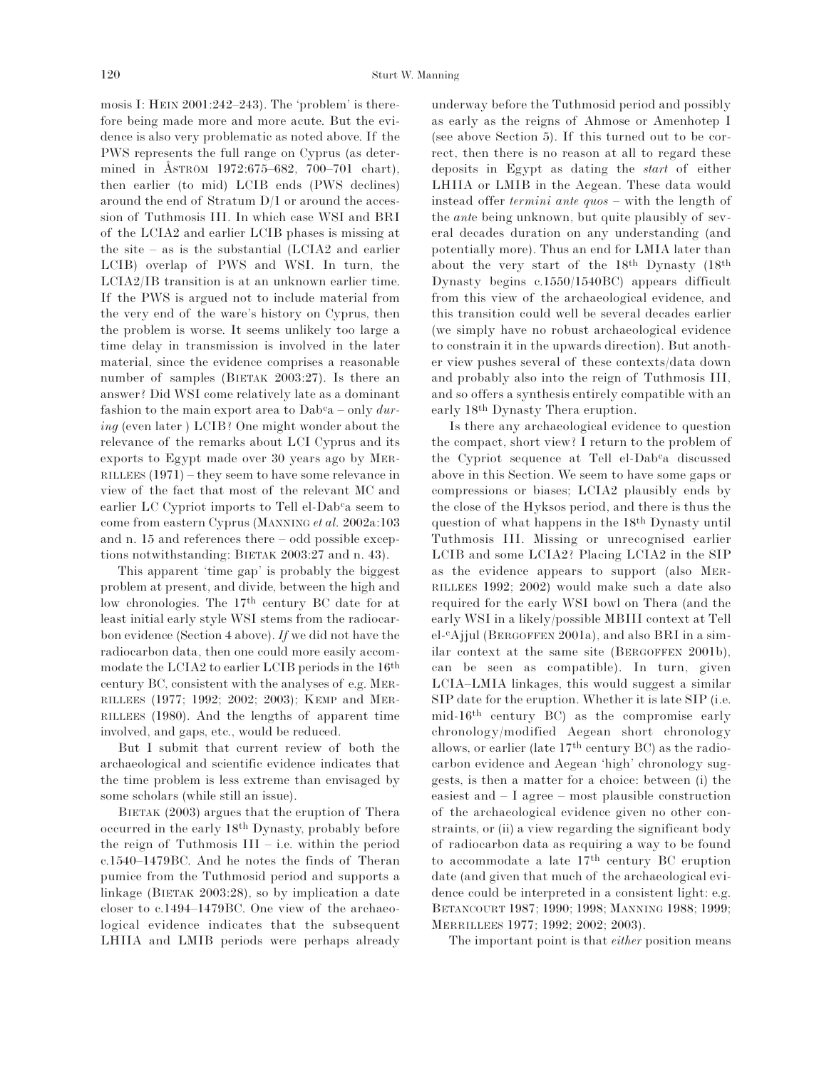mosis I: HEIN 2001:242–243). The 'problem' is therefore being made more and more acute. But the evidence is also very problematic as noted above. If the PWS represents the full range on Cyprus (as determined in ÅSTRÖM 1972:675–682, 700–701 chart), then earlier (to mid) LCIB ends (PWS declines) around the end of Stratum D/1 or around the accession of Tuthmosis III. In which case WSI and BRI of the LCIA2 and earlier LCIB phases is missing at the site – as is the substantial (LCIA2 and earlier LCIB) overlap of PWS and WSI. In turn, the LCIA2/IB transition is at an unknown earlier time. If the PWS is argued not to include material from the very end of the ware's history on Cyprus, then the problem is worse. It seems unlikely too large a time delay in transmission is involved in the later material, since the evidence comprises a reasonable number of samples (BIETAK 2003:27). Is there an answer? Did WSI come relatively late as a dominant fashion to the main export area to Dabca – only *during* (even later ) LCIB? One might wonder about the relevance of the remarks about LCI Cyprus and its exports to Egypt made over 30 years ago by MER-RILLEES (1971) – they seem to have some relevance in view of the fact that most of the relevant MC and earlier LC Cypriot imports to Tell el-Dab<sup>c</sup>a seem to come from eastern Cyprus (MANNING *et al.* 2002a:103 and n. 15 and references there – odd possible exceptions notwithstanding: BIETAK 2003:27 and n. 43).

This apparent 'time gap' is probably the biggest problem at present, and divide, between the high and low chronologies. The 17th century BC date for at least initial early style WSI stems from the radiocarbon evidence (Section 4 above). *If* we did not have the radiocarbon data, then one could more easily accommodate the LCIA2 to earlier LCIB periods in the 16th century BC, consistent with the analyses of e.g. MER-RILLEES (1977; 1992; 2002; 2003); KEMP and MER-RILLEES (1980). And the lengths of apparent time involved, and gaps, etc., would be reduced.

But I submit that current review of both the archaeological and scientific evidence indicates that the time problem is less extreme than envisaged by some scholars (while still an issue).

BIETAK (2003) argues that the eruption of Thera occurred in the early 18th Dynasty, probably before the reign of Tuthmosis  $III - i.e.$  within the period c.1540–1479BC. And he notes the finds of Theran pumice from the Tuthmosid period and supports a linkage (BIETAK 2003:28), so by implication a date closer to c.1494–1479BC. One view of the archaeological evidence indicates that the subsequent LHIIA and LMIB periods were perhaps already underway before the Tuthmosid period and possibly as early as the reigns of Ahmose or Amenhotep I (see above Section 5). If this turned out to be correct, then there is no reason at all to regard these deposits in Egypt as dating the *start* of either LHIIA or LMIB in the Aegean. These data would instead offer *termini ante quos* – with the length of the *ant*e being unknown, but quite plausibly of several decades duration on any understanding (and potentially more). Thus an end for LMIA later than about the very start of the 18th Dynasty (18th Dynasty begins c.1550/1540BC) appears difficult from this view of the archaeological evidence, and this transition could well be several decades earlier (we simply have no robust archaeological evidence to constrain it in the upwards direction). But another view pushes several of these contexts/data down and probably also into the reign of Tuthmosis III, and so offers a synthesis entirely compatible with an early 18th Dynasty Thera eruption.

Is there any archaeological evidence to question the compact, short view? I return to the problem of the Cypriot sequence at Tell el-Dab<sup>c</sup>a discussed above in this Section. We seem to have some gaps or compressions or biases; LCIA2 plausibly ends by the close of the Hyksos period, and there is thus the question of what happens in the 18th Dynasty until Tuthmosis III. Missing or unrecognised earlier LCIB and some LCIA2? Placing LCIA2 in the SIP as the evidence appears to support (also MER-RILLEES 1992; 2002) would make such a date also required for the early WSI bowl on Thera (and the early WSI in a likely/possible MBIII context at Tell el-cAjjul (BERGOFFEN 2001a), and also BRI in a similar context at the same site (BERGOFFEN 2001b), can be seen as compatible). In turn, given LCIA–LMIA linkages, this would suggest a similar SIP date for the eruption. Whether it is late SIP (i.e. mid-16th century BC) as the compromise early chronology/modified Aegean short chronology allows, or earlier (late  $17<sup>th</sup>$  century BC) as the radiocarbon evidence and Aegean 'high' chronology suggests, is then a matter for a choice: between (i) the easiest and – I agree – most plausible construction of the archaeological evidence given no other constraints, or (ii) a view regarding the significant body of radiocarbon data as requiring a way to be found to accommodate a late 17th century BC eruption date (and given that much of the archaeological evidence could be interpreted in a consistent light: e.g. BETANCOURT 1987; 1990; 1998; MANNING 1988; 1999; MERRILLEES 1977; 1992; 2002; 2003).

The important point is that *either* position means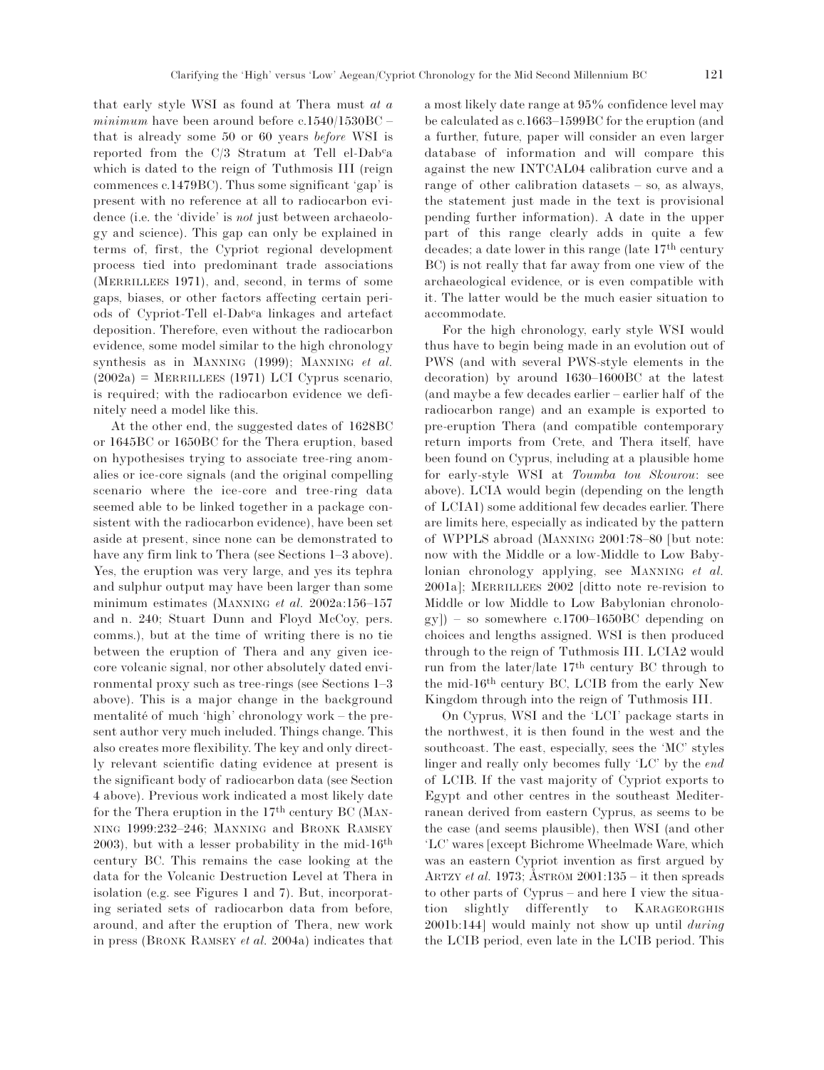that early style WSI as found at Thera must *at a minimum* have been around before c.1540/1530BC – that is already some 50 or 60 years *before* WSI is reported from the  $C/3$  Stratum at Tell el-Dab<sup>c</sup>a which is dated to the reign of Tuthmosis III (reign commences c.1479BC). Thus some significant 'gap' is present with no reference at all to radiocarbon evidence (i.e. the 'divide' is *not* just between archaeology and science). This gap can only be explained in terms of, first, the Cypriot regional development process tied into predominant trade associations (MERRILLEES 1971), and, second, in terms of some gaps, biases, or other factors affecting certain periods of Cypriot-Tell el-Dabca linkages and artefact deposition. Therefore, even without the radiocarbon evidence, some model similar to the high chronology synthesis as in MANNING (1999); MANNING *et al.* (2002a) = MERRILLEES (1971) LCI Cyprus scenario, is required; with the radiocarbon evidence we definitely need a model like this.

At the other end, the suggested dates of 1628BC or 1645BC or 1650BC for the Thera eruption, based on hypothesises trying to associate tree-ring anomalies or ice-core signals (and the original compelling scenario where the ice-core and tree-ring data seemed able to be linked together in a package consistent with the radiocarbon evidence), have been set aside at present, since none can be demonstrated to have any firm link to Thera (see Sections 1–3 above). Yes, the eruption was very large, and yes its tephra and sulphur output may have been larger than some minimum estimates (MANNING *et al.* 2002a:156–157 and n. 240; Stuart Dunn and Floyd McCoy, pers. comms.), but at the time of writing there is no tie between the eruption of Thera and any given icecore volcanic signal, nor other absolutely dated environmental proxy such as tree-rings (see Sections 1–3 above). This is a major change in the background mentalité of much 'high' chronology work – the present author very much included. Things change. This also creates more flexibility. The key and only directly relevant scientific dating evidence at present is the significant body of radiocarbon data (see Section 4 above). Previous work indicated a most likely date for the Thera eruption in the 17<sup>th</sup> century BC (MAN-NING 1999:232–246; MANNING and BRONK RAMSEY  $2003$ , but with a lesser probability in the mid-16<sup>th</sup> century BC. This remains the case looking at the data for the Volcanic Destruction Level at Thera in isolation (e.g. see Figures 1 and 7). But, incorporating seriated sets of radiocarbon data from before, around, and after the eruption of Thera, new work in press (BRONK RAMSEY *et al.* 2004a) indicates that

a most likely date range at 95% confidence level may be calculated as c.1663–1599BC for the eruption (and a further, future, paper will consider an even larger database of information and will compare this against the new INTCAL04 calibration curve and a range of other calibration datasets – so, as always, the statement just made in the text is provisional pending further information). A date in the upper part of this range clearly adds in quite a few decades; a date lower in this range (late 17th century BC) is not really that far away from one view of the archaeological evidence, or is even compatible with it. The latter would be the much easier situation to accommodate.

For the high chronology, early style WSI would thus have to begin being made in an evolution out of PWS (and with several PWS-style elements in the decoration) by around 1630–1600BC at the latest (and maybe a few decades earlier – earlier half of the radiocarbon range) and an example is exported to pre-eruption Thera (and compatible contemporary return imports from Crete, and Thera itself, have been found on Cyprus, including at a plausible home for early-style WSI at *Toumba tou Skourou*: see above). LCIA would begin (depending on the length of LCIA1) some additional few decades earlier. There are limits here, especially as indicated by the pattern of WPPLS abroad (MANNING 2001:78–80 [but note: now with the Middle or a low-Middle to Low Babylonian chronology applying, see MANNING *et al.* 2001a]; MERRILLEES 2002 [ditto note re-revision to Middle or low Middle to Low Babylonian chronology]) – so somewhere c.1700–1650BC depending on choices and lengths assigned. WSI is then produced through to the reign of Tuthmosis III. LCIA2 would run from the later/late 17th century BC through to the mid-16th century BC, LCIB from the early New Kingdom through into the reign of Tuthmosis III.

On Cyprus, WSI and the 'LCI' package starts in the northwest, it is then found in the west and the southcoast. The east, especially, sees the 'MC' styles linger and really only becomes fully 'LC' by the *end* of LCIB. If the vast majority of Cypriot exports to Egypt and other centres in the southeast Mediterranean derived from eastern Cyprus, as seems to be the case (and seems plausible), then WSI (and other 'LC' wares [except Bichrome Wheelmade Ware, which was an eastern Cypriot invention as first argued by ARTZY *et al.* 1973; ÅSTRÖM 2001:135 – it then spreads to other parts of Cyprus – and here I view the situation slightly differently to KARAGEORGHIS 2001b:144] would mainly not show up until *during* the LCIB period, even late in the LCIB period. This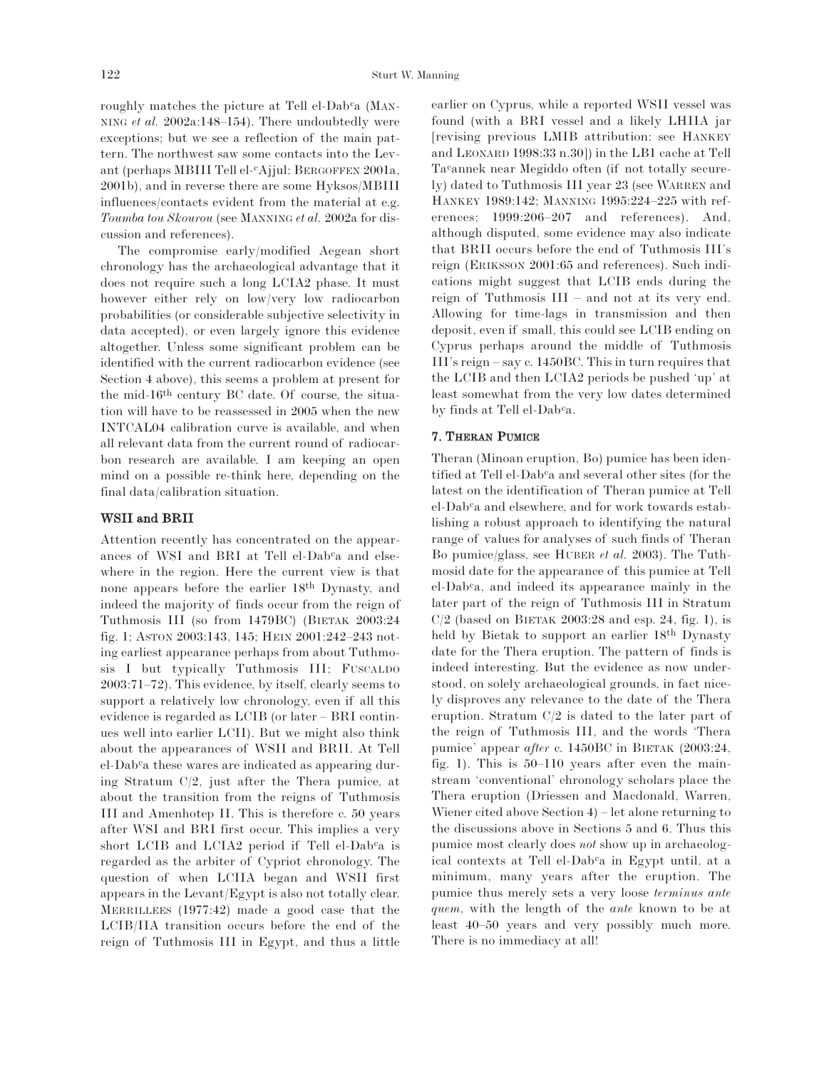roughly matches the picture at Tell el-Dab<sup>c</sup>a (MAN-NING *et al.* 2002a:148–154). There undoubtedly were exceptions; but we see a reflection of the main pattern. The northwest saw some contacts into the Levant (perhaps MBIII Tell el-cAjjul: BERGOFFEN 2001a, 2001b), and in reverse there are some Hyksos/MBIII influences/contacts evident from the material at e.g. *Toumba tou Skourou* (see MANNING *et al.* 2002a for discussion and references).

The compromise early/modified Aegean short chronology has the archaeological advantage that it does not require such a long LCIA2 phase. It must however either rely on low/very low radiocarbon probabilities (or considerable subjective selectivity in data accepted), or even largely ignore this evidence altogether. Unless some significant problem can be identified with the current radiocarbon evidence (see Section 4 above), this seems a problem at present for the mid-16th century BC date. Of course, the situation will have to be reassessed in 2005 when the new INTCAL04 calibration curve is available, and when all relevant data from the current round of radiocarbon research are available. I am keeping an open mind on a possible re-think here, depending on the final data/calibration situation.

#### WSII and BRII

Attention recently has concentrated on the appearances of WSI and BRI at Tell el-Dabca and elsewhere in the region. Here the current view is that none appears before the earlier 18th Dynasty, and indeed the majority of finds occur from the reign of Tuthmosis III (so from 1479BC) (BIETAK 2003:24 fig. 1; ASTON 2003:143, 145; HEIN 2001:242–243 noting earliest appearance perhaps from about Tuthmosis I but typically Tuthmosis III; FUSCALDO 2003:71–72). This evidence, by itself, clearly seems to support a relatively low chronology, even if all this evidence is regarded as LCIB (or later – BRI continues well into earlier LCII). But we might also think about the appearances of WSII and BRII. At Tell el-Dabca these wares are indicated as appearing during Stratum C/2, just after the Thera pumice, at about the transition from the reigns of Tuthmosis III and Amenhotep II. This is therefore c. 50 years after WSI and BRI first occur. This implies a very short LCIB and LCIA2 period if Tell el-Dab<sup>c</sup>a is regarded as the arbiter of Cypriot chronology. The question of when LCIIA began and WSII first appears in the Levant/Egypt is also not totally clear. MERRILLEES (1977:42) made a good case that the LCIB/IIA transition occurs before the end of the reign of Tuthmosis III in Egypt, and thus a little earlier on Cyprus, while a reported WSII vessel was found (with a BRI vessel and a likely LHIIA jar [revising previous LMIB attribution: see HANKEY and LEONARD 1998:33 n.30]) in the LB1 cache at Tell Tacannek near Megiddo often (if not totally securely) dated to Tuthmosis III year 23 (see WARREN and HANKEY 1989:142; MANNING 1995:224–225 with references; 1999:206–207 and references). And, although disputed, some evidence may also indicate that BRII occurs before the end of Tuthmosis III's reign (ERIKSSON 2001:65 and references). Such indications might suggest that LCIB ends during the reign of Tuthmosis III – and not at its very end. Allowing for time-lags in transmission and then deposit, even if small, this could see LCIB ending on Cyprus perhaps around the middle of Tuthmosis III's reign – say c. 1450BC. This in turn requires that the LCIB and then LCIA2 periods be pushed 'up' at least somewhat from the very low dates determined by finds at Tell el-Dab<sup>c</sup>a.

#### 7. THERAN PUMICE

Theran (Minoan eruption, Bo) pumice has been identified at Tell el-Dab<sup>c</sup>a and several other sites (for the latest on the identification of Theran pumice at Tell el-Dabca and elsewhere, and for work towards establishing a robust approach to identifying the natural range of values for analyses of such finds of Theran Bo pumice/glass, see HUBER *et al.* 2003). The Tuthmosid date for the appearance of this pumice at Tell el-Dabca, and indeed its appearance mainly in the later part of the reign of Tuthmosis III in Stratum  $C/2$  (based on BIETAK 2003:28 and esp. 24, fig. 1), is held by Bietak to support an earlier 18th Dynasty date for the Thera eruption. The pattern of finds is indeed interesting. But the evidence as now understood, on solely archaeological grounds, in fact nicely disproves any relevance to the date of the Thera eruption. Stratum C/2 is dated to the later part of the reign of Tuthmosis III, and the words 'Thera pumice' appear *after* c. 1450BC in BIETAK (2003:24, fig. 1). This is 50*–*110 years after even the mainstream 'conventional' chronology scholars place the Thera eruption (Driessen and Macdonald, Warren, Wiener cited above Section 4) – let alone returning to the discussions above in Sections 5 and 6. Thus this pumice most clearly does *not* show up in archaeological contexts at Tell el-Dabca in Egypt until, at a minimum, many years after the eruption. The pumice thus merely sets a very loose *terminus ante quem*, with the length of the *ante* known to be at least 40*–*50 years and very possibly much more. There is no immediacy at all!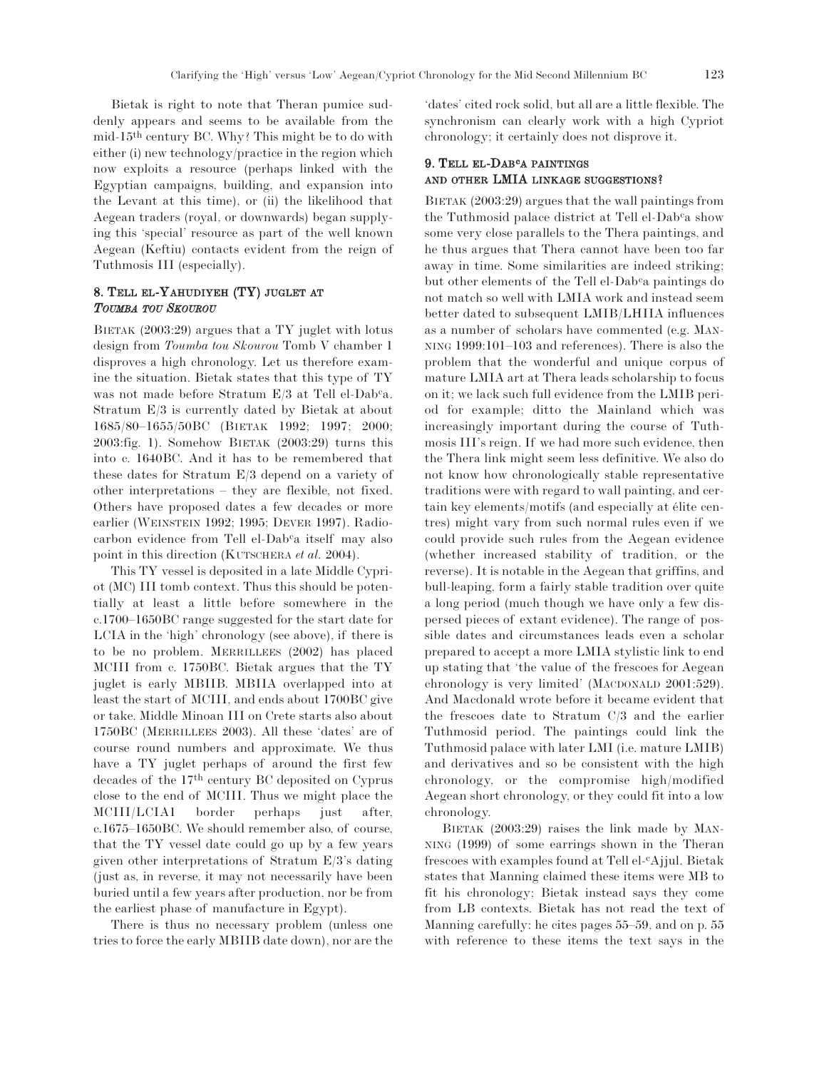Bietak is right to note that Theran pumice suddenly appears and seems to be available from the mid-15th century BC. Why? This might be to do with either (i) new technology/practice in the region which now exploits a resource (perhaps linked with the Egyptian campaigns, building, and expansion into the Levant at this time), or (ii) the likelihood that Aegean traders (royal, or downwards) began supplying this 'special' resource as part of the well known Aegean (Keftiu) contacts evident from the reign of Tuthmosis III (especially).

#### 8. TELL EL-YAHUDIYEH (TY) JUGLET AT *TOUMBA TOU SKOUROU*

BIETAK (2003:29) argues that a TY juglet with lotus design from *Toumba tou Skourou* Tomb V chamber 1 disproves a high chronology. Let us therefore examine the situation. Bietak states that this type of TY was not made before Stratum E/3 at Tell el-Dab<sup>c</sup>a. Stratum E/3 is currently dated by Bietak at about 1685/80*–*1655/50BC (BIETAK 1992; 1997; 2000; 2003:fig. 1). Somehow BIETAK (2003:29) turns this into c. 1640BC. And it has to be remembered that these dates for Stratum E/3 depend on a variety of other interpretations – they are flexible, not fixed. Others have proposed dates a few decades or more earlier (WEINSTEIN 1992; 1995; DEVER 1997). Radiocarbon evidence from Tell el-Dab<sup>c</sup>a itself may also point in this direction (KUTSCHERA *et al.* 2004).

This TY vessel is deposited in a late Middle Cypriot (MC) III tomb context. Thus this should be potentially at least a little before somewhere in the c.1700*–*1650BC range suggested for the start date for LCIA in the 'high' chronology (see above), if there is to be no problem. MERRILLEES (2002) has placed MCIII from c. 1750BC. Bietak argues that the TY juglet is early MBIIB. MBIIA overlapped into at least the start of MCIII, and ends about 1700BC give or take. Middle Minoan III on Crete starts also about 1750BC (MERRILLEES 2003). All these 'dates' are of course round numbers and approximate. We thus have a TY juglet perhaps of around the first few decades of the 17th century BC deposited on Cyprus close to the end of MCIII. Thus we might place the MCIII/LCIA1 border perhaps just after, c.1675*–*1650BC. We should remember also, of course, that the TY vessel date could go up by a few years given other interpretations of Stratum E/3's dating (just as, in reverse, it may not necessarily have been buried until a few years after production, nor be from the earliest phase of manufacture in Egypt).

There is thus no necessary problem (unless one tries to force the early MBIIB date down), nor are the

'dates' cited rock solid, but all are a little flexible. The synchronism can clearly work with a high Cypriot chronology; it certainly does not disprove it.

#### 9. TELL EL-DABcA PAINTINGS AND OTHER LMIA LINKAGE SUGGESTIONS?

BIETAK (2003:29) argues that the wall paintings from the Tuthmosid palace district at Tell el-Dabca show some very close parallels to the Thera paintings, and he thus argues that Thera cannot have been too far away in time. Some similarities are indeed striking; but other elements of the Tell el-Dab<sup>c</sup>a paintings do not match so well with LMIA work and instead seem better dated to subsequent LMIB/LHIIA influences as a number of scholars have commented (e.g. MAN-NING 1999:101*–*103 and references). There is also the problem that the wonderful and unique corpus of mature LMIA art at Thera leads scholarship to focus on it; we lack such full evidence from the LMIB period for example; ditto the Mainland which was increasingly important during the course of Tuthmosis III's reign. If we had more such evidence, then the Thera link might seem less definitive. We also do not know how chronologically stable representative traditions were with regard to wall painting, and certain key elements/motifs (and especially at élite centres) might vary from such normal rules even if we could provide such rules from the Aegean evidence (whether increased stability of tradition, or the reverse). It is notable in the Aegean that griffins, and bull-leaping, form a fairly stable tradition over quite a long period (much though we have only a few dispersed pieces of extant evidence). The range of possible dates and circumstances leads even a scholar prepared to accept a more LMIA stylistic link to end up stating that 'the value of the frescoes for Aegean chronology is very limited' (MACDONALD 2001:529). And Macdonald wrote before it became evident that the frescoes date to Stratum C/3 and the earlier Tuthmosid period. The paintings could link the Tuthmosid palace with later LMI (i.e. mature LMIB) and derivatives and so be consistent with the high chronology, or the compromise high/modified Aegean short chronology, or they could fit into a low chronology.

BIETAK (2003:29) raises the link made by MAN-NING (1999) of some earrings shown in the Theran frescoes with examples found at Tell el-cAjjul. Bietak states that Manning claimed these items were MB to fit his chronology; Bietak instead says they come from LB contexts. Bietak has not read the text of Manning carefully: he cites pages 55*–*59, and on p. 55 with reference to these items the text says in the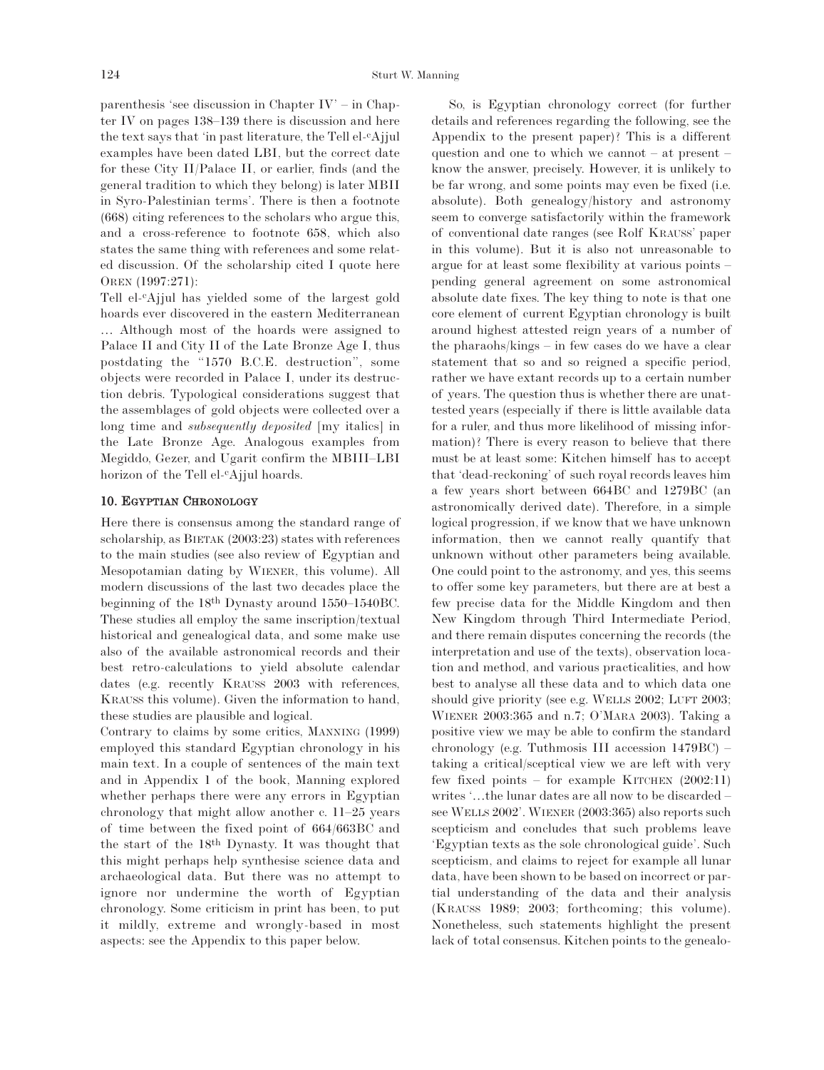parenthesis 'see discussion in Chapter IV' – in Chapter IV on pages 138*–*139 there is discussion and here the text says that 'in past literature, the Tell el-cAjjul examples have been dated LBI, but the correct date for these City II/Palace II, or earlier, finds (and the general tradition to which they belong) is later MBII in Syro-Palestinian terms'. There is then a footnote (668) citing references to the scholars who argue this, and a cross-reference to footnote 658, which also states the same thing with references and some related discussion. Of the scholarship cited I quote here OREN (1997:271):

Tell el-cAjjul has yielded some of the largest gold hoards ever discovered in the eastern Mediterranean … Although most of the hoards were assigned to Palace II and City II of the Late Bronze Age I, thus postdating the "1570 B.C.E. destruction", some objects were recorded in Palace I, under its destruction debris. Typological considerations suggest that the assemblages of gold objects were collected over a long time and *subsequently deposited* [my italics] in the Late Bronze Age. Analogous examples from Megiddo, Gezer, and Ugarit confirm the MBIII–LBI horizon of the Tell el-<sup>c</sup>Ajjul hoards.

#### 10. EGYPTIAN CHRONOLOGY

Here there is consensus among the standard range of scholarship, as BIETAK (2003:23) states with references to the main studies (see also review of Egyptian and Mesopotamian dating by WIENER, this volume). All modern discussions of the last two decades place the beginning of the 18th Dynasty around 1550*–*1540BC. These studies all employ the same inscription/textual historical and genealogical data, and some make use also of the available astronomical records and their best retro-calculations to yield absolute calendar dates (e.g. recently KRAUSS 2003 with references, KRAUSS this volume). Given the information to hand, these studies are plausible and logical.

Contrary to claims by some critics, MANNING (1999) employed this standard Egyptian chronology in his main text. In a couple of sentences of the main text and in Appendix 1 of the book, Manning explored whether perhaps there were any errors in Egyptian chronology that might allow another c. 11*–*25 years of time between the fixed point of 664/663BC and the start of the 18th Dynasty. It was thought that this might perhaps help synthesise science data and archaeological data. But there was no attempt to ignore nor undermine the worth of Egyptian chronology. Some criticism in print has been, to put it mildly, extreme and wrongly-based in most aspects: see the Appendix to this paper below.

So, is Egyptian chronology correct (for further details and references regarding the following, see the Appendix to the present paper)? This is a different question and one to which we cannot – at present – know the answer, precisely. However, it is unlikely to be far wrong, and some points may even be fixed (i.e. absolute). Both genealogy/history and astronomy seem to converge satisfactorily within the framework of conventional date ranges (see Rolf KRAUSS' paper in this volume). But it is also not unreasonable to argue for at least some flexibility at various points – pending general agreement on some astronomical absolute date fixes. The key thing to note is that one core element of current Egyptian chronology is built around highest attested reign years of a number of the pharaohs/kings – in few cases do we have a clear statement that so and so reigned a specific period, rather we have extant records up to a certain number of years. The question thus is whether there are unattested years (especially if there is little available data for a ruler, and thus more likelihood of missing information)? There is every reason to believe that there must be at least some: Kitchen himself has to accept that 'dead-reckoning' of such royal records leaves him a few years short between 664BC and 1279BC (an astronomically derived date). Therefore, in a simple logical progression, if we know that we have unknown information, then we cannot really quantify that unknown without other parameters being available. One could point to the astronomy, and yes, this seems to offer some key parameters, but there are at best a few precise data for the Middle Kingdom and then New Kingdom through Third Intermediate Period, and there remain disputes concerning the records (the interpretation and use of the texts), observation location and method, and various practicalities, and how best to analyse all these data and to which data one should give priority (see e.g. WELLS 2002; LUFT 2003; WIENER 2003:365 and n.7; O'MARA 2003). Taking a positive view we may be able to confirm the standard chronology (e.g. Tuthmosis III accession 1479BC) – taking a critical/sceptical view we are left with very few fixed points – for example KITCHEN  $(2002:11)$ writes '…the lunar dates are all now to be discarded – see WELLS 2002'. WIENER (2003:365) also reports such scepticism and concludes that such problems leave 'Egyptian texts as the sole chronological guide'. Such scepticism, and claims to reject for example all lunar data, have been shown to be based on incorrect or partial understanding of the data and their analysis (KRAUSS 1989; 2003; forthcoming; this volume). Nonetheless, such statements highlight the present lack of total consensus. Kitchen points to the genealo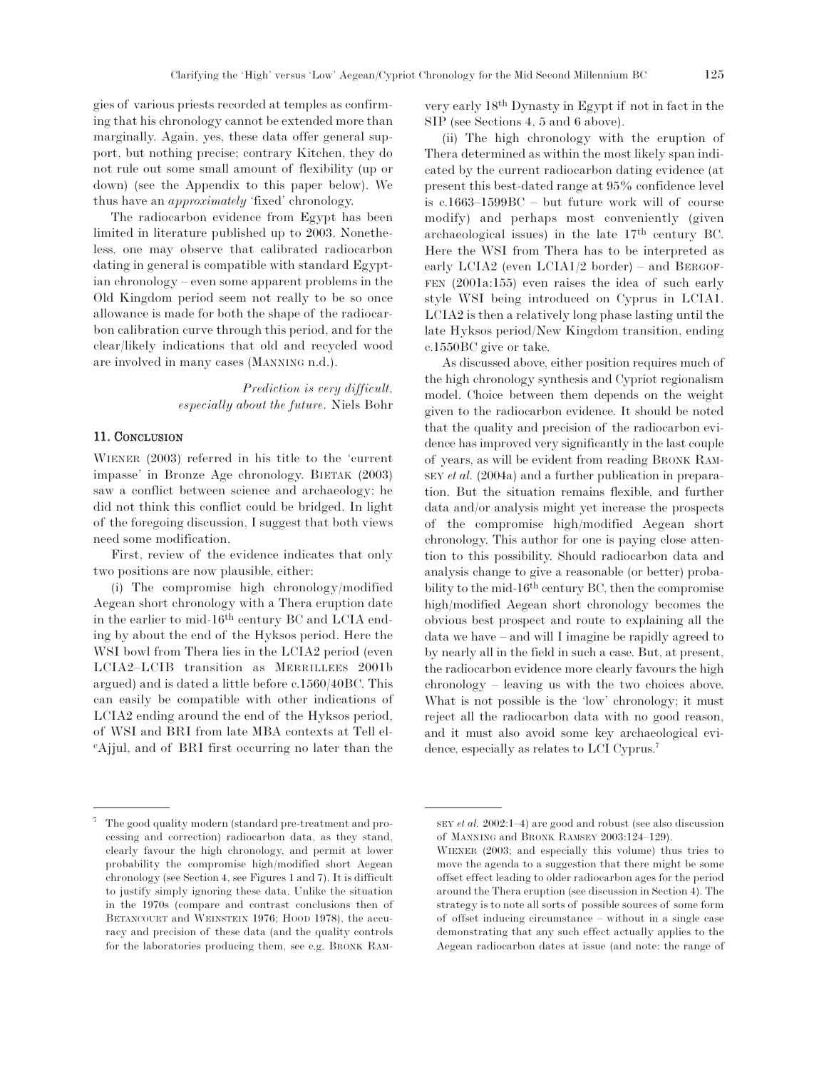gies of various priests recorded at temples as confirming that his chronology cannot be extended more than marginally. Again, yes, these data offer general support, but nothing precise; contrary Kitchen, they do not rule out some small amount of flexibility (up or down) (see the Appendix to this paper below). We thus have an *approximately* 'fixed' chronology.

The radiocarbon evidence from Egypt has been limited in literature published up to 2003. Nonetheless, one may observe that calibrated radiocarbon dating in general is compatible with standard Egyptian chronology – even some apparent problems in the Old Kingdom period seem not really to be so once allowance is made for both the shape of the radiocarbon calibration curve through this period, and for the clear/likely indications that old and recycled wood are involved in many cases (MANNING n.d.).

> *Prediction is very difficult, especially about the future.* Niels Bohr

#### 11. CONCLUSION

WIENER (2003) referred in his title to the 'current impasse' in Bronze Age chronology. BIETAK (2003) saw a conflict between science and archaeology; he did not think this conflict could be bridged. In light of the foregoing discussion, I suggest that both views need some modification.

First, review of the evidence indicates that only two positions are now plausible, either:

(i) The compromise high chronology/modified Aegean short chronology with a Thera eruption date in the earlier to mid-16th century BC and LCIA ending by about the end of the Hyksos period. Here the WSI bowl from Thera lies in the LCIA2 period (even LCIA2–LCIB transition as MERRILLEES 2001b argued) and is dated a little before c.1560/40BC. This can easily be compatible with other indications of LCIA2 ending around the end of the Hyksos period, of WSI and BRI from late MBA contexts at Tell elcAjjul, and of BRI first occurring no later than the

very early 18th Dynasty in Egypt if not in fact in the SIP (see Sections 4, 5 and 6 above).

(ii) The high chronology with the eruption of Thera determined as within the most likely span indicated by the current radiocarbon dating evidence (at present this best-dated range at 95% confidence level is c.1663–1599BC – but future work will of course modify) and perhaps most conveniently (given archaeological issues) in the late 17th century BC. Here the WSI from Thera has to be interpreted as early LCIA2 (even LCIA1/2 border) – and BERGOF-FEN (2001a:155) even raises the idea of such early style WSI being introduced on Cyprus in LCIA1. LCIA2 is then a relatively long phase lasting until the late Hyksos period/New Kingdom transition, ending c.1550BC give or take.

As discussed above, either position requires much of the high chronology synthesis and Cypriot regionalism model. Choice between them depends on the weight given to the radiocarbon evidence. It should be noted that the quality and precision of the radiocarbon evidence has improved very significantly in the last couple of years, as will be evident from reading BRONK RAM-SEY *et al.* (2004a) and a further publication in preparation. But the situation remains flexible, and further data and/or analysis might yet increase the prospects of the compromise high/modified Aegean short chronology. This author for one is paying close attention to this possibility. Should radiocarbon data and analysis change to give a reasonable (or better) probability to the mid-16<sup>th</sup> century BC, then the compromise high/modified Aegean short chronology becomes the obvious best prospect and route to explaining all the data we have – and will I imagine be rapidly agreed to by nearly all in the field in such a case. But, at present, the radiocarbon evidence more clearly favours the high chronology – leaving us with the two choices above. What is not possible is the 'low' chronology; it must reject all the radiocarbon data with no good reason, and it must also avoid some key archaeological evidence, especially as relates to LCI Cyprus.<sup>7</sup>

<sup>7</sup> The good quality modern (standard pre-treatment and processing and correction) radiocarbon data, as they stand, clearly favour the high chronology, and permit at lower probability the compromise high/modified short Aegean chronology (see Section 4, see Figures 1 and 7). It is difficult to justify simply ignoring these data. Unlike the situation in the 1970s (compare and contrast conclusions then of BETANCOURT and WEINSTEIN 1976; HOOD 1978), the accuracy and precision of these data (and the quality controls for the laboratories producing them, see e.g. BRONK RAM-

SEY *et al.* 2002:1–4) are good and robust (see also discussion of MANNING and BRONK RAMSEY 2003:124–129).

WIENER (2003; and especially this volume) thus tries to move the agenda to a suggestion that there might be some offset effect leading to older radiocarbon ages for the period around the Thera eruption (see discussion in Section 4). The strategy is to note all sorts of possible sources of some form of offset inducing circumstance – without in a single case demonstrating that any such effect actually applies to the Aegean radiocarbon dates at issue (and note: the range of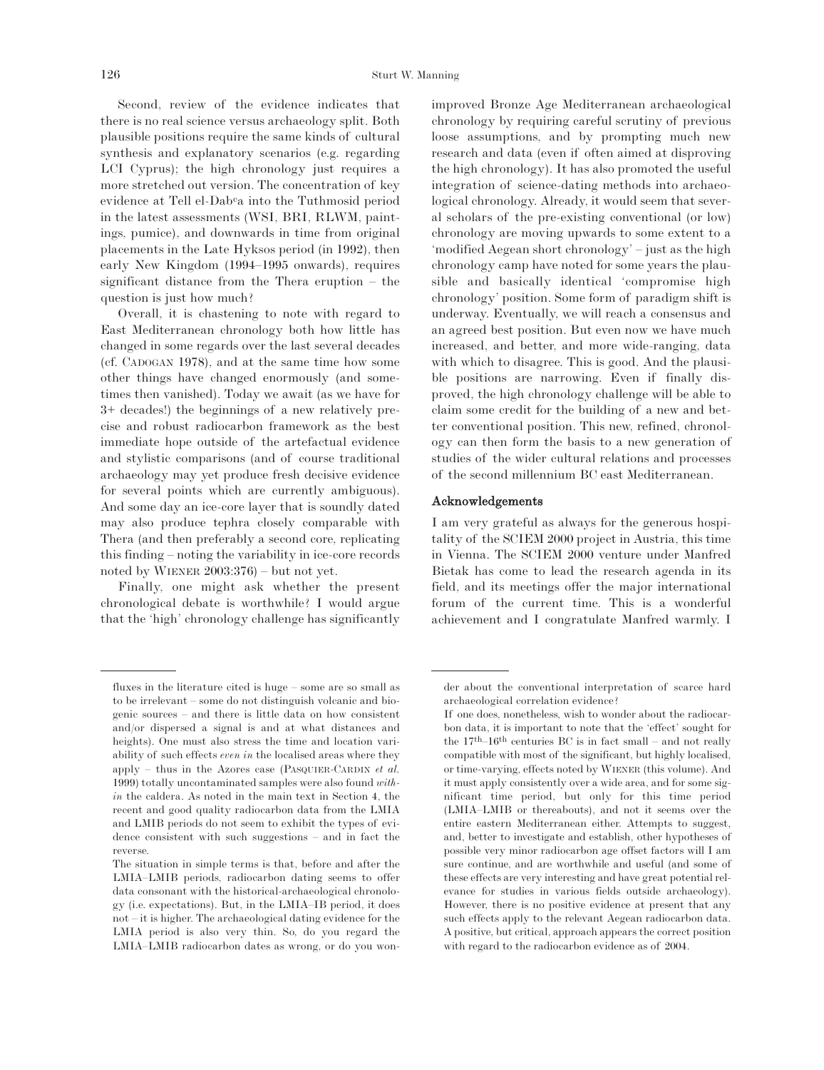Second, review of the evidence indicates that there is no real science versus archaeology split. Both plausible positions require the same kinds of cultural synthesis and explanatory scenarios (e.g. regarding LCI Cyprus); the high chronology just requires a more stretched out version. The concentration of key evidence at Tell el-Dabca into the Tuthmosid period in the latest assessments (WSI, BRI, RLWM, paintings, pumice), and downwards in time from original placements in the Late Hyksos period (in 1992), then early New Kingdom (1994–1995 onwards), requires significant distance from the Thera eruption – the question is just how much?

Overall, it is chastening to note with regard to East Mediterranean chronology both how little has changed in some regards over the last several decades (cf. CADOGAN 1978), and at the same time how some other things have changed enormously (and sometimes then vanished). Today we await (as we have for 3+ decades!) the beginnings of a new relatively precise and robust radiocarbon framework as the best immediate hope outside of the artefactual evidence and stylistic comparisons (and of course traditional archaeology may yet produce fresh decisive evidence for several points which are currently ambiguous). And some day an ice-core layer that is soundly dated may also produce tephra closely comparable with Thera (and then preferably a second core, replicating this finding – noting the variability in ice-core records noted by WIENER 2003:376) – but not yet.

Finally, one might ask whether the present chronological debate is worthwhile? I would argue that the 'high' chronology challenge has significantly improved Bronze Age Mediterranean archaeological chronology by requiring careful scrutiny of previous loose assumptions, and by prompting much new research and data (even if often aimed at disproving the high chronology). It has also promoted the useful integration of science-dating methods into archaeological chronology. Already, it would seem that several scholars of the pre-existing conventional (or low) chronology are moving upwards to some extent to a 'modified Aegean short chronology' – just as the high chronology camp have noted for some years the plausible and basically identical 'compromise high chronology' position. Some form of paradigm shift is underway. Eventually, we will reach a consensus and an agreed best position. But even now we have much increased, and better, and more wide-ranging, data with which to disagree. This is good. And the plausible positions are narrowing. Even if finally disproved, the high chronology challenge will be able to claim some credit for the building of a new and better conventional position. This new, refined, chronology can then form the basis to a new generation of studies of the wider cultural relations and processes of the second millennium BC east Mediterranean.

#### Acknowledgements

I am very grateful as always for the generous hospitality of the SCIEM 2000 project in Austria, this time in Vienna. The SCIEM 2000 venture under Manfred Bietak has come to lead the research agenda in its field, and its meetings offer the major international forum of the current time. This is a wonderful achievement and I congratulate Manfred warmly. I

fluxes in the literature cited is huge – some are so small as to be irrelevant – some do not distinguish volcanic and biogenic sources – and there is little data on how consistent and/or dispersed a signal is and at what distances and heights). One must also stress the time and location variability of such effects *even in* the localised areas where they apply – thus in the Azores case (PASQUIER-CARDIN *et al.* 1999) totally uncontaminated samples were also found *within* the caldera. As noted in the main text in Section 4, the recent and good quality radiocarbon data from the LMIA and LMIB periods do not seem to exhibit the types of evidence consistent with such suggestions – and in fact the reverse.

The situation in simple terms is that, before and after the LMIA–LMIB periods, radiocarbon dating seems to offer data consonant with the historical-archaeological chronology (i.e. expectations). But, in the LMIA–IB period, it does not – it is higher. The archaeological dating evidence for the LMIA period is also very thin. So, do you regard the LMIA–LMIB radiocarbon dates as wrong, or do you won-

der about the conventional interpretation of scarce hard archaeological correlation evidence?

If one does, nonetheless, wish to wonder about the radiocarbon data, it is important to note that the 'effect' sought for the  $17<sup>th</sup>-16<sup>th</sup>$  centuries BC is in fact small – and not really compatible with most of the significant, but highly localised, or time-varying, effects noted by WIENER (this volume). And it must apply consistently over a wide area, and for some significant time period, but only for this time period (LMIA–LMIB or thereabouts), and not it seems over the entire eastern Mediterranean either. Attempts to suggest, and, better to investigate and establish, other hypotheses of possible very minor radiocarbon age offset factors will I am sure continue, and are worthwhile and useful (and some of these effects are very interesting and have great potential relevance for studies in various fields outside archaeology). However, there is no positive evidence at present that any such effects apply to the relevant Aegean radiocarbon data. A positive, but critical, approach appears the correct position with regard to the radiocarbon evidence as of 2004.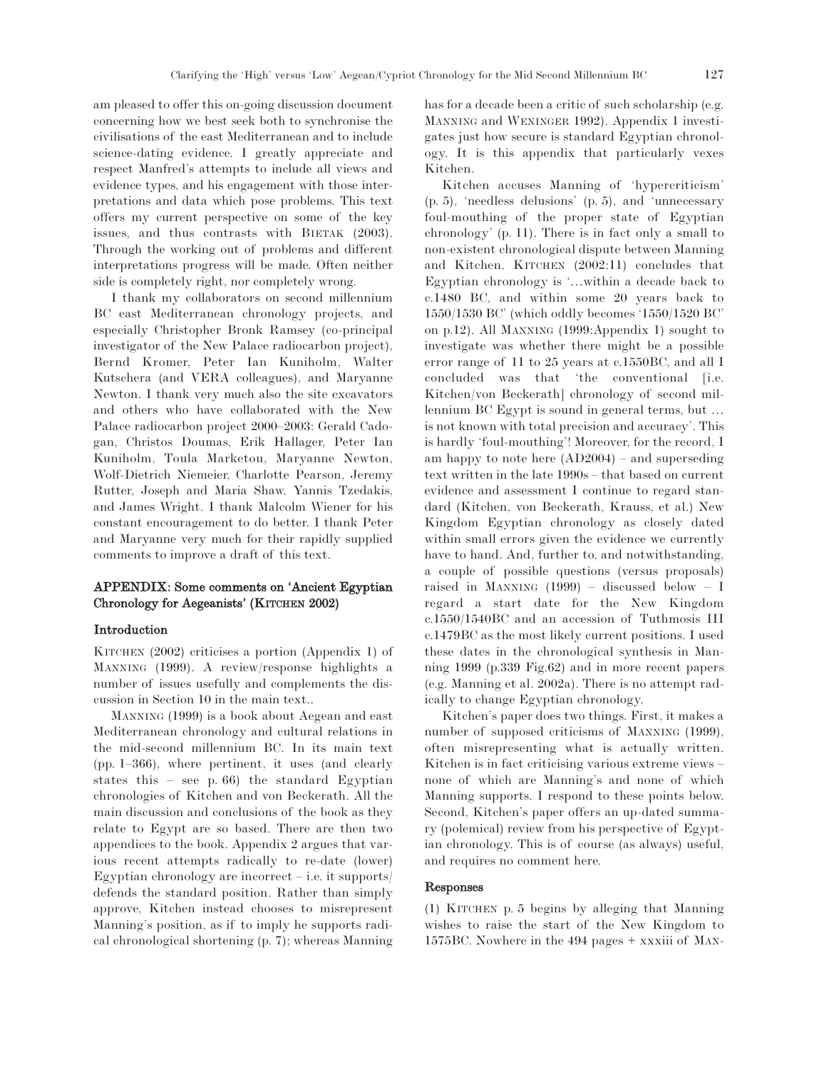am pleased to offer this on-going discussion document concerning how we best seek both to synchronise the civilisations of the east Mediterranean and to include science-dating evidence. I greatly appreciate and respect Manfred's attempts to include all views and evidence types, and his engagement with those interpretations and data which pose problems. This text offers my current perspective on some of the key issues, and thus contrasts with BIETAK (2003). Through the working out of problems and different interpretations progress will be made. Often neither side is completely right, nor completely wrong.

I thank my collaborators on second millennium BC east Mediterranean chronology projects, and especially Christopher Bronk Ramsey (co-principal investigator of the New Palace radiocarbon project), Bernd Kromer, Peter Ian Kuniholm, Walter Kutschera (and VERA colleagues), and Maryanne Newton. I thank very much also the site excavators and others who have collaborated with the New Palace radiocarbon project 2000–2003: Gerald Cadogan, Christos Doumas, Erik Hallager, Peter Ian Kuniholm, Toula Marketou, Maryanne Newton, Wolf-Dietrich Niemeier, Charlotte Pearson, Jeremy Rutter, Joseph and Maria Shaw, Yannis Tzedakis, and James Wright. I thank Malcolm Wiener for his constant encouragement to do better. I thank Peter and Maryanne very much for their rapidly supplied comments to improve a draft of this text.

#### APPENDIX: Some comments on 'Ancient Egyptian Chronology for Aegeanists' (KITCHEN 2002)

#### Introduction

KITCHEN (2002) criticises a portion (Appendix 1) of MANNING (1999). A review/response highlights a number of issues usefully and complements the discussion in Section 10 in the main text..

MANNING (1999) is a book about Aegean and east Mediterranean chronology and cultural relations in the mid-second millennium BC. In its main text (pp. 1–366), where pertinent, it uses (and clearly states this – see p. 66) the standard Egyptian chronologies of Kitchen and von Beckerath. All the main discussion and conclusions of the book as they relate to Egypt are so based. There are then two appendices to the book. Appendix 2 argues that various recent attempts radically to re-date (lower) Egyptian chronology are incorrect  $-$  i.e. it supports/ defends the standard position. Rather than simply approve, Kitchen instead chooses to misrepresent Manning's position, as if to imply he supports radical chronological shortening (p. 7); whereas Manning has for a decade been a critic of such scholarship (e.g. MANNING and WENINGER 1992). Appendix 1 investigates just how secure is standard Egyptian chronology. It is this appendix that particularly vexes Kitchen.

Kitchen accuses Manning of 'hypercriticism' (p. 5), 'needless delusions' (p. 5), and 'unnecessary foul-mouthing of the proper state of Egyptian chronology' (p. 11). There is in fact only a small to non-existent chronological dispute between Manning and Kitchen. KITCHEN (2002:11) concludes that Egyptian chronology is '…within a decade back to c.1480 BC, and within some 20 years back to 1550/1530 BC' (which oddly becomes '1550/1520 BC' on p.12). All MANNING (1999:Appendix 1) sought to investigate was whether there might be a possible error range of 11 to 25 years at c.1550BC, and all I concluded was that 'the conventional [i.e. Kitchen/von Beckerath] chronology of second millennium BC Egypt is sound in general terms, but … is not known with total precision and accuracy'. This is hardly 'foul-mouthing'! Moreover, for the record, I am happy to note here (AD2004) – and superseding text written in the late 1990s – that based on current evidence and assessment I continue to regard standard (Kitchen, von Beckerath, Krauss, et al.) New Kingdom Egyptian chronology as closely dated within small errors given the evidence we currently have to hand. And, further to, and notwithstanding, a couple of possible questions (versus proposals) raised in MANNING (1999) – discussed below – I regard a start date for the New Kingdom c.1550/1540BC and an accession of Tuthmosis III c.1479BC as the most likely current positions. I used these dates in the chronological synthesis in Manning 1999 (p.339 Fig.62) and in more recent papers (e.g. Manning et al. 2002a). There is no attempt radically to change Egyptian chronology.

Kitchen's paper does two things. First, it makes a number of supposed criticisms of MANNING (1999), often misrepresenting what is actually written. Kitchen is in fact criticising various extreme views – none of which are Manning's and none of which Manning supports. I respond to these points below. Second, Kitchen's paper offers an up-dated summary (polemical) review from his perspective of Egyptian chronology. This is of course (as always) useful, and requires no comment here.

#### Responses

(1) KITCHEN p. 5 begins by alleging that Manning wishes to raise the start of the New Kingdom to 1575BC. Nowhere in the 494 pages + xxxiii of MAN-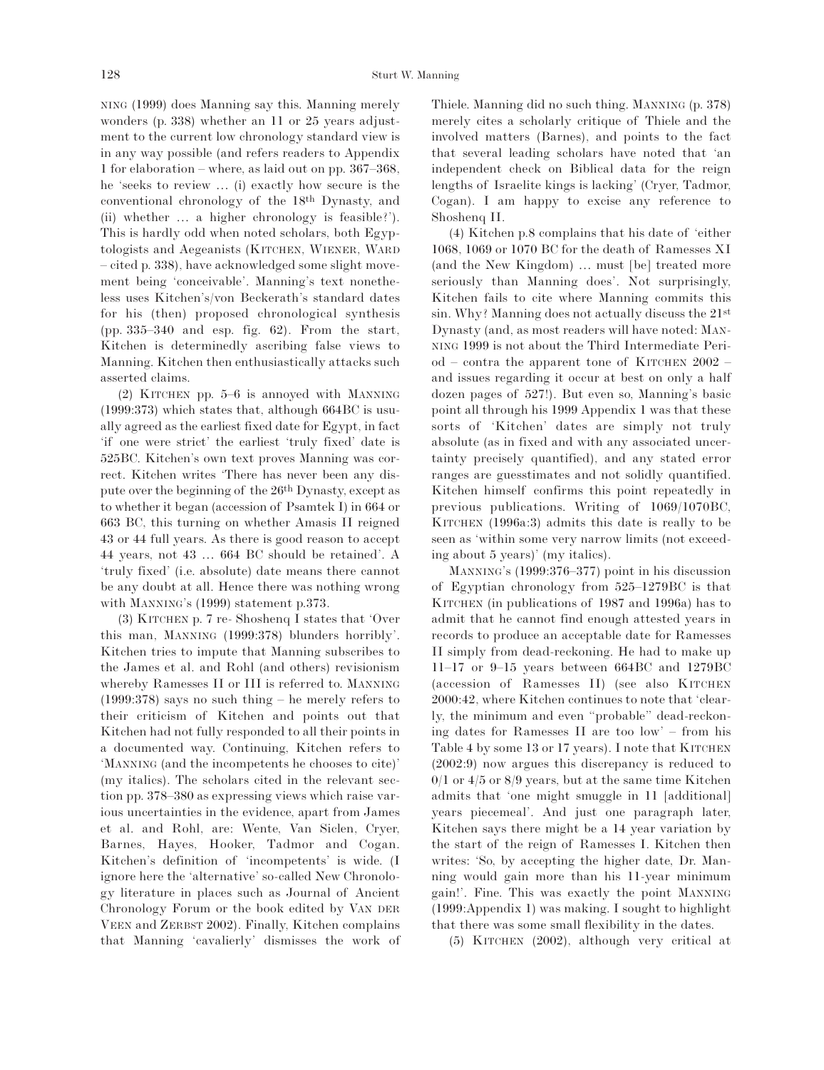NING (1999) does Manning say this. Manning merely wonders (p. 338) whether an 11 or 25 years adjustment to the current low chronology standard view is in any way possible (and refers readers to Appendix 1 for elaboration – where, as laid out on pp. 367–368, he 'seeks to review … (i) exactly how secure is the conventional chronology of the 18th Dynasty, and (ii) whether … a higher chronology is feasible?'). This is hardly odd when noted scholars, both Egyptologists and Aegeanists (KITCHEN, WIENER, WARD – cited p. 338), have acknowledged some slight movement being 'conceivable'. Manning's text nonetheless uses Kitchen's/von Beckerath's standard dates for his (then) proposed chronological synthesis (pp. 335–340 and esp. fig. 62). From the start, Kitchen is determinedly ascribing false views to Manning. Kitchen then enthusiastically attacks such asserted claims.

(2) KITCHEN pp. 5–6 is annoyed with MANNING (1999:373) which states that, although 664BC is usually agreed as the earliest fixed date for Egypt, in fact 'if one were strict' the earliest 'truly fixed' date is 525BC. Kitchen's own text proves Manning was correct. Kitchen writes 'There has never been any dispute over the beginning of the 26th Dynasty, except as to whether it began (accession of Psamtek I) in 664 or 663 BC, this turning on whether Amasis II reigned 43 or 44 full years. As there is good reason to accept 44 years, not 43 … 664 BC should be retained'. A 'truly fixed' (i.e. absolute) date means there cannot be any doubt at all. Hence there was nothing wrong with MANNING's (1999) statement p.373.

(3) KITCHEN p. 7 re- Shoshenq I states that 'Over this man, MANNING (1999:378) blunders horribly'. Kitchen tries to impute that Manning subscribes to the James et al. and Rohl (and others) revisionism whereby Ramesses II or III is referred to. MANNING (1999:378) says no such thing – he merely refers to their criticism of Kitchen and points out that Kitchen had not fully responded to all their points in a documented way. Continuing, Kitchen refers to 'MANNING (and the incompetents he chooses to cite)' (my italics). The scholars cited in the relevant section pp. 378–380 as expressing views which raise various uncertainties in the evidence, apart from James et al. and Rohl, are: Wente, Van Siclen, Cryer, Barnes, Hayes, Hooker, Tadmor and Cogan. Kitchen's definition of 'incompetents' is wide. (I ignore here the 'alternative' so-called New Chronology literature in places such as Journal of Ancient Chronology Forum or the book edited by VAN DER VEEN and ZERBST 2002). Finally, Kitchen complains that Manning 'cavalierly' dismisses the work of Thiele. Manning did no such thing. MANNING (p. 378) merely cites a scholarly critique of Thiele and the involved matters (Barnes), and points to the fact that several leading scholars have noted that 'an independent check on Biblical data for the reign lengths of Israelite kings is lacking' (Cryer, Tadmor, Cogan). I am happy to excise any reference to Shoshenq II.

(4) Kitchen p.8 complains that his date of 'either 1068, 1069 or 1070 BC for the death of Ramesses XI (and the New Kingdom) … must [be] treated more seriously than Manning does'. Not surprisingly, Kitchen fails to cite where Manning commits this sin. Why? Manning does not actually discuss the 21st Dynasty (and, as most readers will have noted: MAN-NING 1999 is not about the Third Intermediate Period – contra the apparent tone of KITCHEN 2002 – and issues regarding it occur at best on only a half dozen pages of 527!). But even so, Manning's basic point all through his 1999 Appendix 1 was that these sorts of 'Kitchen' dates are simply not truly absolute (as in fixed and with any associated uncertainty precisely quantified), and any stated error ranges are guesstimates and not solidly quantified. Kitchen himself confirms this point repeatedly in previous publications. Writing of 1069/1070BC, KITCHEN (1996a:3) admits this date is really to be seen as 'within some very narrow limits (not exceeding about 5 years)' (my italics).

MANNING's (1999:376–377) point in his discussion of Egyptian chronology from 525–1279BC is that KITCHEN (in publications of 1987 and 1996a) has to admit that he cannot find enough attested years in records to produce an acceptable date for Ramesses II simply from dead-reckoning. He had to make up 11–17 or 9–15 years between 664BC and 1279BC (accession of Ramesses II) (see also KITCHEN 2000:42, where Kitchen continues to note that 'clearly, the minimum and even "probable" dead-reckoning dates for Ramesses II are too low' – from his Table 4 by some 13 or 17 years). I note that KITCHEN (2002:9) now argues this discrepancy is reduced to  $0/1$  or  $4/5$  or  $8/9$  years, but at the same time Kitchen admits that 'one might smuggle in 11 [additional] years piecemeal'. And just one paragraph later, Kitchen says there might be a 14 year variation by the start of the reign of Ramesses I. Kitchen then writes: 'So, by accepting the higher date, Dr. Manning would gain more than his 11-year minimum gain!'. Fine. This was exactly the point MANNING (1999:Appendix 1) was making. I sought to highlight that there was some small flexibility in the dates.

(5) KITCHEN (2002), although very critical at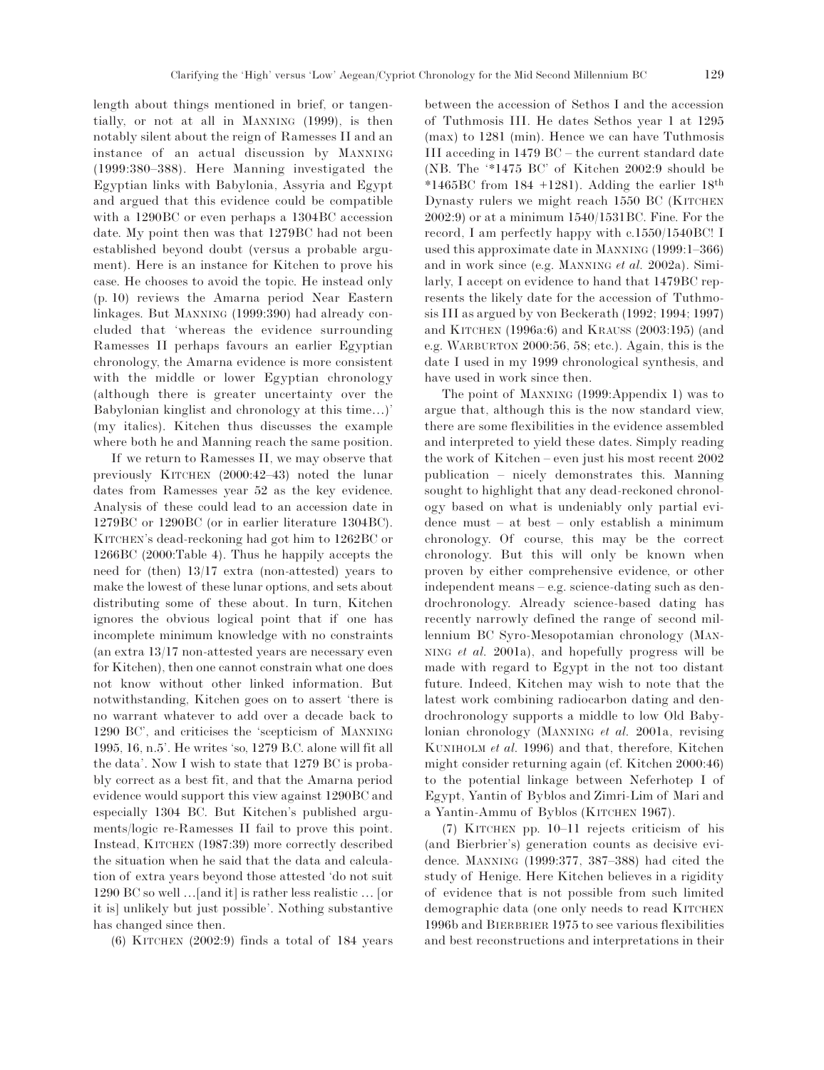length about things mentioned in brief, or tangentially, or not at all in MANNING (1999), is then notably silent about the reign of Ramesses II and an instance of an actual discussion by MANNING (1999:380–388). Here Manning investigated the Egyptian links with Babylonia, Assyria and Egypt and argued that this evidence could be compatible with a 1290BC or even perhaps a 1304BC accession date. My point then was that 1279BC had not been established beyond doubt (versus a probable argument). Here is an instance for Kitchen to prove his case. He chooses to avoid the topic. He instead only (p. 10) reviews the Amarna period Near Eastern linkages. But MANNING (1999:390) had already concluded that 'whereas the evidence surrounding Ramesses II perhaps favours an earlier Egyptian chronology, the Amarna evidence is more consistent with the middle or lower Egyptian chronology (although there is greater uncertainty over the Babylonian kinglist and chronology at this time…)' (my italics). Kitchen thus discusses the example where both he and Manning reach the same position.

If we return to Ramesses II, we may observe that previously KITCHEN (2000:42–43) noted the lunar dates from Ramesses year 52 as the key evidence. Analysis of these could lead to an accession date in 1279BC or 1290BC (or in earlier literature 1304BC). KITCHEN's dead-reckoning had got him to 1262BC or 1266BC (2000:Table 4). Thus he happily accepts the need for (then) 13/17 extra (non-attested) years to make the lowest of these lunar options, and sets about distributing some of these about. In turn, Kitchen ignores the obvious logical point that if one has incomplete minimum knowledge with no constraints (an extra 13/17 non-attested years are necessary even for Kitchen), then one cannot constrain what one does not know without other linked information. But notwithstanding, Kitchen goes on to assert 'there is no warrant whatever to add over a decade back to 1290 BC', and criticises the 'scepticism of MANNING 1995, 16, n.5'. He writes 'so, 1279 B.C. alone will fit all the data'. Now I wish to state that 1279 BC is probably correct as a best fit, and that the Amarna period evidence would support this view against 1290BC and especially 1304 BC. But Kitchen's published arguments/logic re-Ramesses II fail to prove this point. Instead, KITCHEN (1987:39) more correctly described the situation when he said that the data and calculation of extra years beyond those attested 'do not suit 1290 BC so well …[and it] is rather less realistic … [or it is] unlikely but just possible'. Nothing substantive has changed since then.

 $(6)$  KITCHEN  $(2002:9)$  finds a total of 184 years

between the accession of Sethos I and the accession of Tuthmosis III. He dates Sethos year 1 at 1295 (max) to 1281 (min). Hence we can have Tuthmosis III acceding in 1479 BC – the current standard date (NB. The '\*1475 BC' of Kitchen 2002:9 should be \*1465BC from  $184 + 1281$ . Adding the earlier  $18<sup>th</sup>$ Dynasty rulers we might reach 1550 BC (KITCHEN 2002:9) or at a minimum 1540/1531BC. Fine. For the record, I am perfectly happy with c.1550/1540BC! I used this approximate date in MANNING (1999:1–366) and in work since (e.g. MANNING *et al.* 2002a). Similarly, I accept on evidence to hand that 1479BC represents the likely date for the accession of Tuthmosis III as argued by von Beckerath (1992; 1994; 1997) and KITCHEN (1996a:6) and KRAUSS (2003:195) (and e.g. WARBURTON 2000:56, 58; etc.). Again, this is the date I used in my 1999 chronological synthesis, and have used in work since then.

The point of MANNING (1999:Appendix 1) was to argue that, although this is the now standard view, there are some flexibilities in the evidence assembled and interpreted to yield these dates. Simply reading the work of Kitchen – even just his most recent 2002 publication – nicely demonstrates this. Manning sought to highlight that any dead-reckoned chronology based on what is undeniably only partial evidence must – at best – only establish a minimum chronology. Of course, this may be the correct chronology. But this will only be known when proven by either comprehensive evidence, or other independent means – e.g. science-dating such as dendrochronology. Already science-based dating has recently narrowly defined the range of second millennium BC Syro-Mesopotamian chronology (MAN-NING *et al.* 2001a), and hopefully progress will be made with regard to Egypt in the not too distant future. Indeed, Kitchen may wish to note that the latest work combining radiocarbon dating and dendrochronology supports a middle to low Old Babylonian chronology (MANNING *et al.* 2001a, revising KUNIHOLM *et al.* 1996) and that, therefore, Kitchen might consider returning again (cf. Kitchen 2000:46) to the potential linkage between Neferhotep I of Egypt, Yantin of Byblos and Zimri-Lim of Mari and a Yantin-Ammu of Byblos (KITCHEN 1967).

(7) KITCHEN pp. 10–11 rejects criticism of his (and Bierbrier's) generation counts as decisive evidence. MANNING (1999:377, 387–388) had cited the study of Henige. Here Kitchen believes in a rigidity of evidence that is not possible from such limited demographic data (one only needs to read KITCHEN 1996b and BIERBRIER 1975 to see various flexibilities and best reconstructions and interpretations in their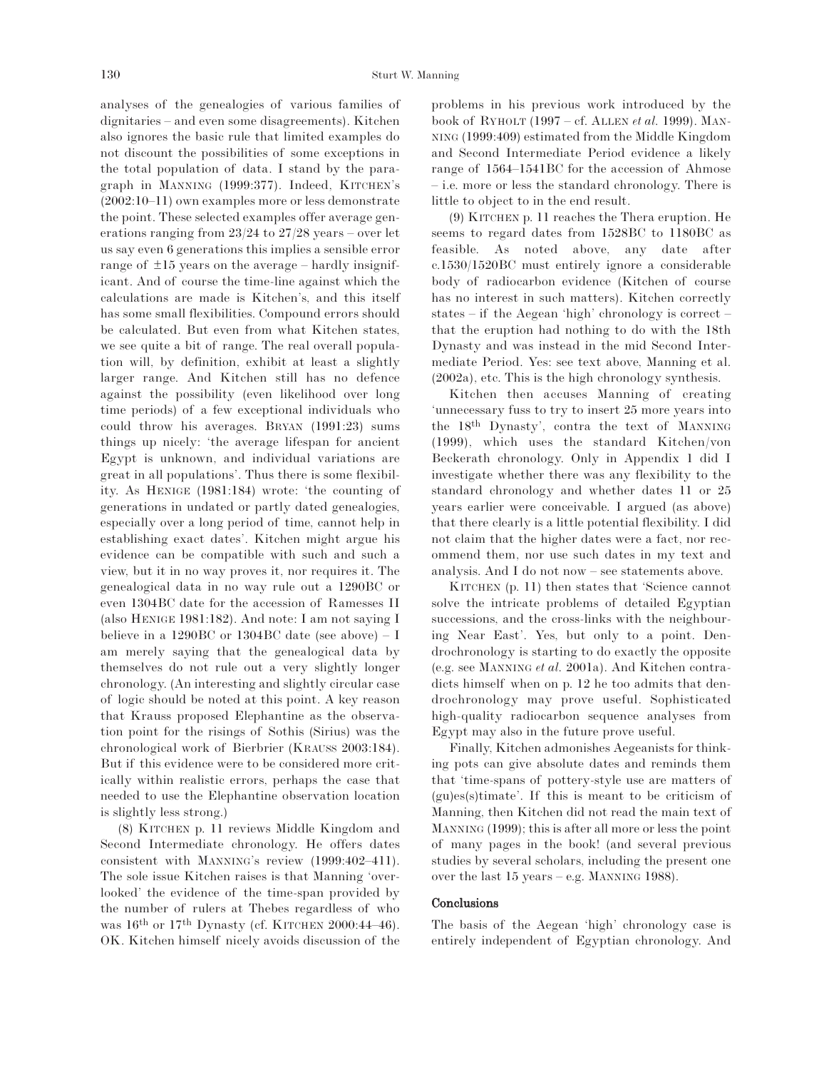analyses of the genealogies of various families of dignitaries – and even some disagreements). Kitchen also ignores the basic rule that limited examples do not discount the possibilities of some exceptions in the total population of data. I stand by the paragraph in MANNING (1999:377). Indeed, KITCHEN's (2002:10–11) own examples more or less demonstrate the point. These selected examples offer average generations ranging from 23/24 to 27/28 years – over let us say even 6 generations this implies a sensible error range of  $\pm 15$  years on the average – hardly insignificant. And of course the time-line against which the calculations are made is Kitchen's, and this itself has some small flexibilities. Compound errors should be calculated. But even from what Kitchen states, we see quite a bit of range. The real overall population will, by definition, exhibit at least a slightly larger range. And Kitchen still has no defence against the possibility (even likelihood over long time periods) of a few exceptional individuals who could throw his averages. BRYAN (1991:23) sums things up nicely: 'the average lifespan for ancient Egypt is unknown, and individual variations are great in all populations'. Thus there is some flexibility. As HENIGE (1981:184) wrote: 'the counting of generations in undated or partly dated genealogies, especially over a long period of time, cannot help in establishing exact dates'. Kitchen might argue his evidence can be compatible with such and such a view, but it in no way proves it, nor requires it. The genealogical data in no way rule out a 1290BC or even 1304BC date for the accession of Ramesses II (also HENIGE 1981:182). And note: I am not saying I believe in a 1290BC or 1304BC date (see above)  $-1$ am merely saying that the genealogical data by themselves do not rule out a very slightly longer chronology. (An interesting and slightly circular case of logic should be noted at this point. A key reason that Krauss proposed Elephantine as the observation point for the risings of Sothis (Sirius) was the chronological work of Bierbrier (KRAUSS 2003:184). But if this evidence were to be considered more critically within realistic errors, perhaps the case that needed to use the Elephantine observation location is slightly less strong.)

(8) KITCHEN p. 11 reviews Middle Kingdom and Second Intermediate chronology. He offers dates consistent with MANNING's review (1999:402–411). The sole issue Kitchen raises is that Manning 'overlooked' the evidence of the time-span provided by the number of rulers at Thebes regardless of who was  $16<sup>th</sup>$  or  $17<sup>th</sup>$  Dynasty (cf. KITCHEN 2000:44-46). OK. Kitchen himself nicely avoids discussion of the problems in his previous work introduced by the book of RYHOLT (1997 – cf. ALLEN *et al.* 1999). MAN-NING (1999:409) estimated from the Middle Kingdom and Second Intermediate Period evidence a likely range of 1564–1541BC for the accession of Ahmose – i.e. more or less the standard chronology. There is little to object to in the end result.

(9) KITCHEN p. 11 reaches the Thera eruption. He seems to regard dates from 1528BC to 1180BC as feasible. As noted above, any date after c.1530/1520BC must entirely ignore a considerable body of radiocarbon evidence (Kitchen of course has no interest in such matters). Kitchen correctly states – if the Aegean 'high' chronology is correct – that the eruption had nothing to do with the 18th Dynasty and was instead in the mid Second Intermediate Period. Yes: see text above, Manning et al. (2002a), etc. This is the high chronology synthesis.

Kitchen then accuses Manning of creating 'unnecessary fuss to try to insert 25 more years into the 18th Dynasty', contra the text of MANNING (1999), which uses the standard Kitchen/von Beckerath chronology. Only in Appendix 1 did I investigate whether there was any flexibility to the standard chronology and whether dates 11 or 25 years earlier were conceivable. I argued (as above) that there clearly is a little potential flexibility. I did not claim that the higher dates were a fact, nor recommend them, nor use such dates in my text and analysis. And I do not now – see statements above.

KITCHEN (p. 11) then states that 'Science cannot solve the intricate problems of detailed Egyptian successions, and the cross-links with the neighbouring Near East'. Yes, but only to a point. Dendrochronology is starting to do exactly the opposite (e.g. see MANNING *et al.* 2001a). And Kitchen contradicts himself when on p. 12 he too admits that dendrochronology may prove useful. Sophisticated high-quality radiocarbon sequence analyses from Egypt may also in the future prove useful.

Finally, Kitchen admonishes Aegeanists for thinking pots can give absolute dates and reminds them that 'time-spans of pottery-style use are matters of (gu)es(s)timate'. If this is meant to be criticism of Manning, then Kitchen did not read the main text of MANNING (1999); this is after all more or less the point of many pages in the book! (and several previous studies by several scholars, including the present one over the last 15 years – e.g. MANNING 1988).

#### **Conclusions**

The basis of the Aegean 'high' chronology case is entirely independent of Egyptian chronology. And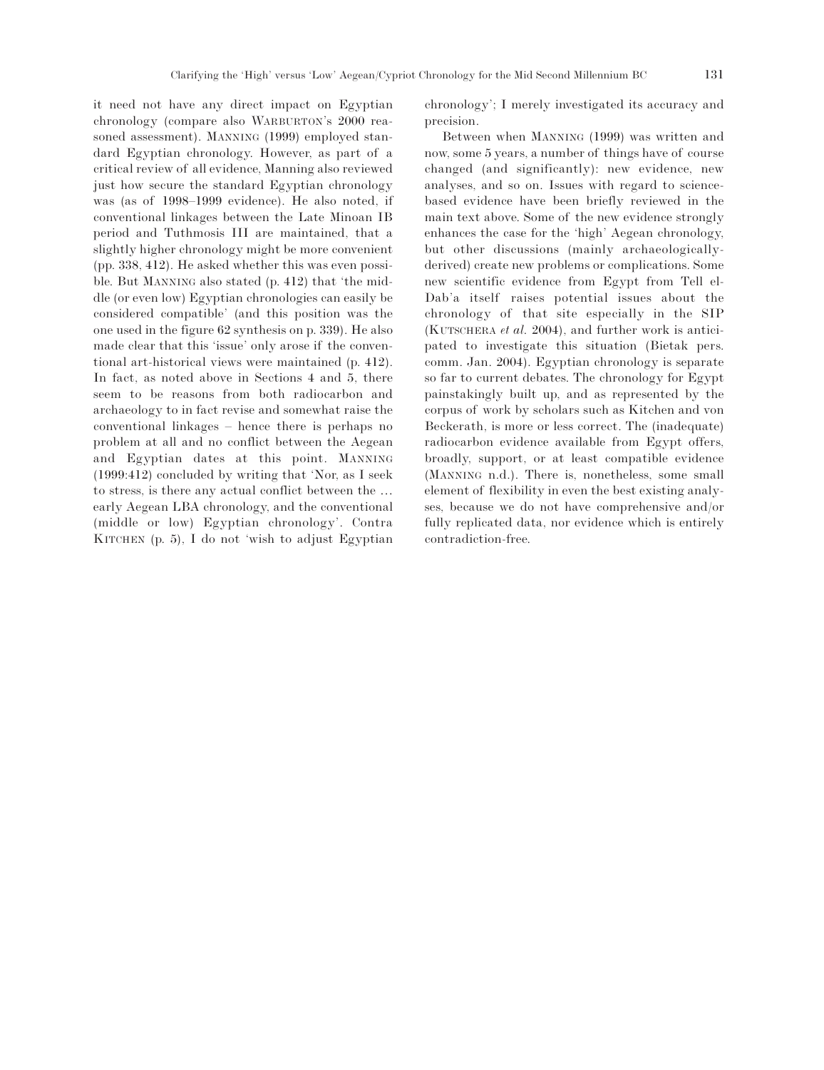it need not have any direct impact on Egyptian chronology (compare also WARBURTON's 2000 reasoned assessment). MANNING (1999) employed standard Egyptian chronology. However, as part of a critical review of all evidence, Manning also reviewed just how secure the standard Egyptian chronology was (as of 1998–1999 evidence). He also noted, if conventional linkages between the Late Minoan IB period and Tuthmosis III are maintained, that a slightly higher chronology might be more convenient (pp. 338, 412). He asked whether this was even possible. But MANNING also stated (p. 412) that 'the middle (or even low) Egyptian chronologies can easily be considered compatible' (and this position was the one used in the figure 62 synthesis on p. 339). He also made clear that this 'issue' only arose if the conventional art-historical views were maintained (p. 412). In fact, as noted above in Sections 4 and 5, there seem to be reasons from both radiocarbon and archaeology to in fact revise and somewhat raise the conventional linkages – hence there is perhaps no problem at all and no conflict between the Aegean and Egyptian dates at this point. MANNING (1999:412) concluded by writing that 'Nor, as I seek to stress, is there any actual conflict between the … early Aegean LBA chronology, and the conventional (middle or low) Egyptian chronology'. Contra KITCHEN (p. 5), I do not 'wish to adjust Egyptian

chronology'; I merely investigated its accuracy and precision.

Between when MANNING (1999) was written and now, some 5 years, a number of things have of course changed (and significantly): new evidence, new analyses, and so on. Issues with regard to sciencebased evidence have been briefly reviewed in the main text above. Some of the new evidence strongly enhances the case for the 'high' Aegean chronology, but other discussions (mainly archaeologicallyderived) create new problems or complications. Some new scientific evidence from Egypt from Tell el-Dab'a itself raises potential issues about the chronology of that site especially in the SIP (KUTSCHERA *et al.* 2004), and further work is anticipated to investigate this situation (Bietak pers. comm. Jan. 2004). Egyptian chronology is separate so far to current debates. The chronology for Egypt painstakingly built up, and as represented by the corpus of work by scholars such as Kitchen and von Beckerath, is more or less correct. The (inadequate) radiocarbon evidence available from Egypt offers, broadly, support, or at least compatible evidence (MANNING n.d.). There is, nonetheless, some small element of flexibility in even the best existing analyses, because we do not have comprehensive and/or fully replicated data, nor evidence which is entirely contradiction-free.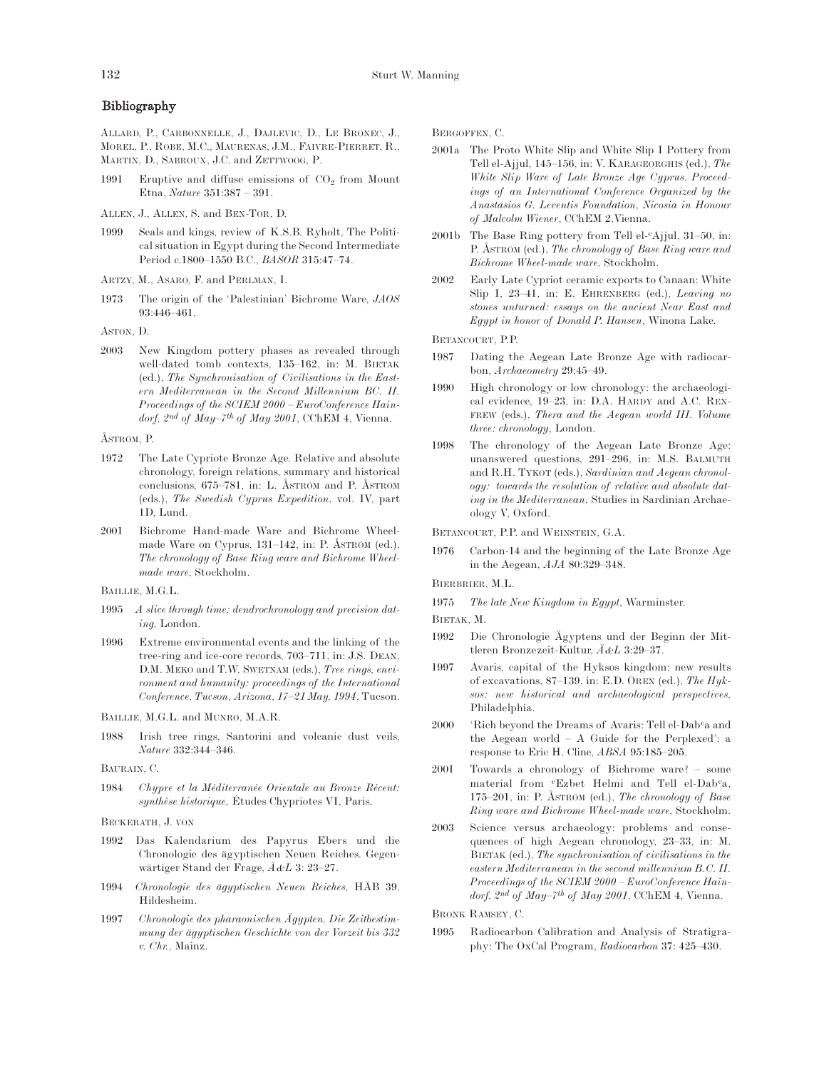#### Bibliography

ALLARD, P., CARBONNELLE, J., DAJLEVIC, D., LE BRONEC, J., MOREL, P., ROBE, M.C., MAURENAS, J.M., FAIVRE-PIERRET, R., MARTIN, D., SABROUX, J.C. and ZETTWOOG, P.

1991 Eruptive and diffuse emissions of  $CO<sub>2</sub>$  from Mount Etna, *Nature* 351:387 – 391.

ALLEN, J., ALLEN, S. and BEN-TOR, D.

1999 Seals and kings, review of K.S.B. Ryholt, The Political situation in Egypt during the Second Intermediate Period c.1800–1550 B.C., *BASOR* 315:47–74.

ARTZY, M., ASARO, F. and PERLMAN, I.

- 1973 The origin of the 'Palestinian' Bichrome Ware, *JAOS* 93:446–461.
- ASTON, D.
- 2003 New Kingdom pottery phases as revealed through well-dated tomb contexts, 135–162, in: M. BIETAK (ed.), *The Synchronisation of Civilisations in the Eastern Mediterranean in the Second Millennium BC. II. Proceedings of the SCIEM 2000 – EuroConference Haindorf, 2nd of May–7th of May 2001*, CChEM 4, Vienna.

ÅSTRÖM, P.

- 1972 The Late Cypriote Bronze Age. Relative and absolute chronology, foreign relations, summary and historical conclusions, 675–781, in: L. ÅSTRÖM and P. ÅSTRÖM (eds.), *The Swedish Cyprus Expedition,* vol. IV, part 1D, Lund.
- 2001 Bichrome Hand-made Ware and Bichrome Wheelmade Ware on Cyprus, 131–142, in: P. ÅSTRÖM (ed.), *The chronology of Base Ring ware and Bichrome Wheelmade ware,* Stockholm.

BAILLIE, M.G.L.

- 1995 *A slice through time: dendrochronology and precision dating,* London.
- 1996 Extreme environmental events and the linking of the tree-ring and ice-core records, 703–711, in: J.S. DEAN, D.M. MEKO and T.W. SWETNAM (eds.), *Tree rings, environment and humanity: proceedings of the International Conference, Tucson, Arizona, 17–21 May, 1994*, Tucson.

BAILLIE, M.G.L. and MUNRO, M.A.R.

1988 Irish tree rings, Santorini and volcanic dust veils, *Nature* 332:344–346.

BAURAIN, C.

1984 *Chypre et la Méditerranée Orientale au Bronze Récent: synthèse historique,* Études Chypriotes VI, Paris.

BECKERATH, J. VON

- 1992 Das Kalendarium des Papyrus Ebers und die Chronologie des ägyptischen Neuen Reiches. Gegenwärtiger Stand der Frage, *Ä&L* 3: 23–27.
- 1994 *Chronologie des ägyptischen Neuen Reiches,* HÄB 39, Hildesheim.
- 1997 *Chronologie des pharaonischen Ägypten. Die Zeitbestimmung der ägyptischen Geschichte von der Vorzeit bis 332 v. Chr.,* Mainz.

BERGOFFEN, C.

- 2001a The Proto White Slip and White Slip I Pottery from Tell el-Ajjul, 145–156, in: V. KARAGEORGHIS (ed.), *The White Slip Ware of Late Bronze Age Cyprus. Proceedings of an International Conference Organized by the Anastasios G. Leventis Foundation, Nicosia in Honour of Malcolm Wiener*, CChEM 2,Vienna.
- 2001b The Base Ring pottery from Tell el-cAjjul, 31–50, in: P. ÅSTRÖM (ed.), *The chronology of Base Ring ware and Bichrome Wheel-made ware,* Stockholm.
- 2002 Early Late Cypriot ceramic exports to Canaan: White Slip I, 23–41, in: E. EHRENBERG (ed.), *Leaving no stones unturned: essays on the ancient Near East and Egypt in honor of Donald P. Hansen*, Winona Lake.

BETANCOURT, P.P.

- 1987 Dating the Aegean Late Bronze Age with radiocarbon, *Archaeometry* 29:45–49.
- 1990 High chronology or low chronology: the archaeological evidence, 19–23, in: D.A. HARDY and A.C. REN-FREW (eds.), *Thera and the Aegean world III. Volume three: chronology*, London.
- 1998 The chronology of the Aegean Late Bronze Age: unanswered questions, 291–296, in: M.S. BALMUTH and R.H. TYKOT (eds.), *Sardinian and Aegean chronology: towards the resolution of relative and absolute dating in the Mediterranean,* Studies in Sardinian Archaeology V, Oxford.

BETANCOURT, P.P. and WEINSTEIN, G.A.

1976 Carbon-14 and the beginning of the Late Bronze Age in the Aegean, *AJA* 80:329–348.

BIERBRIER, M.L.

- 1975 *The late New Kingdom in Egypt,* Warminster.
- BIETAK, M.
- 1992 Die Chronologie Ägyptens und der Beginn der Mittleren Bronzezeit-Kultur, *Ä&L* 3:29–37.
- 1997 Avaris, capital of the Hyksos kingdom: new results of excavations, 87–139, in: E.D. OREN (ed.), *The Hyksos: new historical and archaeological perspectives,* Philadelphia.
- 2000 'Rich beyond the Dreams of Avaris: Tell el-Dab<sup>c</sup>a and the Aegean world – A Guide for the Perplexed': a response to Eric H. Cline, *ABSA* 95:185–205.
- 2001 Towards a chronology of Bichrome ware? some material from cEzbet Helmi and Tell el-Dabca, 175–201, in: P. ÅSTRÖM (ed.), *The chronology of Base Ring ware and Bichrome Wheel-made ware,* Stockholm.
- 2003 Science versus archaeology: problems and consequences of high Aegean chronology, 23–33, in: M. BIETAK (ed.), *The synchronisation of civilisations in the eastern Mediterranean in the second millennium B.C. II. Proceedings of the SCIEM 2000 – EuroConference Haindorf, 2nd of May–7th of May 2001*, CChEM 4, Vienna.

BRONK RAMSEY, C.

1995 Radiocarbon Calibration and Analysis of Stratigraphy: The OxCal Program, *Radiocarbon* 37: 425–430.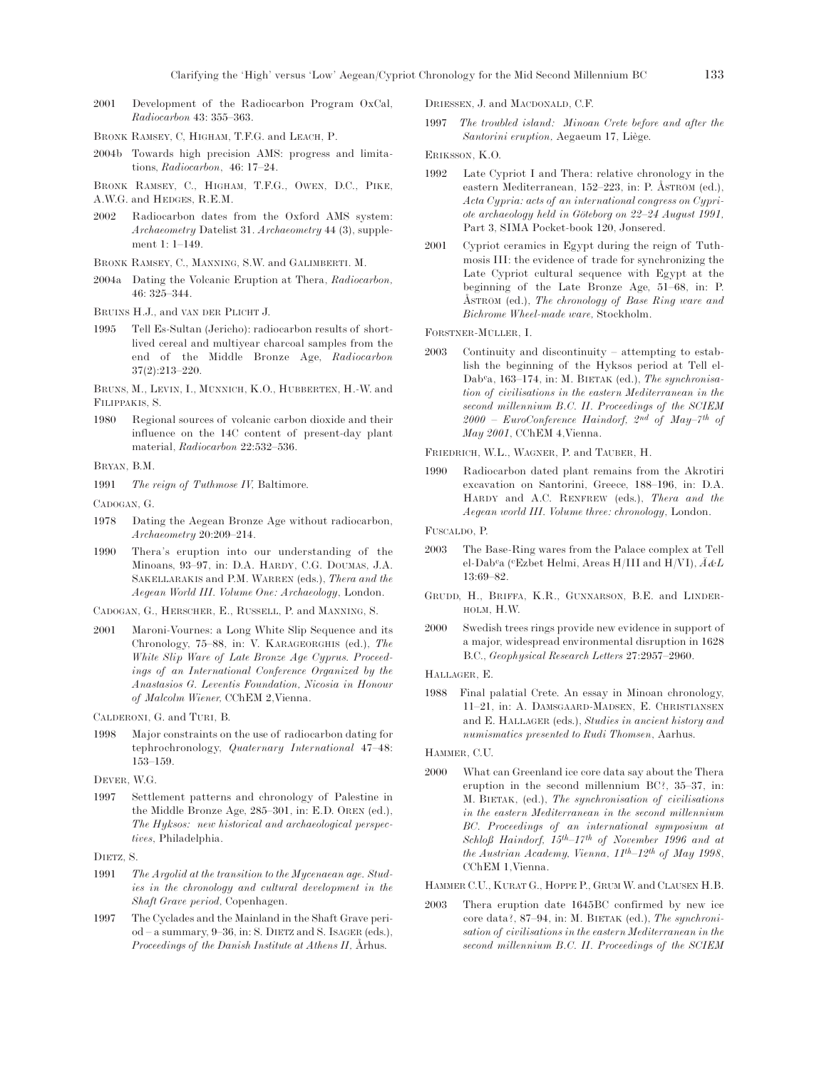- 2001 Development of the Radiocarbon Program OxCal, *Radiocarbon* 43: 355–363.
- BRONK RAMSEY, C, HIGHAM, T.F.G. and LEACH, P.
- 2004b Towards high precision AMS: progress and limitations, *Radiocarbon*, 46: 17–24.
- BRONK RAMSEY, C., HIGHAM, T.F.G., OWEN, D.C., PIKE, A.W.G. and HEDGES, R.E.M.
- 2002 Radiocarbon dates from the Oxford AMS system: *Archaeometry* Datelist 31. *Archaeometry* 44 (3), supplement 1: 1–149.

BRONK RAMSEY, C., MANNING, S.W. and GALIMBERTI. M.

- 2004a Dating the Volcanic Eruption at Thera, *Radiocarbon,* 46: 325–344.
- BRUINS H.J., and VAN DER PLICHT J.
- 1995 Tell Es-Sultan (Jericho): radiocarbon results of shortlived cereal and multiyear charcoal samples from the end of the Middle Bronze Age, *Radiocarbon* 37(2):213–220.

BRUNS, M., LEVIN, I., MÜNNICH, K.O., HUBBERTEN, H.-W. and FILIPPAKIS, S.

1980 Regional sources of volcanic carbon dioxide and their influence on the 14C content of present-day plant material, *Radiocarbon* 22:532–536.

BRYAN, B.M.

1991 *The reign of Tuthmose IV,* Baltimore.

CADOGAN, G.

- 1978 Dating the Aegean Bronze Age without radiocarbon, *Archaeometry* 20:209–214.
- 1990 Thera's eruption into our understanding of the Minoans, 93–97, in: D.A. HARDY, C.G. DOUMAS, J.A. SAKELLARAKIS and P.M. WARREN (eds.), *Thera and the Aegean World III. Volume One: Archaeology*, London.

CADOGAN, G., HERSCHER, E., RUSSELL, P. and MANNING, S.

2001 Maroni-Vournes: a Long White Slip Sequence and its Chronology, 75–88, in: V. KARAGEORGHIS (ed.), *The White Slip Ware of Late Bronze Age Cyprus. Proceedings of an International Conference Organized by the Anastasios G. Leventis Foundation, Nicosia in Honour of Malcolm Wiener,* CChEM 2,Vienna.

CALDERONI, G. and TURI, B.

1998 Major constraints on the use of radiocarbon dating for tephrochronology, *Quaternary International* 47–48: 153–159.

DEVER, W.G.

1997 Settlement patterns and chronology of Palestine in the Middle Bronze Age, 285–301, in: E.D. OREN (ed.), *The Hyksos: new historical and archaeological perspectives*, Philadelphia.

- 1991 *The Argolid at the transition to the Mycenaean age. Studies in the chronology and cultural development in the Shaft Grave period,* Copenhagen.
- 1997 The Cyclades and the Mainland in the Shaft Grave period – a summary, 9–36, in: S. DIETZ and S. ISAGER (eds.), *Proceedings of the Danish Institute at Athens II,* Århus.

DRIESSEN, J. and MACDONALD, C.F.

- 1997 *The troubled island: Minoan Crete before and after the Santorini eruption,* Aegaeum 17, Liège.
- ERIKSSON, K.O.
- 1992 Late Cypriot I and Thera: relative chronology in the eastern Mediterranean, 152–223, in: P. ÅSTRÖM (ed.), *Acta Cypria: acts of an international congress on Cypriote archaeology held in Göteborg on 22–24 August 1991,* Part 3, SIMA Pocket-book 120, Jonsered.
- 2001 Cypriot ceramics in Egypt during the reign of Tuthmosis III: the evidence of trade for synchronizing the Late Cypriot cultural sequence with Egypt at the beginning of the Late Bronze Age, 51–68, in: P. ÅSTRÖM (ed.), *The chronology of Base Ring ware and Bichrome Wheel-made ware,* Stockholm.

FORSTNER-MÜLLER, I.

- 2003 Continuity and discontinuity attempting to establish the beginning of the Hyksos period at Tell el-Dabca, 163–174, in: M. BIETAK (ed.), *The synchronisation of civilisations in the eastern Mediterranean in the second millennium B.C. II. Proceedings of the SCIEM 2000 – EuroConference Haindorf, 2nd of May–7th of May 2001*, CChEM 4,Vienna.
- FRIEDRICH, W.L., WAGNER, P. and TAUBER, H.
- 1990 Radiocarbon dated plant remains from the Akrotiri excavation on Santorini, Greece, 188–196, in: D.A. HARDY and A.C. RENFREW (eds.), *Thera and the Aegean world III. Volume three: chronology*, London.

FUSCALDO, P.

- 2003 The Base-Ring wares from the Palace complex at Tell el-Dabca (cEzbet Helmi, Areas H/III and H/VI), *Ä&L* 13:69–82.
- GRUDD, H., BRIFFA, K.R., GUNNARSON, B.E. and LINDER-HOLM, H.W.
- 2000 Swedish trees rings provide new evidence in support of a major, widespread environmental disruption in 1628 B.C., *Geophysical Research Letters* 27:2957–2960.

HALLAGER, E.

1988 Final palatial Crete. An essay in Minoan chronology, 11–21, in: A. DAMSGAARD-MADSEN, E. CHRISTIANSEN and E. HALLAGER (eds.), *Studies in ancient history and numismatics presented to Rudi Thomsen*, Aarhus.

HAMMER, C.U.

2000 What can Greenland ice core data say about the Thera eruption in the second millennium BC?, 35–37, in: M. BIETAK, (ed.), *The synchronisation of civilisations in the eastern Mediterranean in the second millennium BC. Proceedings of an international symposium at Schloß Haindorf, 15th–17th of November 1996 and at the Austrian Academy, Vienna, 11th–12th of May 1998*, CChEM 1,Vienna.

#### HAMMER C.U., KURAT G., HOPPE P., GRUM W. and CLAUSEN H.B.

2003 Thera eruption date 1645BC confirmed by new ice core data?, 87–94, in: M. BIETAK (ed.), *The synchronisation of civilisations in the eastern Mediterranean in the second millennium B.C. II. Proceedings of the SCIEM*

DIETZ, S.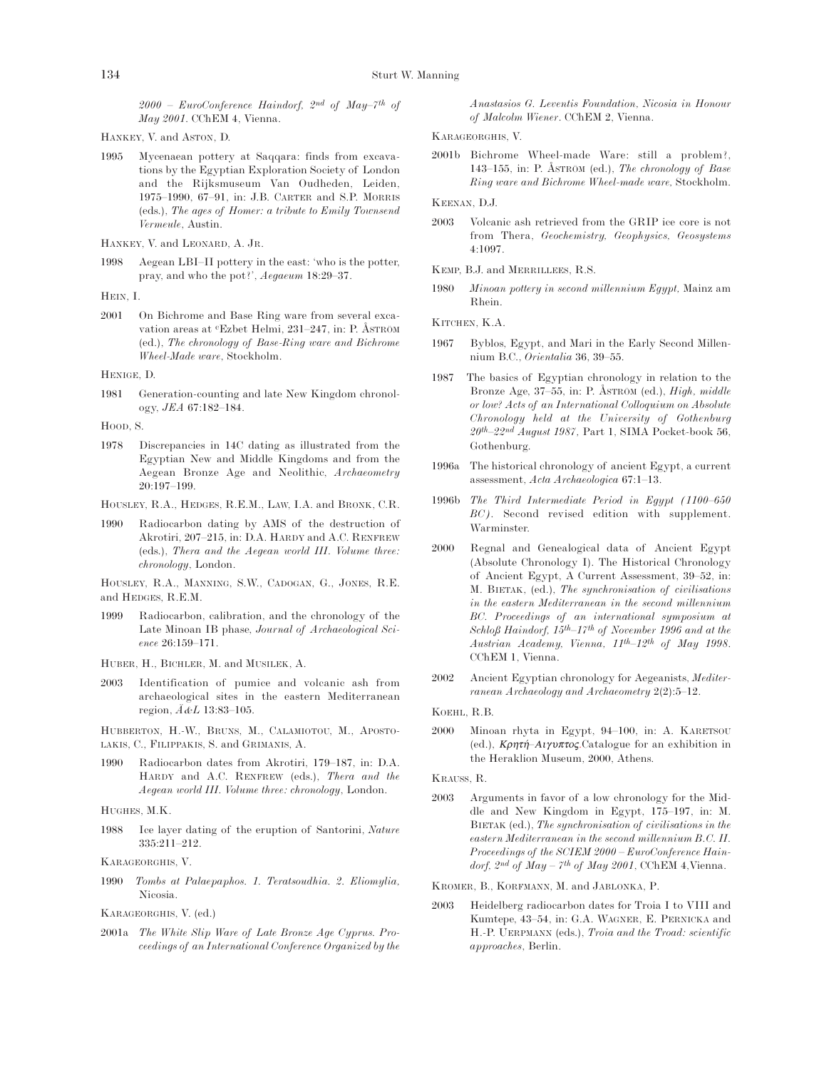*2000 – EuroConference Haindorf, 2nd of May–7th of May 2001*. CChEM 4, Vienna.

HANKEY, V. and ASTON, D.

- 1995 Mycenaean pottery at Saqqara: finds from excavations by the Egyptian Exploration Society of London and the Rijksmuseum Van Oudheden, Leiden, 1975–1990, 67–91, in: J.B. CARTER and S.P. MORRIS (eds.), *The ages of Homer: a tribute to Emily Townsend Vermeule*, Austin.
- HANKEY, V. and LEONARD, A. JR.
- 1998 Aegean LBI–II pottery in the east: 'who is the potter, pray, and who the pot?', *Aegaeum* 18:29–37.
- HEIN, I.
- 2001 On Bichrome and Base Ring ware from several excavation areas at cEzbet Helmi, 231–247, in: P. ÅSTRÖM (ed.), *The chronology of Base-Ring ware and Bichrome Wheel-Made ware*, Stockholm.

HENIGE, D.

1981 Generation-counting and late New Kingdom chronology, *JEA* 67:182–184.

HOOD, S.

1978 Discrepancies in 14C dating as illustrated from the Egyptian New and Middle Kingdoms and from the Aegean Bronze Age and Neolithic, *Archaeometry* 20:197–199.

HOUSLEY, R.A., HEDGES, R.E.M., LAW, I.A. and BRONK, C.R.

1990 Radiocarbon dating by AMS of the destruction of Akrotiri, 207–215, in: D.A. HARDY and A.C. RENFREW (eds.), *Thera and the Aegean world III. Volume three: chronology*, London.

HOUSLEY, R.A., MANNING, S.W., CADOGAN, G., JONES, R.E. and HEDGES, R.E.M.

1999 Radiocarbon, calibration, and the chronology of the Late Minoan IB phase, *Journal of Archaeological Science* 26:159–171.

HUBER, H., BICHLER, M. and MUSILEK, A.

2003 Identification of pumice and volcanic ash from archaeological sites in the eastern Mediterranean region, *Ä&L* 13:83–105.

HUBBERTON, H.-W., BRUNS, M., CALAMIOTOU, M., APOSTO-LAKIS, C., FILIPPAKIS, S. and GRIMANIS, A.

- Radiocarbon dates from Akrotiri, 179-187, in: D.A. HARDY and A.C. RENFREW (eds.), *Thera and the Aegean world III. Volume three: chronology*, London.
- HUGHES, M.K.
- 1988 Ice layer dating of the eruption of Santorini, *Nature* 335:211–212.

KARAGEORGHIS, V*.*

- 1990 *Tombs at Palaepaphos. 1. Teratsoudhia. 2. Eliomylia,* Nicosia.
- KARAGEORGHIS, V. (ed.)
- 2001a *The White Slip Ware of Late Bronze Age Cyprus. Proceedings of an International Conference Organized by the*

*Anastasios G. Leventis Foundation, Nicosia in Honour of Malcolm Wiener*. CChEM 2, Vienna.

- KARAGEORGHIS, V.
- 2001b Bichrome Wheel-made Ware: still a problem?, 143–155, in: P. ÅSTRÖM (ed.), *The chronology of Base Ring ware and Bichrome Wheel-made ware,* Stockholm.

KEENAN, D.J.

- 2003 Volcanic ash retrieved from the GRIP ice core is not from Thera, *Geochemistry, Geophysics, Geosystems* 4:1097.
- KEMP, B.J. and MERRILLEES, R.S.
- 1980 *Minoan pottery in second millennium Egypt,* Mainz am Rhein.

KITCHEN, K.A.

- 1967 Byblos, Egypt, and Mari in the Early Second Millennium B.C., *Orientalia* 36, 39–55.
- 1987 The basics of Egyptian chronology in relation to the Bronze Age, 37–55, in: P. ÅSTRÖM (ed.), *High, middle or low? Acts of an International Colloquium on Absolute Chronology held at the University of Gothenburg 20th–22nd August 1987,* Part 1, SIMA Pocket-book 56, Gothenburg.
- 1996a The historical chronology of ancient Egypt, a current assessment, *Acta Archaeologica* 67:1–13.
- 1996b *The Third Intermediate Period in Egypt (1100–650 BC).* Second revised edition with supplement. Warminster.
- 2000 Regnal and Genealogical data of Ancient Egypt (Absolute Chronology I). The Historical Chronology of Ancient Egypt, A Current Assessment, 39–52, in: M. BIETAK, (ed.), *The synchronisation of civilisations in the eastern Mediterranean in the second millennium BC. Proceedings of an international symposium at Schloß Haindorf, 15th–17th of November 1996 and at the Austrian Academy, Vienna, 11th–12th of May 1998*. CChEM 1, Vienna.
- 2002 Ancient Egyptian chronology for Aegeanists, *Mediterranean Archaeology and Archaeometry* 2(2):5–12.
- KOEHL, R.B.
- 2000 Minoan rhyta in Egypt, 94–100, in: A. KARETSOU (ed.), Κρητή-Αιγυπτος.Catalogue for an exhibition in the Heraklion Museum, 2000, Athens.

KRAUSS, R.

2003 Arguments in favor of a low chronology for the Middle and New Kingdom in Egypt, 175–197, in: M. BIETAK (ed.), *The synchronisation of civilisations in the eastern Mediterranean in the second millennium B.C. II. Proceedings of the SCIEM 2000 – EuroConference Haindorf, 2nd of May – 7th of May 2001*, CChEM 4,Vienna.

KROMER, B., KORFMANN, M. and JABLONKA, P.

2003 Heidelberg radiocarbon dates for Troia I to VIII and Kumtepe, 43–54, in: G.A. WAGNER, E. PERNICKA and H.-P. UERPMANN (eds.), *Troia and the Troad: scientific approaches*, Berlin.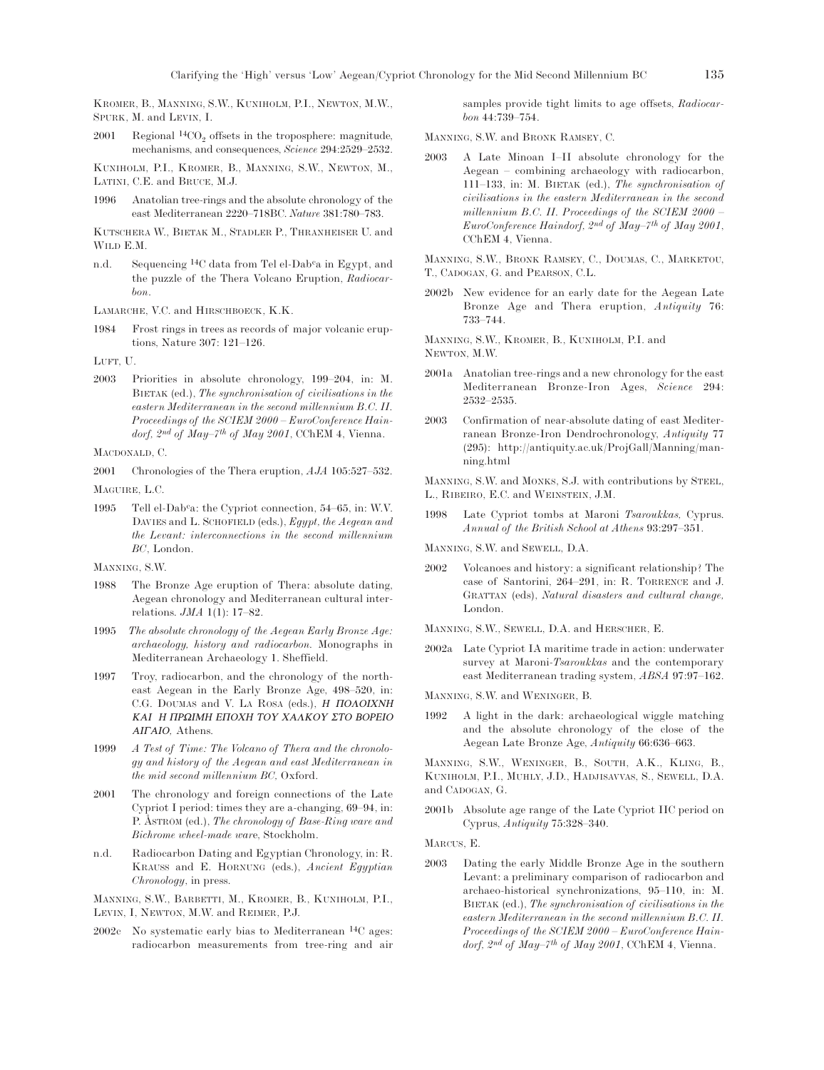KROMER, B., MANNING, S.W., KUNIHOLM, P.I., NEWTON, M.W., SPURK, M. and LEVIN, I.

 $2001$  Regional  ${}^{14}CO_2$  offsets in the troposphere: magnitude, mechanisms, and consequences, *Science* 294:2529–2532.

KUNIHOLM, P.I., KROMER, B., MANNING, S.W., NEWTON, M., LATINI, C.E. and BRUCE, M.J.

1996 Anatolian tree-rings and the absolute chronology of the east Mediterranean 2220–718BC. *Nature* 381:780–783.

KUTSCHERA W., BIETAK M., STADLER P., THRANHEISER U. and WILD E.M.

- n.d. Sequencing 14C data from Tel el-Dabca in Egypt, and the puzzle of the Thera Volcano Eruption, *Radiocarbon*.
- LAMARCHE, V.C. and HIRSCHBOECK, K.K.
- 1984 Frost rings in trees as records of major volcanic eruptions, Nature 307: 121–126.
- LUFT, U.
- 2003 Priorities in absolute chronology, 199–204, in: M. BIETAK (ed.), *The synchronisation of civilisations in the eastern Mediterranean in the second millennium B.C. II. Proceedings of the SCIEM 2000 – EuroConference Haindorf, 2nd of May–7th of May 2001*, CChEM 4, Vienna.

MACDONALD, C.

2001 Chronologies of the Thera eruption, *AJA* 105:527–532.

MAGUIRE, L.C.

1995 Tell el-Dabca: the Cypriot connection, 54–65, in: W.V. DAVIES and L. SCHOFIELD (eds.), *Egypt, the Aegean and the Levant: interconnections in the second millennium BC*, London.

MANNING, S.W.

- 1988 The Bronze Age eruption of Thera: absolute dating, Aegean chronology and Mediterranean cultural interrelations. *JMA* 1(1): 17–82.
- 1995 *The absolute chronology of the Aegean Early Bronze Age: archaeology, history and radiocarbon.* Monographs in Mediterranean Archaeology 1. Sheffield.
- 1997 Troy, radiocarbon, and the chronology of the northeast Aegean in the Early Bronze Age, 498–520, in: C.G. DOUMAS and V. LA ROSA (eds.), H  $H$ OAOIXNH ΚΑΙ Η ΠΡΩΙΜΗ ΕΠΟΧΗ ΤΟΥ ΧΑΛΚΟΥ ΣΤΟ ΒΟΡΕΙΟ AIFAIO, Athens.
- 1999 *A Test of Time: The Volcano of Thera and the chronology and history of the Aegean and east Mediterranean in the mid second millennium BC,* Oxford.
- 2001 The chronology and foreign connections of the Late Cypriot I period: times they are a-changing, 69–94, in: P. ÅSTRÖM (ed.), *The chronology of Base-Ring ware and Bichrome wheel-made war*e, Stockholm.
- n.d. Radiocarbon Dating and Egyptian Chronology, in: R. KRAUSS and E. HORNUNG (eds.), *Ancient Egyptian Chronology*, in press.

MANNING, S.W., BARBETTI, M., KROMER, B., KUNIHOLM, P.I., LEVIN, I, NEWTON, M.W. and REIMER, P.J.

2002c No systematic early bias to Mediterranean 14C ages: radiocarbon measurements from tree-ring and air

samples provide tight limits to age offsets, *Radiocarbon* 44:739–754.

MANNING, S.W. and BRONK RAMSEY, C.

2003 A Late Minoan I–II absolute chronology for the Aegean – combining archaeology with radiocarbon, 111–133, in: M. BIETAK (ed.), *The synchronisation of civilisations in the eastern Mediterranean in the second millennium B.C. II. Proceedings of the SCIEM 2000 – EuroConference Haindorf, 2nd of May–7th of May 2001*, CChEM 4, Vienna.

MANNING, S.W., BRONK RAMSEY, C., DOUMAS, C., MARKETOU, T., CADOGAN, G. and PEARSON, C.L.

- 2002b New evidence for an early date for the Aegean Late Bronze Age and Thera eruption, *Antiquity* 76: 733–744.
- MANNING, S.W., KROMER, B., KUNIHOLM, P.I. and

NEWTON, M.W.

- 2001a Anatolian tree-rings and a new chronology for the east Mediterranean Bronze-Iron Ages, *Science* 294: 2532–2535.
- 2003 Confirmation of near-absolute dating of east Mediterranean Bronze-Iron Dendrochronology, *Antiquity* 77 (295): http://antiquity.ac.uk/ProjGall/Manning/manning.html

MANNING, S.W. and MONKS, S.J. with contributions by STEEL, L., RIBEIRO, E.C. and WEINSTEIN, J.M.

1998 Late Cypriot tombs at Maroni *Tsaroukkas,* Cyprus. *Annual of the British School at Athens* 93:297–351.

MANNING, S.W. and SEWELL, D.A.

- 2002 Volcanoes and history: a significant relationship? The case of Santorini, 264–291, in: R. TORRENCE and J. GRATTAN (eds), *Natural disasters and cultural change,* London.
- MANNING, S.W., SEWELL, D.A. and HERSCHER, E.
- 2002a Late Cypriot IA maritime trade in action: underwater survey at Maroni-*Tsaroukkas* and the contemporary east Mediterranean trading system, *ABSA* 97:97–162.

MANNING, S.W. and WENINGER, B.

1992 A light in the dark: archaeological wiggle matching and the absolute chronology of the close of the Aegean Late Bronze Age, *Antiquity* 66:636–663.

MANNING, S.W., WENINGER, B., SOUTH, A.K., KLING, B., KUNIHOLM, P.I., MUHLY, J.D., HADJISAVVAS, S., SEWELL, D.A. and CADOGAN, G.

2001b Absolute age range of the Late Cypriot IIC period on Cyprus, *Antiquity* 75:328–340.

MARCUS, E.

2003 Dating the early Middle Bronze Age in the southern Levant: a preliminary comparison of radiocarbon and archaeo-historical synchronizations, 95–110, in: M. BIETAK (ed.), *The synchronisation of civilisations in the eastern Mediterranean in the second millennium B.C. II. Proceedings of the SCIEM 2000 – EuroConference Haindorf, 2nd of May–7th of May 2001*, CChEM 4, Vienna.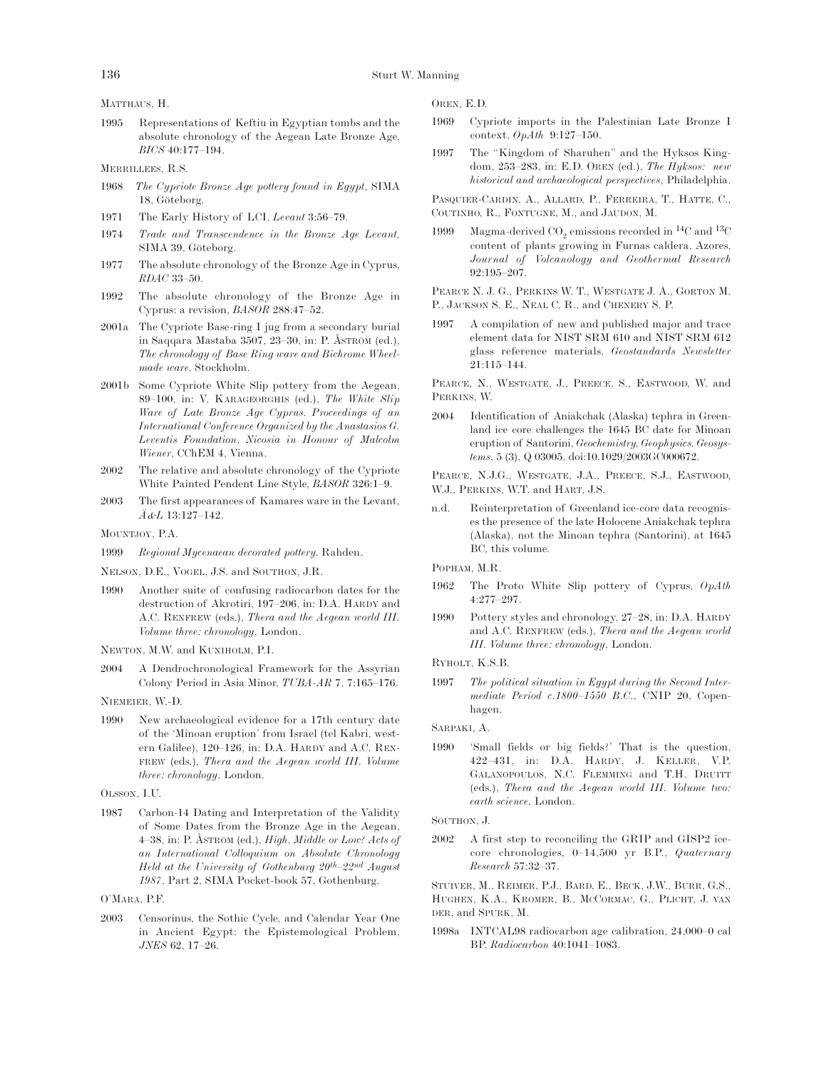MATTHÄUS, H.

- 1995 Representations of Keftiu in Egyptian tombs and the absolute chronology of the Aegean Late Bronze Age, *BICS* 40:177–194.
- MERRILLEES, R.S.
- 1968 *The Cypriote Bronze Age pottery found in Egypt,* SIMA 18, Göteborg.
- 1971 The Early History of LCI, *Levant* 3:56–79.
- 1974 *Trade and Transcendence in the Bronze Age Levant,* SIMA 39, Göteborg.
- 1977 The absolute chronology of the Bronze Age in Cyprus, *RDAC* 33–50.
- 1992 The absolute chronology of the Bronze Age in Cyprus: a revision, *BASOR* 288:47–52.
- 2001a The Cypriote Base-ring I jug from a secondary burial in Saqqara Mastaba 3507, 23–30, in: P. ÅSTRÖM (ed.), *The chronology of Base Ring ware and Bichrome Wheelmade ware,* Stockholm.
- 2001b Some Cypriote White Slip pottery from the Aegean, 89–100, in: V. KARAGEORGHIS (ed.), *The White Slip Ware of Late Bronze Age Cyprus. Proceedings of an International Conference Organized by the Anastasios G. Leventis Foundation, Nicosia in Honour of Malcolm Wiener*, CChEM 4, Vienna.
- 2002 The relative and absolute chronology of the Cypriote White Painted Pendent Line Style, *BASOR* 326:1–9.
- 2003 The first appearances of Kamares ware in the Levant, *Ä&L* 13:127–142.
- MOUNTJOY, P.A.
- 1999 *Regional Mycenaean decorated pottery,* Rahden.
- NELSON, D.E., VOGEL, J.S. and SOUTHON, J.R.
- 1990 Another suite of confusing radiocarbon dates for the destruction of Akrotiri, 197–206, in: D.A. HARDY and A.C. RENFREW (eds.), *Thera and the Aegean world III. Volume three: chronology*, London.
- NEWTON, M.W. and KUNIHOLM, P.I.
- 2004 A Dendrochronological Framework for the Assyrian Colony Period in Asia Minor, *TUBA-AR* 7, 7:165–176.
- NIEMEIER, W.-D.
- 1990 New archaeological evidence for a 17th century date of the 'Minoan eruption' from Israel (tel Kabri, western Galilee), 120–126, in: D.A. HARDY and A.C. REN-FREW (eds.), *Thera and the Aegean world III. Volume three: chronology*, London.

OLSSON, I.U.

1987 Carbon-14 Dating and Interpretation of the Validity of Some Dates from the Bronze Age in the Aegean, 4–38, in: P. ÅSTRÖM (ed.), *High, Middle or Low? Acts of an International Colloquium on Absolute Chronology Held at the University of Gothenburg 20th–22nd August 1987*, Part 2, SIMA Pocket-book 57, Gothenburg.

O'MARA, P.F.

2003 Censorinus, the Sothic Cycle, and Calendar Year One in Ancient Egypt: the Epistemological Problem, *JNES* 62, 17–26.

OREN, E.D.

- 1969 Cypriote imports in the Palestinian Late Bronze I context, *OpAth* 9:127–150.
- 1997 The "Kingdom of Sharuhen" and the Hyksos Kingdom, 253–283, in: E.D. OREN (ed.), *The Hyksos: new historical and archaeological perspectives*, Philadelphia.

PASQUIER-CARDIN, A., ALLARD, P., FERREIRA, T., HATTE, C., COUTINHO, R., FONTUGNE, M., and JAUDON, M.

1999 Magma-derived  $CO_2$  emissions recorded in <sup>14</sup>C and <sup>13</sup>C content of plants growing in Furnas caldera, Azores, *Journal of Volcanology and Geothermal Research* 92:195–207.

PEARCE N. J. G., PERKINS W. T., WESTGATE J. A., GORTON M. P., JACKSON S. E., NEAL C. R., and CHENERY S. P.

1997 A compilation of new and published major and trace element data for NIST SRM 610 and NIST SRM 612 glass reference materials, *Geostandards Newsletter* 21:115–144.

PEARCE, N., WESTGATE, J., PREECE, S., EASTWOOD, W. and PERKINS, W.

2004 Identification of Aniakchak (Alaska) tephra in Greenland ice core challenges the 1645 BC date for Minoan eruption of Santorini, *Geochemistry, Geophysics, Geosystems*, 5 (3), Q 03005, doi:10.1029/2003GC000672.

PEARCE, N.J.G., WESTGATE, J.A., PREECE, S.J., EASTWOOD, W.J., PERKINS, W.T. and HART, J.S.

n.d. Reinterpretation of Greenland ice-core data recognises the presence of the late Holocene Aniakchak tephra (Alaska), not the Minoan tephra (Santorini), at 1645 BC, this volume.

POPHAM, M.R.

- 1962 The Proto White Slip pottery of Cyprus, *OpAth* 4:277–297.
- 1990 Pottery styles and chronology, 27–28, in: D.A. HARDY and A.C. RENFREW (eds.), *Thera and the Aegean world III. Volume three: chronology*, London.

RYHOLT, K.S.B.

1997 *The political situation in Egypt during the Second Intermediate Period c.1800–1550 B.C.,* CNIP 20, Copenhagen.

SARPAKI, A.

1990 'Small fields or big fields?' That is the question, 422–431, in: D.A. HARDY, J. KELLER, V.P. GALANOPOULOS, N.C. FLEMMING and T.H. DRUITT (eds.), *Thera and the Aegean world III. Volume two: earth science,* London.

SOUTHON, J.

2002 A first step to reconciling the GRIP and GISP2 icecore chronologies, 0–14,500 yr B.P., *Quaternary Research* 57:32–37.

STUIVER, M., REIMER, P.J., BARD, E., BECK, J.W., BURR, G.S., HUGHEN, K.A., KROMER, B., MCCORMAC, G., PLICHT, J. VAN DER, and SPURK, M.

1998a INTCAL98 radiocarbon age calibration, 24,000–0 cal BP, *Radiocarbon* 40:1041–1083.